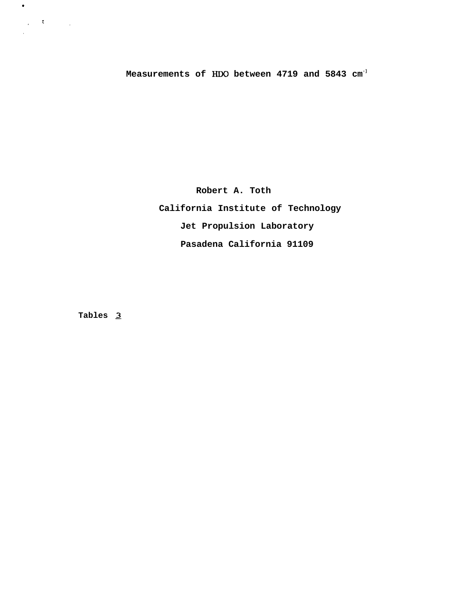**Measurements of HDO between 4719 and 5843 cm-]**

**Robert A. Toth California Institute of Technology Jet Propulsion Laboratory Pasadena California 91109**

**Tables 2**

*1 \* ,*

*,*

 $\bullet$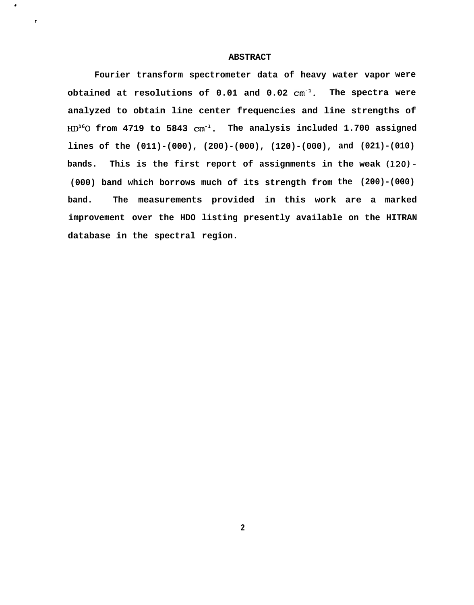#### **ABSTRACT**

*r*

 $\bullet$ 

**Fourier transform spectrometer data of heavy water vapor were obtained at resolutions of 0.01 and 0.02 cm-l. The spectra were analyzed to obtain line center frequencies and line strengths of EUY60 from 4719 to 5843 cm-l. The analysis included 1.700 assigned lines of the (011)-(000), (200)-(000), (120)-(000), and (021)-(010) bands. This is the first report of assignments in the weak (120)- (000) band which borrows much of its strength from the (200)-(000)**  $band.$ **improvement over the HDO listing presently available on the HITRAN database in the spectral region. measurements provided in this work are a marked**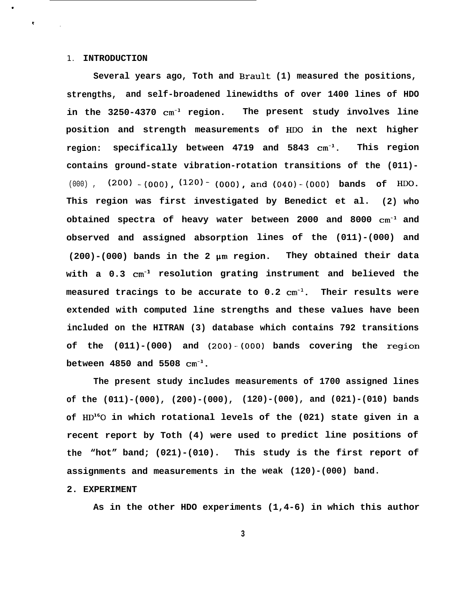#### 1. **INTRODUCTION**

.

*r*

*,*

**Several years ago, Toth and Brault (1) measured the positions, strengths, and self-broadened linewidths of over 1400 lines of HDO in the 3250-4370 cm-l region. The present study involves line position and strength measurements of HDO in the next higher region: specifically between 4719 and 5843 cm-l. This region contains ground-state vibration-rotation transitions of the (011)-** (000), (200) - (000), (120) - (000), and (040) - (000) bands of HDO. **This region was first investigated by Benedict et al. (2) who obtained spectra of heavy water between 2000 and 8000 cm-l and observed and assigned absorption lines of the (011)-(000) and (200)-(000) bands in the 2 pm region. They obtained their data with a 0.3 cm-l resolution grating instrument and believed the measured tracings to be accurate to 0.2 cm-l. Their results were extended with computed line strengths and these values have been included on the HITRAN (3) database which contains 792 transitions of the (011)-(000) and (200)-(000) bands covering the region between 4850 and 5508 cm-l.**

**of the (011)-(000), (200)-(000), (120)-(000), and (021)-(010) bands of HD'GO in which rotational levels of the (021) state given in a The present study includes measurements of 1700 assigned lines recent report by Toth (4) were used to predict line positions of the "hot" band; (021)-(010). This study is the first report of assignments and measurements in the weak (120)-(000) band.**

#### **2. EXPERIMENT**

**As in the other HDO experiments (1,4-6) in which this author**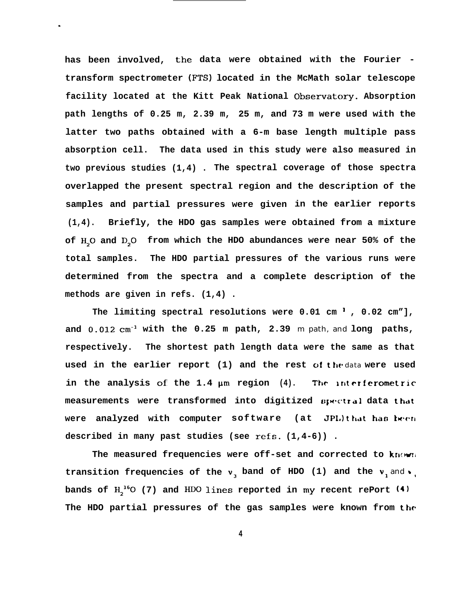**has been involved, the data were obtained with the Fourier transform spectrometer (FTS) located in the McMath solar telescope facility located at the Kitt Peak National Observatcxy. Absorption path lengths of 0.25 m, 2.39 m, 25 m, and 73 m were used with the latter two paths obtained with a 6-m base length multiple pass absorption cell. The data used in this study were also measured in two previous studies (1,4) . The spectral coverage of those spectra overlapped the present spectral region and the description of the samples and partial pressures were given in the earlier reports (1,4). Briefly, the HDO gas samples were obtained from a mixture** of H<sub>2</sub>O and D<sub>2</sub>O from which the HDO abundances were near 50% of the **total samples. The HDO partial pressures of the various runs were determined from the spectra and a complete description of the methods are given in refs. (1,4) .**

.

**The limiting spectral resolutions were 0.01 cm ] , 0.02 cm"], and 0.012 cm-l with the 0.25 m path, 2.39** m path, and **long paths, respectively. The shortest path length data were the same as that used in the earlier report (1) and the rest of the** data **were used in the analysis of the 1.4 pm region (4). The lnterferornetric measurements** were transformed into digitized  $\boldsymbol{p}_{\text{H}}$  rata that  $w$ ere analyzed with computer software (at JPL) that has been **described in many past studies (see refs. (1,4-6)) .**

The measured frequencies were off-set and corrected to known transition frequencies of the  $v<sub>3</sub>$  band of HDO (1) and the  $v<sub>1</sub>$  and  $v<sub>1</sub>$ bands of H<sub>2</sub><sup>16</sup>O (7) and HDO lines reported in my recent rePort (4) **The HDO partial pressures of the gas samples were known from the**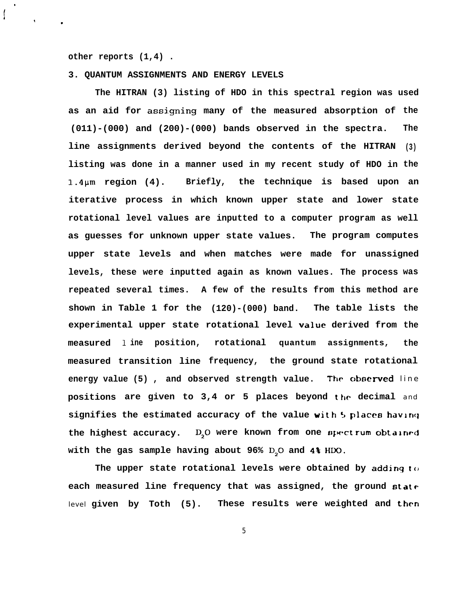**other reports (1,4) .**

**f"**i

t

.

#### **3. QUANTUM ASSIGNMENTS AND ENERGY LEVELS**

**The HITRAN (3) listing of HDO in this spectral region was used** as an aid for assigning many of the measured absorption of the **(011)-(000) and (200)-(000) bands observed in the spectra. line assignments derived beyond the contents of the HITRAN (3) listing was done in a manner used in my recent study of HDO in the The** 1.4pm **region (4). Briefly, the technique is based upon an iterative process in which known upper state and lower state rotational level values are inputted to a computer program as well as guesses for unknown upper state values. The program computes upper state levels and when matches were made for unassigned levels, these were inputted again as known values. The process was repeated several times. A few of the results from this method are shown in Table 1 for the (120)-(000) band. The table lists experimental upper state rotational level value derived from the measured 1 ine position, rotational quantum assignments, measured transition line frequency, the ground state rotational** The table lists the **the** energy value (5), and observed strength value. The observed line **positions are given to 3,4 or 5 places beyond the decimal** and **signifies the estimated accuracy of the value with <sup>5</sup> places havln<j** the highest accuracy. D<sub>2</sub>O were known from one spectrum obtained with the gas sample having about 96% D<sub>2</sub>O and 4% HDO.

The upper state rotational levels were obtained by adding  $t \circ$ **each measured line frequency that was assigned, the ground** statr level **given by Toth (5). These results were weighted and** then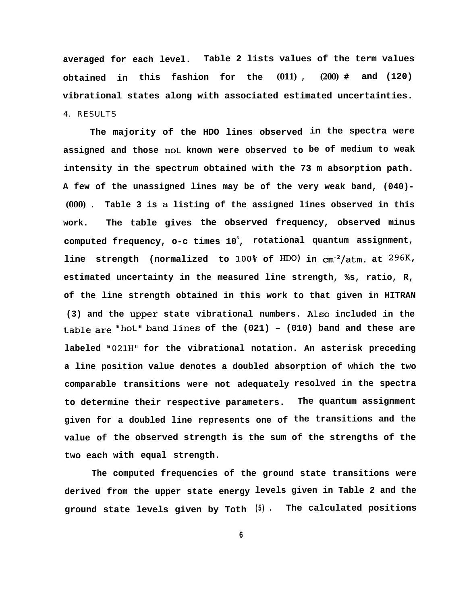**averaged for each level. Table 2 lists values of the term values obtained in this fashion for the (011) , (200) # and (120) vibrational states along with associated estimated uncertainties.** 4. RESULTS

**The majority of the HDO lines observed in the spectra were assigned and those not known were observed to be of medium to weak intensity in the spectrum obtained with the 73 m absorption path. A few of the unassigned lines may be of the very weak band, (040)- (000) . Table 3 is a listing of the assigned lines observed in this work. The table gives the observed frequency, observed minus computed frequency, o-c times 10<sup>5</sup> , rotational quantum assignment, line strength (normalized to 100% of Do) in cm-2/atm. at 296K, estimated uncertainty in the measured line strength, %s, ratio, R, of the line strength obtained in this work to that given in HITRAN** (3) and the upper state vibrational numbers. Also included in the **table are Ilhotll band lines of the (021) – (010) band and these are labeled "021H" for the vibrational notation. An asterisk preceding a line position value denotes a doubled absorption of which the two comparable transitions were not adequately resolved in the spectra to determine their respective parameters. The quantum assignment given for a doubled line represents one of the transitions and the value of the observed strength is the sum of the strengths of the two each with equal strength.**

**The computed frequencies of the ground state transitions were derived from the upper state energy levels given in Table 2 and the ground state levels given by Toth (5) . The calculated positions**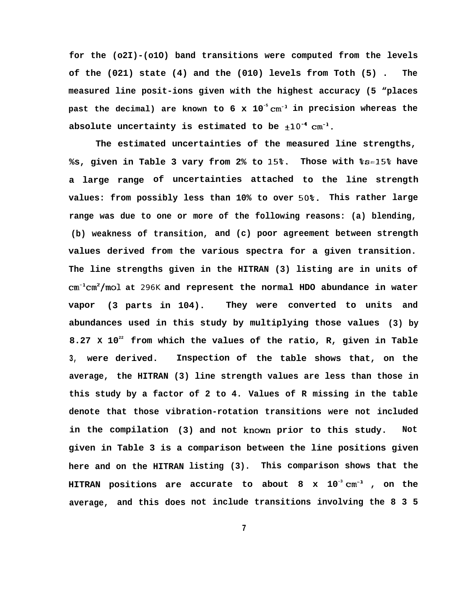**for the (o2I)-(o1O) band transitions were computed from the levels of the (021) state (4) and the (010) levels from Toth (5) . The measured line posit-ions given with the highest accuracy (5 "places past the decimal) are known to 6 x 10-5 cm-l in precision whereas the** absolute uncertainty is estimated to be  $\pm 10^{-4}$  cm<sup>-1</sup>.

**The estimated uncertainties of the measured line strengths, %s, given in Table 3 vary from 2% to 15%. Those with %s=15% have a large range of uncertainties attached to the line strength values: from possibly less than 10% to over 50%- This rather large range was due to one or more of the following reasons: (a) blending, (b) weakness of transition, and (c) poor agreement between strength values derived from the various spectra for a given transition. The line strengths given in the HITRAN (3) listing are in units of cm-lcm2/mol at** 296K **and represent the normal HDO abundance in water vapor (3 parts in 104). They were converted to units and abundances used in this study by multiplying those values (3) by 8.27 X 10<sup>22</sup> from which the values of the ratio, R, given in Table 3, were derived. Inspection of the table shows that, on the average, the HITRAN (3) line strength values are less than those in this study by a factor of 2 to 4. Values of R missing in the table denote that those vibration-rotation transitions were not included in the compilation (3) and not known prior to this study. Not given in Table 3 is a comparison between the line positions given here and on the HITRAN listing (3). This comparison shows that the HITRAN positions are accurate to about 8 x 10-3 cm-l , on the average, and this does not include transitions involving the 8 3 5**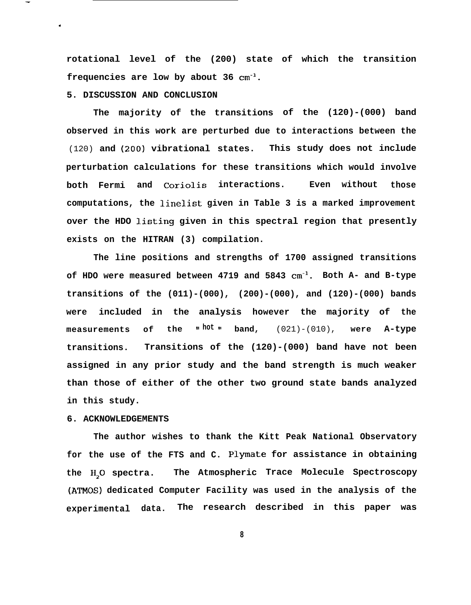**rotational level of the (200) state of which the transition frequencies are low by about 36 cm-l.**

#### **5. DISCUSSION AND CONCLUSION**

—

 $\epsilon$ 

**The majority of the transitions of the (120)-(000) band observed in this work are perturbed due to interactions between the** (120) **and (2oO) vibrational states. This study does not include perturbation calculations for these transitions which would involve both Fermi and Coriolis interactions. Even without those computations, the linelist given in Table 3 is a marked improvement over the HDO ].isting given in this spectral region that presently exists on the HITRAN (3) compilation.**

**The line positions and strengths of 1700 assigned transitions of HDO were measured between 4719 and 5843 cm-l. Both A- and B-type transitions of the (011)-(000), (200)-(000), and (120)-(000) bands were included in the analysis however the majority of the measurements of the II hot II band,** (021)-(010), **were A-type transitions. Transitions of the (120)-(000) band have not been assigned in any prior study and the band strength is much weaker than those of either of the other two ground state bands analyzed in this study.**

### **6. ACKNOWLEDGEMENTS**

**for the use of the FTS and C. Plymate for assistance in obtaining** the H<sub>2</sub>O spectra. **The author wishes to thank the Kitt Peak National Observatory** The Atmospheric Trace Molecule Spectroscopy **(ATMOS) dedicated Computer Facility was used in the analysis of the experimental data. The research described in this paper was**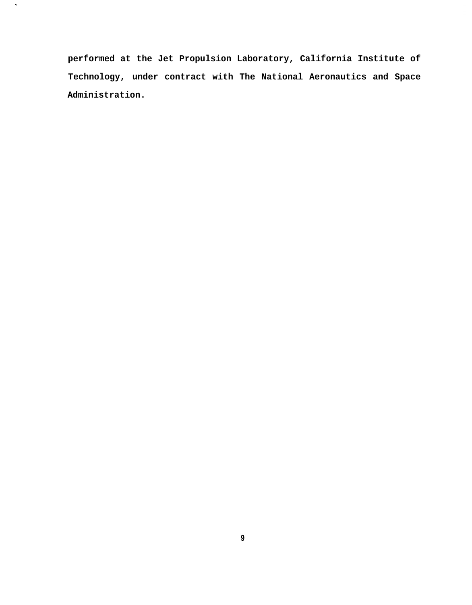**performed at the Jet Propulsion Laboratory, California Institute of Technology, under contract with The National Aeronautics and Space Administration.**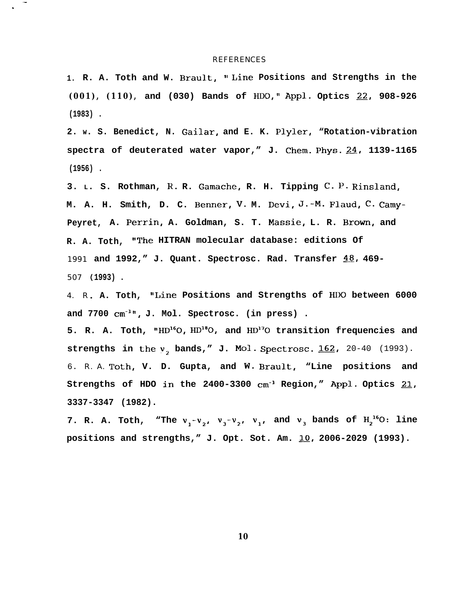#### **REFERENCES**

— .

> **1. R. A. Toth and W. Brault, 'i Line Positions and Strengths in the (001), (110) , and (030) Bands of HDO," Appl. Optics Z?, 908-926 (1983) .**

> **2. W. S. Benedict, N. Gailar, and E. K. Plyler, "Rotation-vibration** spectra of deuterated water vapor," J. Chem. Phys. 24, 1139-1165 **(1956) .**

**3. L. S. Rothman, R. R. Gamache, R. H. Tipping C- P. Rinsland, M. A. H. Smith, D. C. Benner, V. M. Devi, J.-M. Flaud, C. CamY-Peyret, A. Perrin, A. Goldman, S. T. Massie, L. R. Brown, and R. A. Toth, ItThe HITRAN molecular database: editions Of** 1991 and 1992," J. Quant. Spectrosc. Rad. Transfer  $48$ , 469-507 **1993) .**

4. R **A. Toth, "Line Positions and Strengths of HDO between 6000 and 7700 cm-l", J. Mol. Spectrosc. (in press) .**

**5. R. A. Toth, "HD'GO, HD'60, and HD170 transition frequencies and strengths in the**  $v<sub>2</sub>$  **bands," J. Mol. Spectrosc. 162, 20-40 (1993).** 6. R. A. **Toth, V. D. Gupta, and W. Brault, "Line positions and** Strengths of HDO in the 2400-3300  $cm^{-1}$  Region," Appl. Optics 21, **3337-3347 (1982).**

7. R. A. Toth, "The  $v_1 - v_2$ ,  $v_3 - v_2$ ,  $v_1$ , and  $v_3$  bands of  $H_2^{16}O$ : line positions and strengths," J. Opt. Sot. Am. 10, 2006-2029 (1993).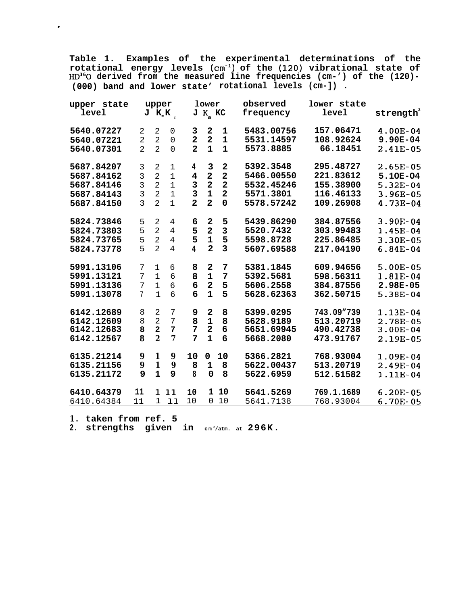**Table 1. Examples of the experimental determinations of the rotational energy levels (cm-l) of the (120) vibrational state of HD'GO derived from the measured line frequencies (cm-') of the (120)- (000) band and lower state' rotational levels (cm-]) .**

| upper state<br>level     |                                  | upper                            | $J K_K$                         |                                           | lower<br>$J K$ <sub>a</sub> KC |                         | observed<br>frequency    | lower state<br>level   | $\texttt{strength}^2$  |
|--------------------------|----------------------------------|----------------------------------|---------------------------------|-------------------------------------------|--------------------------------|-------------------------|--------------------------|------------------------|------------------------|
| 5640.07227               | 2                                | 2                                | $\mathbf 0$                     | 3                                         | 2<br>$\overline{\mathbf{2}}$   | 1<br>$\mathbf{1}$       | 5483.00756<br>5531.14597 | 157.06471<br>108.92624 | 4.00E-04<br>$9.90E-04$ |
| 5640.07221<br>5640.07301 | $\overline{a}$<br>$\overline{2}$ | $\overline{2}$<br>$\overline{2}$ | $\mathsf{O}\xspace$<br>$\Omega$ | $\overline{\mathbf{2}}$<br>$\overline{2}$ | $\mathbf{1}$                   | $\mathbf{1}$            | 5573.8885                | 66.18451               | 2.41E-05               |
| 5687.84207               | 3                                | $\overline{a}$                   | 1                               | 4                                         | 3                              | 2                       | 5392.3548                | 295.48727              | $2.65E-05$             |
| 5687.84162               | 3                                | $\overline{2}$                   | $1\,$                           | 4                                         | $\mathbf{2}$                   | $\overline{\mathbf{2}}$ | 5466.00550               | 221.83612              | 5.10E-04               |
| 5687.84146               | 3                                | $\overline{2}$                   | $\mathbf 1$                     | 3                                         | $\overline{\mathbf{2}}$        | $\overline{\mathbf{2}}$ | 5532.45246               | 155.38900              | 5.32E-04               |
| 5687.84143               | $\overline{3}$                   | $\overline{2}$                   | $\mathbf{1}$                    | $\overline{3}$                            | $\overline{\mathbf{1}}$        | $\overline{2}$          | 5571.3801                | 116.46133              | $3.96E-05$             |
| 5687.84150               | $\overline{3}$                   | $\overline{2}$                   | $\mathbf{1}$                    | $\overline{2}$                            | $\overline{2}$                 | $\mathbf 0$             | 5578.57242               | 109.26908              | $4.73E-04$             |
| 5824.73846               | 5                                | 2                                | 4                               | 6                                         | $\mathbf{2}$                   | 5                       | 5439.86290               | 384.87556              | 3.90E-04               |
| 5824.73803               | 5                                | $\overline{2}$                   | $\overline{4}$                  | 5                                         | $\overline{\mathbf{2}}$        | $\mathbf{3}$            | 5520.7432                | 303.99483              | 1.45E-04               |
| 5824.73765               | 5                                | $\overline{2}$                   | $\overline{4}$                  | 5                                         | 1                              | 5                       | 5598.8728                | 225.86485              | $3.30E-05$             |
| 5824.73778               | 5                                | $\mathfrak{D}$                   | $\overline{4}$                  | 4                                         | $\overline{2}$                 | $\overline{3}$          | 5607.69588               | 217.04190              | $6.84E-04$             |
| 5991.13106               | 7                                | $\mathbf{1}$                     | 6                               | 8                                         | $\mathbf{2}$                   | 7                       | 5381.1845                | 609.94656              | $5.00E-05$             |
| 5991.13121               | 7                                | $\mathbf{1}$                     | $6\overline{6}$                 | 8                                         | $\mathbf 1$                    | $\overline{7}$          | 5392.5681                | 598.56311              | $1.81E-04$             |
| 5991.13136               | 7                                | $\mathbf{1}$                     | 6                               | 6                                         | $\overline{\mathbf{2}}$        | 5                       | 5606.2558                | 384.87556              | $2.98E - 05$           |
| 5991.13078               | $7\phantom{.}$                   | $\mathbf{1}$                     | 6                               | 6                                         | $\overline{1}$                 | 5                       | 5628.62363               | 362.50715              | 5.38E-04               |
| 6142.12689               | 8                                | $\sqrt{2}$                       | 7                               | 9                                         | $\mathbf{2}$                   | 8                       | 5399.0295                | 743.09"739             | 1.13E-04               |
| 6142.12609               | 8                                | $\overline{2}$                   | 7                               | 8                                         | 1                              | 8                       | 5628.9189                | 513.20719              | 2.78E-05               |
| 6142.12683               | 8                                | $\overline{a}$                   | 7                               | 7                                         | $\overline{\mathbf{2}}$        | 6                       | 5651.69945               | 490.42738              | $3.00E-04$             |
| 6142.12567               | 8                                | $\overline{2}$                   | $\overline{7}$                  | 7                                         | $\mathbf{1}$                   | 6                       | 5668.2080                | 473.91767              | $2.19E-05$             |
| 6135.21214               | $\boldsymbol{9}$                 | 1                                | 9                               | 10                                        | 0                              | 10                      | 5366.2821                | 768.93004              | 1.09E-04               |
| 6135.21156               | $\boldsymbol{9}$                 | $\mathbf{1}$                     | $\boldsymbol{9}$                | 8                                         | $\mathbf 1$                    | 8                       | 5622.00437               | 513.20719              | 2.49E-04               |
| 6135.21172               | 9                                | $\mathbf{1}$                     | 9                               | 8                                         | $\mathbf 0$                    | 8                       | 5622.6959                | 512.51582              | 1.11E-04               |
| 6410.64379               | 11                               |                                  | 1 11                            | 10                                        |                                | 1 10                    | 5641.5269                | 769.1.1689             | $6.20E-05$             |
| 6410.64384               | 11                               | $\mathbf{1}$                     | 11                              | 10                                        | 0                              | 10                      | 5641.7138                | 768.93004              | 6.70E-05               |

**1 . taken from ref. 5**

?

**2. strengths given in <sup>c</sup> <sup>m</sup> -2/atm. at 296K.**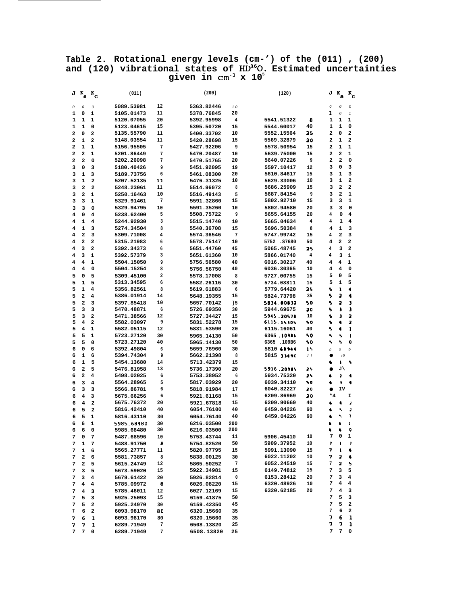#### **Table 2. Rotational energy levels (cm-') of the (011) , (200)** and (120) vibrational states of  $HD^{16}O$ . Estimated uncertainties **given in cm-l x 10<sup>5</sup>**

|   | $J K_a$ | $\mathbf{K}_{_{\mathbf{C}}}$ | (011)      |    | (200)      |                         | (120)      |                |    | $J K_a$ | $\mathbf{r}_{\mathbf{c}}$ |
|---|---------|------------------------------|------------|----|------------|-------------------------|------------|----------------|----|---------|---------------------------|
| 0 | ο       | ο                            | 5089.53981 | 12 | 5363.82446 | 10                      |            | о              |    | 0       | о                         |
| 1 | 0       | 1                            | 5105.01473 | 11 | 5378.76845 | 20                      |            | ı              |    | 0       | $\mathbf{1}$              |
| 1 | 1       | 1                            | 5120.07055 | 20 | 5392.95998 | $\overline{\mathbf{4}}$ | 5541.51322 | 8<br>1         |    | 1       | 1                         |
| 1 | 1       | 0                            | 5123.04615 | 15 | 5395.50720 | 15                      | 5544.60017 | 40<br>1        |    | 1       | 0                         |
| 2 | 0       | 2                            | 5135.55790 | 11 | 5400.33702 | 10                      | 5552.15564 | 25<br>2        |    | 0       | 2                         |
| 2 | 1       | 2                            | 5148.03554 | 11 | 5420.28698 | 15                      | 5569.32879 | 2<br>20        |    | 1       | 2                         |
| 2 | 1       | 1                            | 5156.95505 | 7  | 5427.92206 | 9                       | 5578.50954 | 2<br>15        |    | 1       | 1                         |
| 2 | 2       | 1                            | 5201.86449 | 7  | 5470.20487 | 10                      | 5639.75000 | 15<br>2        |    | 2       | 1                         |
| 2 | 2       | 0                            | 5202.26098 | 7  | 5470.51765 | 20                      | 5640.07226 | 9<br>2         |    | 2       | 0                         |
| з | 0       | 3                            | 5180.40426 | 9  | 5451.92095 | 19                      | 5597.10417 | 12<br>з        |    | 0       | 3                         |
| з | 1       | 3                            | 5189.73756 | 6  | 5461.08300 | 20                      | 5610.84617 | 15<br>з        |    | 1       | з                         |
| з | 1       | 2                            | 5207.52135 | 11 | 5476.31325 | 10                      | 5629.33006 | 10<br>з        |    | 1       | 2                         |
| з | 2       | $\mathbf{2}$                 | 5248.23061 | 11 | 5514.96072 | 8                       | 5686.25909 | 15<br>з        |    | 2       | $\overline{\mathbf{2}}$   |
| з | 2       | 1                            | 5250.16463 | 10 | 5516.49143 | 5                       | 5687.84154 | 9<br>з         |    | 2       | 1                         |
| з | 3       | 1                            | 5329.91461 | 7  | 5591.32860 | 15                      | 5802.92710 | з<br>15        |    | 3       | 1                         |
| з | 3       | 0                            | 5329.94795 | 10 | 5591.35260 | 10                      | 5802.94580 | з<br>20        |    | 3       | 0                         |
| 4 | 0       | 4                            | 5238.62400 | 5  | 5508.75722 | 9                       | 5655.64155 | 4<br>20        |    | 0       | 4                         |
| 4 | 1       | 4                            | 5244.92930 | 3  | 5515.14740 | 10                      | 5665.04634 | 4<br>4         |    | 1       | 4                         |
| 4 | 1       | 3                            | 5274.34504 | 8  | 5540.36708 | 15                      | 5696.50384 | 8<br>4         |    | 1       | 3                         |
| 4 | 2       | з                            | 5309.71008 | 4  | 5574.36546 | 7                       | 5747.99742 | 4<br>15        |    | 2       | з                         |
| 4 | 2       | 2                            | 5315.21983 | 6  | 5578.75147 | 10                      | 5752.S7680 | 4<br>50        |    | 2       | 2                         |
| 4 | 3       | 2                            | 5392.34373 | 6  | 5651.44760 | 45                      | 5065.48745 | 25<br>4        |    | з       | 2                         |
| 4 | 3       | 1                            | 5392.57379 | 3  | 5651.61360 | 10                      | 5866.01740 | 4<br>4         |    | з       | 1                         |
| 4 | 4       | 1                            | 5504.15050 | 9  | 5756.56580 | 40                      | 6016.30217 | 40<br>4        |    | 4       | 1                         |
| 4 | 4       | 0                            | 5504.15254 | 8  | 5756.56750 | 40                      | 6036.30365 | 10<br>4        |    | 4       | 0                         |
| 5 | 0       | 5                            | 5309.45100 | 2  | 5578.17008 | 8                       | 5727.00755 | 5<br>15        |    | 0       | 5                         |
| 5 | 1       | 5                            | 5313.34595 | 6  | 5582.26116 | 30                      | 5734.08811 | 15<br>5        |    | 1       | 5                         |
| 5 | 1       | 4                            | 5356.82561 | 8  | 5619.61883 | 6                       | 5779.64420 | 5<br>25        |    | 1       | 4                         |
| 5 | 2       | 4                            | 5386.01914 | 14 | 5648.19355 | 15                      | 5824.73798 | 5<br>35        |    | 2       | 4                         |
| 5 | 2       | 3                            | 5397.85418 | 10 | 5657.70142 | ) 5                     | 5834.00032 | 5<br>50        |    | 2       | з                         |
| 5 | з       | з                            | 5470.48871 | 6  | 5726.69350 | 30                      | 5944.69675 | 20<br>5        |    | з       | 3                         |
| 5 | 3       | 2                            | 5471.38566 | 12 | 5727.34427 | 15                      | 5945.20578 | 10<br>Ł        |    | э       | 2                         |
| 5 | 4       | 2                            | 5582.03097 | 9  | 5831.52278 | 15                      | 6115.15305 | 50<br>5        |    | ٠       | 2                         |
| 5 | 4       | 1                            | 5582.05115 | 12 | 5831.53590 | 20                      | 6115.16061 | 40<br>۰,       |    | ٠       | ı                         |
| 5 | 5       | 1                            | 5723.27120 | 30 | 5965.14130 | 50                      | 6365.10986 | 50<br>۹,       |    | ٩       | 1                         |
| 5 | 5       | $\mathbf 0$                  | 5723.27120 | 40 | 5965.14130 | 50                      | 6365.109B6 | ۰<br>50        |    | ۰       | c                         |
| 6 | 0       | 6                            | 5392.49804 | 6  | 5659.76960 | 30                      | 5810 68944 | 15<br>b        |    | o       | b                         |
| 6 | 1       | 6                            | 5394.74304 | 9  | 5662.21398 | 8                       | 5815 33490 | $\mathbf{J}$ l |    | 16      |                           |
| 6 | 1       | 5                            | 5454.13680 | 14 | 5713.42379 | 15                      |            | ٠              |    | ١       | ۰,                        |
| 6 | 2       | 5                            | 5476.81958 | 13 | 5736.17390 | 20                      | 5916.20985 | 25             |    | J١      |                           |
| 6 | 2       | 4                            | 5498.02025 | 6  | 5753.38952 | 6                       | 5934.75320 | 25<br>٠        |    | ð       | ٠                         |
| 6 | 3       | 4                            | 5564.28965 | 5  | 5817.03929 | 20                      | 6039.34110 | 70             |    | ۰       | ٠                         |
| 6 | з       | з                            | 5566.86781 | 6  | 5818.91984 | 17                      | 6040.82227 | 20             |    | IV      |                           |
| 6 | 4       | з                            | 5675.66256 | 6  | 5921.61168 | 15                      | 6209.86969 | 20             | *4 |         | I                         |
| 6 | 4       | $\overline{\mathbf{2}}$      | 5675.76372 | 20 | 5921.67818 | 15                      | 6209.90669 | 40<br>e.       |    | ٠       | ð                         |
| 6 | 5       | $\overline{\mathbf{2}}$      | 5816.42410 | 40 | 6054.76100 | 40                      | 6459.04226 | 60             |    | ٩       | J                         |
| 6 | 5       | 1                            | 5816.43110 | 30 | 6054.76140 | 40                      | 6459.04226 | 60<br>۵        |    | ۰.      | ı                         |
| 6 | 6       | 1                            | 5985.68480 | 30 | 6216.03500 | 200                     |            |                |    |         | ı                         |
| 6 | 6       | 0                            | 5985.68480 | 30 | 6216.03500 | 200                     |            | 6              |    | ٠       | ¢                         |
| 7 | 0       | 7                            | 5487.68596 | 10 | 5753.43744 | 11                      | 5906.45410 | 7<br>10        |    | 0       | 1                         |
| 7 | 1       | 7                            | 5488.91750 | 8  | 5754.82520 | 50                      | 5909.37952 | 10<br>7        |    | ı       | ,                         |
| 7 | 1       | 6                            | 5565.27771 | 11 | 5820.97795 | 15                      | 5991.13090 | 15<br>7        |    | ı       | ٠                         |
| 7 | 2       | 6                            | 5581.73857 | 8  | 5838.00125 | 30                      | 6022.11202 | 10<br>7        |    | 2       | ٠                         |
| 7 | 2       | 5                            | 5615.24749 | 12 | 5865.50252 | 7                       | 6052.24519 | 15<br>7        |    | 2       | 5                         |
| 7 | з       | 5                            | 5673.59020 | 15 | 5922.34981 | 15                      | 6149.74812 | 15<br>7        |    | з       | 5                         |
| 7 | з       | 4                            | 5679.61422 | 20 | 5926.82814 | 0                       | 6153.28412 | 20<br>7        |    | з       | 4                         |
| 7 | 4       | 4                            | 5785.09972 | 8  | 6026.08220 | 15                      | 6320.48926 | 10<br>7        |    | 4       | 4                         |
| 7 | 4       | з                            | 5785.46011 | 12 | 6027.12169 | 15                      | 6320.62185 | 20<br>7        |    | 4       | з                         |
| 7 | 5       | 3                            | 5925.25093 | 15 | 6159.41875 | 50                      |            | 7              |    | 5       | з                         |
| 7 | 5       | 2                            | 5925.24970 | 30 | 6159.42350 | 45                      |            | 7              |    | 5       | 2                         |
| 7 | 6       | 2                            | 6093.98170 | 80 | 6320.15660 | 35                      |            | 7              |    | 6       | 2                         |
| 7 | 6       | 1                            | 6093.98170 | 80 | 6320.15660 | 35                      |            | 7              |    | 6       | 1                         |
| 7 | 7       | 1                            | 6289.71949 | 7  | 6508.13820 | 25                      |            | 7              |    | 7       | 1                         |
| 7 | 7       | 0                            | 6289.71949 | 7  | 6508.13820 | 25                      |            | 7              |    | 7       | 0                         |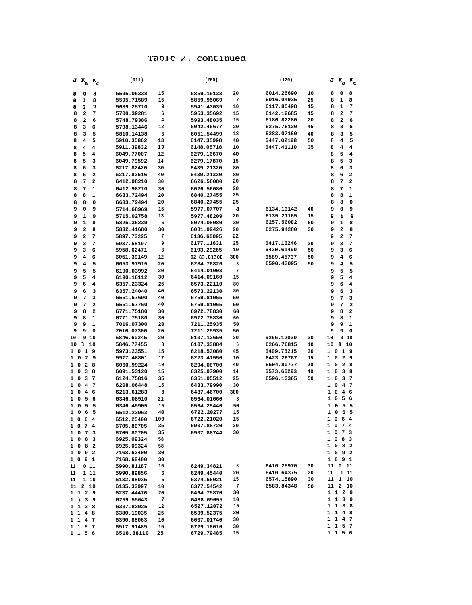|                          | $J K_a K_c$    |                | (011)                    |           | (200)                    |                     | (120)      |    |              | $J K_a K_c$                  |                |
|--------------------------|----------------|----------------|--------------------------|-----------|--------------------------|---------------------|------------|----|--------------|------------------------------|----------------|
| 8                        | 0              | 8              | 5595.06338               | 15        | 5859.19133               | 20                  | 6014.25690 | 10 | 8            | 0                            | 8              |
| 8                        | ı              | 8              | 5595.71589               | 15        | 5859.95069               | 7                   | 6016.04935 | 25 | 8            | 1                            | 8              |
| 8                        | 1              | 7              | 5689.25710               | 9         | 5941.43039               | 10                  | 6117.85498 | 15 | 8            | 1                            | 7              |
| 8                        | 2              | 7              | 5700.39281               | 6         | 5953.35692               | 15                  | 6142.12685 | 15 | 8            | 2                            | 7              |
| 8                        | 2              | 6              | 5748.79386               | 4         | 5993.48035               | 15                  | 6186.82280 | 20 | 8            | 2                            | 6              |
| 8                        | 3              | 6              | 5798.13446               | 12        | 6042.46677               | 20                  | 6275.76120 | 45 | 8            | з                            | 6              |
| 8                        | 3              | 5              | 5810.14138               | 5         | 6051.54499               | 18                  | 6283.07160 | 40 | 8            | з                            | 5              |
| 8                        | 4              | 5              | 5910.35862               | 13        | 6147.35998               | 40                  | 6447.02198 | 50 | 8            | 4                            | 5              |
| 8                        | 4              | 4              | 5911.39832               | 17        | 6148.05718               | 10                  | 6447.41110 | 35 | 8            | 4                            | 4              |
| 8                        | 5              | 4              | 6049.77007               | 12        | 6279.16670               | 40                  |            |    | 8            | 5                            | 4              |
| 8                        | 5              | з              | 6049.79592               | 14        | 6279.17870               | 15                  |            |    | 8            | 5                            | 3              |
| 8                        | 6              | 3              | 6217.82420               | 30        | 6439.21320               | 80                  |            |    | 8            | 6                            | 3              |
| 8                        | 6              | $\mathbf{2}$   | 6217.82516               | 40        | 6439.21320               | 80                  |            |    | 8            | 6                            | $\overline{a}$ |
| 8                        | 7              | $\overline{a}$ | 6412.98210               | 30        | 6626.56080               | 20                  |            |    | 8            | 7                            | $\overline{a}$ |
| 8                        | 7              | 1              | 6412.98210               | 30        | 6626.56080               | 20                  |            |    | 8            | 7                            | 1              |
| 8                        | 8              | 1              | 6633.72494               | 20        | 6840.27455               | 25                  |            |    | 8            | 8                            | 1              |
| 8                        | 8              | 0              | 6633.72494               | 20        | 6840.27455               | 25                  |            |    | 8            | 8                            | 0              |
| 9                        | 0              | 9              | 5714.68969               | 15        | 5977.07707               | 8                   | 6134.13142 | 40 | 9            | 0                            | 9              |
| 9                        | 1              | 9              | 5715.02758               | 13        | 5977.48209               | 20                  | 6135.21165 | 15 | 9            | 1                            | 9              |
| 9                        | 1              | 8              | 5825.35239               | 6         | 6074.08080               | 30                  | 6257.56082 | 60 | 9            | ı                            | 8              |
| 9                        | 2              | 8              | 5832.41680               | 30        | 6081.92426               | 20                  | 6275.94280 | 30 | 9            | 2                            | 8              |
| 9                        | 2              | 7              | 5897.73225               | 7         | 6136.60095               | 22                  |            |    | 9            | 2                            | 7              |
| 9                        | 3              | 7              | 5937.58197               | 9         | 6177.11631               | 25                  | 6417.16246 | 20 | 9            | з                            | 7              |
| 9                        | з              | 6              | 5958.62471               | 8         | 6193.29265               | 10                  | 6430.61490 | 50 | 9            | з                            | 6              |
| 9                        | 4              | 6              | 6051.39149               | 12        | 62 83.01300              | 300                 | 6589.45737 | 50 | 9            | 4                            | 6              |
| 9                        | 4              | 5              | 6053.97915               | 20        | 6284.76826               | 8<br>$\overline{7}$ | 6590.43095 | 50 | 9            | 4                            | 5              |
| 9<br>9                   | 5<br>5         | 5<br>4         | 6190.03992               | 20<br>30  | 6414.01003<br>6414.09160 | 15                  |            |    | 9<br>9       | 5<br>5                       | 5<br>4         |
| 9                        | 6              | 4              | 6190.16112<br>6357.23324 | 25        | 6573.22110               | 80                  |            |    | 9            | 6                            | 4              |
| 9                        | 6              | з              | 6357.24040               | 40        | 6573.22130               | 80                  |            |    | 9            | 6                            | 3              |
| 9                        | 7              | 3              | 6551.67690               | 40        | 6759.81065               | 50                  |            |    | 9            | 7                            | 3              |
| 9                        | 7              | 2              | 6551.67760               | 40        | 6759.81065               | 50                  |            |    | 9            | 7                            | $\overline{a}$ |
| 9                        | 8              | $\mathbf{2}$   | 6771.75180               | 30        | 6972.78830               | 60                  |            |    | 9            | 8                            | 2              |
| 9                        | 8              | 1              | 6771.75180               | 30        | 6972.78830               | 60                  |            |    | 9            | 8                            | 1              |
| 9                        | 9              | 1              | 7016.07300               | 20        | 7211.25935               | 50                  |            |    | 9            | 9                            | 1              |
| 9                        | 9              | 0              | 7016.07300               | 20        | 7211.25935               | 50                  |            |    | 9            | 9                            | 0              |
| 10                       | 0              | 10             | 5846.60245               | 20        | 6107.12650               | 20                  | 6266.12030 | 30 | 10           | 0                            | 10             |
| 10                       | 1              | 10             | 5846.77455               | 8         | 6107.33884               | 6                   | 6266.76815 | 10 | 10           | 1                            | 10             |
| 10                       | 19             |                | 5973.23551               | 15        | 6218.53080               | 45                  | 6409.75215 | 30 | 1            | 19<br>0                      |                |
| 0<br>1                   |                | 29             | 5977.48801               | 17        | 6223.41550               | 10                  | 6423.26767 | 15 | 1            | $\overline{\mathbf{2}}$<br>0 | 9              |
| 0<br>1                   | 28             |                | 6060.99224               | 10        | 6294.00700               | 40                  | 6504.80777 | 20 | 1            | $\mathbf{2}$<br>0            | 8              |
| 0<br>1                   | 3 8            |                | 6091.53120               | 15        | 6325.97900               | 14                  | 6573.66293 | 40 | 1            | 0<br>3                       | 8              |
| 1<br>0                   | 3 <sub>7</sub> |                | 6124.75816               | 35        | 6351.95512               | 25                  | 6596.13365 | 50 | 1            | з<br>0                       | 7              |
| 1<br>0                   | 4              | $\overline{7}$ | 6208.06448               | 15        | 6433.79990               | 30                  |            |    | 1            | $\overline{\mathbf{4}}$<br>0 | 7              |
| $\mathbf{1}$<br>0        | 4              | - 6            | 6213.61283               | 8         | 6437.46700               | 300                 |            |    | 1            | $\mathbf 0$<br>4             | 6              |
| 1<br>0                   | 5              | 6              | 6346.08910               | 21        | 6564.01660               | 8                   |            |    | 1            | 5<br>0                       | 6              |
| $\mathbf{1}$<br>0<br>1 0 | 5              | 5              | 6346.45905               | 15<br>40  | 6564.25440               | 50<br>15            |            |    | 1<br>1       | 0<br>5<br>0<br>6             | 5<br>5         |
|                          | 6              | 5              | 6512.23963               |           | 6722.20277               | 15                  |            |    | $1\quad$     | - 6                          | $\overline{4}$ |
| $1\quad$                 | 6<br>1074      | 4              | 6512.25400<br>6705.80705 | 100<br>35 | 6722.21020<br>6907.88720 | 20                  |            |    |              | 1 0 7 4                      |                |
| 1<br>0                   | 7              | 3              | 6705.80705               | 35        | 6907.88744               | 30                  |            |    |              | 1 0 7 3                      |                |
| 0<br>1                   | 8              | з              | 6925.09324               | 58        |                          |                     |            |    |              | 1 0 8 3                      |                |
| $1\quad$                 | 8 2            |                | 6925.09324               | 58        |                          |                     |            |    |              | 1 0 8 2                      |                |
|                          | 1092           |                | 7168.62400               | 30        |                          |                     |            |    |              | 1092                         |                |
|                          | 1091           |                | 7168.62400               | 30        |                          |                     |            |    |              | 1091                         |                |
| 11                       | 011            |                | 5990.81187               | 15        | 6249.34821               | 8                   | 6410.25970 | 30 |              | 11 0 11                      |                |
| 11                       | 1 11           |                | 5990.89856               | 6         | 6249.45440               | 20                  | 6410.64375 | 20 | 11           | 1 11                         |                |
| 11                       | 1 10           |                | 6132.88035               | 5         | 6374.66021               | 15                  | 6574.15890 | 30 |              | 11 1 10                      |                |
| 11                       | 2 10           |                | 6135.33997               | 10        | 6377.54542               | 7                   | 6583.84348 | 50 |              | 11 2 10                      |                |
|                          | 1 1 2 9        |                | 6237.44476               | 20        | 6464.75870               | 30                  |            |    |              | 1 1 2 9                      |                |
| 1)                       |                | 3 <sub>9</sub> | 6259.55643               | 7         | 6488.69055               | 10                  |            |    |              | 1 1 3 9                      |                |
|                          | 1 1 3 8        |                | 6307.82925               | 12        | 6527.12072               | 15                  |            |    | 1            | 1<br>38                      |                |
|                          | 1 1 4 8        |                | 6380.19035               | 25        | 6599.52375               | 20                  |            |    | $\mathbf{1}$ | 1 4 8                        |                |
|                          | 1 1 4 7        |                | 6390.88063               | 10        | 6607.01740               | 30                  |            |    | 1            | $\mathbf{1}$<br>4.7          |                |
|                          | 1 1 5 7        |                | 6517.91489               | 15        | 6729.18610               | 30                  |            |    | $\mathbf{1}$ | 1 5 7                        |                |
|                          | 1 1 5 6        |                | 6518.88110               | 25        | 6729.79485               | 15                  |            |    |              | 1 1 5 6                      |                |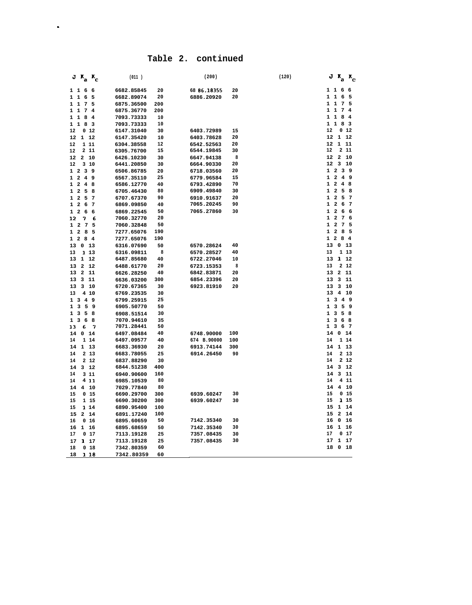| $J K_a K_c$                                                                   | (011)                    |           | (200)                    |          | (120) | $J K_a K_c$                                                                                                                                 |
|-------------------------------------------------------------------------------|--------------------------|-----------|--------------------------|----------|-------|---------------------------------------------------------------------------------------------------------------------------------------------|
| 11<br>- 6<br>6                                                                | 6682.85845               | 20        | 68 86.18355              | 20       |       | 11<br>66                                                                                                                                    |
| $1\quad1$<br>6<br>5                                                           | 6682.89074               | 20        | 6886.20920               | 20       |       | $\mathbf{1}$<br>1<br>6<br>-5                                                                                                                |
| $1\quad1$<br>7<br>5                                                           | 6875.36500               | 200       |                          |          |       | $\mathbf{1}$<br>1<br>$7\phantom{.0}$<br>5                                                                                                   |
| $1\quad1$<br>$7\phantom{.0}$<br>$\overline{\bf 4}$                            | 6875.36770               | 200       |                          |          |       | $\mathbf{1}$<br>1<br>7<br>$\overline{4}$                                                                                                    |
| $\mathbf{1}$<br>$\mathbf{1}$<br>8<br>$\overline{\bf 4}$                       | 7093.73333               | 10        |                          |          |       | $\mathbf{1}$<br>1<br>8<br>4                                                                                                                 |
| $\mathbf{1}$<br>8 3<br>$\mathbf{1}$                                           | 7093.73333               | 10        |                          |          |       | $\mathbf{1}$<br>8<br>1<br>$\overline{\mathbf{3}}$                                                                                           |
| 12<br>0 <sub>12</sub>                                                         | 6147.31040               | 30        | 6403.72989               | 15       |       | 0 <sub>12</sub><br>12                                                                                                                       |
| 12<br>1<br>12                                                                 | 6147.35420               | 10        | 6403.78628               | 20       |       | ${\bf 1}$<br>12<br>12                                                                                                                       |
| 1 1 1<br>12                                                                   | 6304.38558               | 12        | 6542.52563               | 20       |       | 12<br>$\mathbf{1}$<br>-11                                                                                                                   |
| 12<br>2 1 1                                                                   | 6305.76700               | 15        | 6544.19845               | 30       |       | 12<br>2 1 1                                                                                                                                 |
| 12<br>2, 10                                                                   | 6426.10230               | 30        | 6647.94138               | 8        |       | 2<br>12<br>10                                                                                                                               |
| 12<br>310                                                                     | 6441.20850               | 30        | 6664.90330               | 20       |       | 3<br>12<br>10                                                                                                                               |
| $1\quad2$<br>39                                                               | 6506.86785               | 20        | 6718.03560               | 20<br>15 |       | $\mathbf{1}$<br>$\overline{\mathbf{2}}$<br>$\overline{\mathbf{3}}$<br>9<br>$\overline{4}$<br>$\mathbf{1}$<br>$\overline{\mathbf{2}}$<br>- 9 |
| $1\quad2$<br>-49<br>$\overline{a}$                                            | 6567.35110               | 25        | 6779.96584               | 70       |       | $\mathbf{1}$<br>$\mathbf{2}$<br>$\overline{\mathbf{4}}$<br>8                                                                                |
| 1<br>$\overline{4}$<br>8<br>$\mathbf{1}$<br>$\overline{\mathbf{2}}$<br>5<br>8 | 6586.12770               | 40<br>80  | 6793.42890<br>6909.49840 | 30       |       | $\overline{\mathbf{2}}$<br>5<br>1<br>8                                                                                                      |
| $\overline{a}$<br>5<br>$\mathbf{1}$<br>7                                      | 6705.46430               | 90        | 6910.91637               | 20       |       | $\mathbf{2}$<br>1<br>5<br>7                                                                                                                 |
| $\mathbf{1}$<br>$\overline{a}$<br>7<br>- 6                                    | 6707.67370<br>6869.09850 | 40        | 7065.20245               | 90       |       | $\mathbf{1}$<br>$\overline{\mathbf{2}}$<br>6<br>7                                                                                           |
| $\overline{a}$<br>$\mathbf{1}$<br>6<br>6                                      | 6869.22545               | 50        | 7065.27860               | 30       |       | $\mathbf 2$<br>1<br>6<br>6                                                                                                                  |
| 7<br>6<br>12                                                                  | 7060.32770               | 20        |                          |          |       | $\overline{7}$<br>$\overline{\mathbf{2}}$<br>1<br>6                                                                                         |
| $7\phantom{.0}$<br>$\mathbf{1}$<br>$\overline{2}$<br>5                        | 7060.32848               | 50        |                          |          |       | $\mathbf{1}$<br>$\overline{\mathbf{2}}$<br>7<br>5                                                                                           |
| $1\quad2$<br>5<br>8                                                           | 7277.65076               | 190       |                          |          |       | $\mathbf 2$<br>$\mathbf{1}$<br>8<br>5                                                                                                       |
| $\overline{a}$<br>$\mathbf{1}$<br>8<br>$\overline{\mathbf{4}}$                | 7277.65076               | 190       |                          |          |       | $1\quad2$<br>8<br>$\overline{4}$                                                                                                            |
| 13<br>0<br>13                                                                 | 6316.07690               | 50        | 6570.28624               | 40       |       | 13<br>0<br>13                                                                                                                               |
| 13<br>113                                                                     | 6316.09811               | 8         | 6570.28527               | 40       |       | 13<br>1 13                                                                                                                                  |
| 13<br>1<br>12                                                                 | 6487.85680               | $40\,$    | 6722.27046               | 10       |       | 1<br>13<br>12                                                                                                                               |
| 13<br>$\overline{\mathbf{2}}$<br>12                                           | 6488.61770               | 20        | 6723.15353               | 8        |       | 2 1 2<br>13                                                                                                                                 |
| 13<br>$\overline{a}$<br>11                                                    | 6626.28250               | 40        | 6842.83871               | 20       |       | 13<br>$\overline{\mathbf{2}}$<br>11                                                                                                         |
| 311<br>13                                                                     | 6636.03200               | 300       | 6854.23396               | 20       |       | 13<br>3<br>11                                                                                                                               |
| 13<br>3<br>10                                                                 | 6720.67365               | 30        | 6923.81910               | 20       |       | 3<br>13<br>10                                                                                                                               |
| 13<br>4 10                                                                    | 6769.23535               | 30        |                          |          |       | 13<br>4<br>10                                                                                                                               |
| $\mathbf{1}$<br>$\overline{\mathbf{3}}$<br>-49                                | 6799.25915               | 25        |                          |          |       | $\mathbf{1}$<br>3<br>4<br>- 9                                                                                                               |
| 3<br>5<br>9<br>$\mathbf{1}$                                                   | 6905.50770               | 50        |                          |          |       | 3<br>5<br>9<br>$\mathbf{1}$                                                                                                                 |
| $\overline{\mathbf{3}}$<br>$\mathbf{1}$<br>5<br>8                             | 6908.51514               | 30        |                          |          |       | $\mathbf{1}$<br>3<br>5<br>8                                                                                                                 |
| $\mathbf{1}$<br>3<br>6<br>8                                                   | 7070.94610               | 35        |                          |          |       | 3<br>$\mathbf{1}$<br>6<br>8                                                                                                                 |
| 7<br>13<br>6                                                                  | 7071.28441               | 50        |                          |          |       | 3<br>$\overline{7}$<br>1<br>6                                                                                                               |
| 14<br>$\mathbf{0}$<br>14                                                      | 6497.08484               | 40        | 6748.90000               | 100      |       | 14<br>$\mathbf 0$<br>14                                                                                                                     |
| 14<br>1 14                                                                    | 6497.09577               | 40        | 674 B.90000              | 100      |       | 14<br>1 14                                                                                                                                  |
| 14<br>1113                                                                    | 6683.36930               | 20        | 6913.74144               | 300      |       | 14<br>1<br>13                                                                                                                               |
| 14<br>2 13                                                                    | 6683.78055               | 25        | 6914.26450               | 90       |       | 2 13<br>14                                                                                                                                  |
| 14<br>2 12                                                                    | 6837.88290               | 30        |                          |          |       | 2 1 2<br>14                                                                                                                                 |
| 14<br>3, 12                                                                   | 6844.51238               | 400       |                          |          |       | 14<br>3<br>12                                                                                                                               |
| 14<br>3 11                                                                    | 6940.90600               | 160       |                          |          |       | 3<br>14<br>11                                                                                                                               |
| 4 1 1<br>14                                                                   | 6985.10539               | 80        |                          |          |       | 14<br>11<br>4                                                                                                                               |
| 14<br>4 10<br>0 <sub>15</sub>                                                 | 7029.77840               | 80<br>300 |                          | 30       |       | 14<br>4<br>10<br>15<br>0<br>15                                                                                                              |
| 15<br>15<br>1 15                                                              | 6690.29700               | 300       | 6939.60247               | 30       |       | 15<br>1 15                                                                                                                                  |
| 15<br>1 14                                                                    | 6690.30200<br>6890.95400 | 100       | 6939.60247               |          |       | 15<br>$\mathbf{1}$<br>14                                                                                                                    |
| 15<br>2 14                                                                    | 6891.17240               | 100       |                          |          |       | 15<br>$\overline{a}$<br>14                                                                                                                  |
| 16<br>0 <sub>16</sub>                                                         | 6895.60659               | 50        | 7142.35340               | 30       |       | 0<br>16<br>16                                                                                                                               |
| 1 16<br>16                                                                    | 6895.68659               | 50        | 7142.35340               | 30       |       | $\mathbf{1}$<br>16<br>16                                                                                                                    |
| 17<br>017                                                                     | 7113.19128               | 25        | 7357.08435               | 30       |       | 17<br>0<br>17                                                                                                                               |
| 1 17<br>17                                                                    | 7113.19128               | 25        | 7357.08435               | 30       |       | $\mathbf{1}$<br>17<br>17                                                                                                                    |
| 18<br>0 <sub>18</sub>                                                         | 7342.80359               | 60        |                          |          |       | 18<br>0<br>18                                                                                                                               |
| 1 18<br>18                                                                    | 7342.80359               | 60        |                          |          |       |                                                                                                                                             |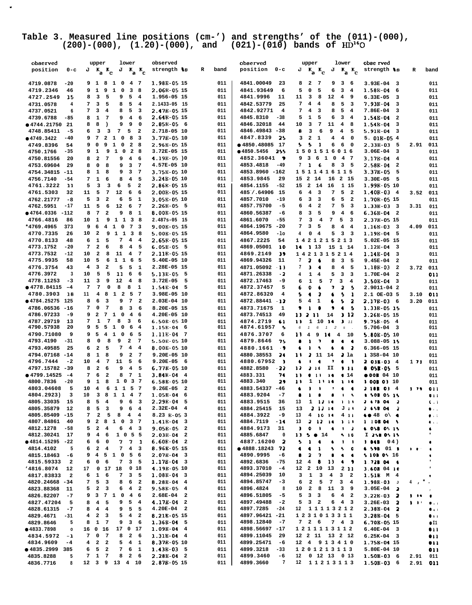# Table 3. Measured line positions (cm-') and strengths' of the  $(011)-(000)$ ,<br>(200)-(000), (1.20)-(000), and (021)-(010) bands of  $\text{HD}^{16}O$

 $\sim$ 

| observed            |                                 | upper                                              | lower                                          | observed                                |   |      | observed                     | upper                                        | lower                                                    | obse rved                             |              |                                |
|---------------------|---------------------------------|----------------------------------------------------|------------------------------------------------|-----------------------------------------|---|------|------------------------------|----------------------------------------------|----------------------------------------------------------|---------------------------------------|--------------|--------------------------------|
| position            | $0 - c$                         | $J K_{\rm a} K_{\rm c}$                            | $K_a K_c$<br>J                                 | strength +s                             | R | band | position<br>$0 - c$          | J<br>$K_a K_c$                               | $K_a K_c$<br>J                                           | strength 18                           | R            | band                           |
|                     |                                 |                                                    |                                                |                                         |   |      |                              |                                              |                                                          |                                       |              |                                |
| 4719.0878           | $-20$                           | 9 1 8 1 0                                          | 4. 7                                           | 1.98E-05 15                             |   | 011  | 4841.00049<br>23             | $\overline{a}$<br>$\overline{7}$<br>8        | 9<br>3 <sub>6</sub>                                      | $3.93E-04$ 3                          |              | 011                            |
|                     | 9                               | 9<br>$\mathbf{1}$                                  | 8                                              | 2.06R-05 15                             |   | 011  |                              | 5                                            | 3                                                        |                                       |              |                                |
| 4719.2346           | 46                              | 1                                                  | 0<br>3                                         |                                         |   |      | 4841.93649<br>6              | 0<br>5                                       | 6<br>$\overline{4}$                                      | 1.58E-04<br>6                         |              | 011                            |
| 4727.2549           | 15<br>8                         | 3<br>5                                             | 5<br>9<br>$\overline{\mathbf{4}}$              | 1.956-05 15                             |   | 011  | 4841.9996<br>11              | 11<br>3<br>8                                 | 12<br>$\overline{4}$<br>9                                | $6.33E-05$<br>3                       |              | 011                            |
| 4731.0578           | 7<br>4                          | 3<br>5                                             | 5<br>8<br>$\overline{\mathbf{4}}$              | 2.1433-05 15                            |   | 011  | 4842.53779<br>25             | 7<br>$\overline{\mathbf{4}}$<br>4            | 5<br>8<br>3                                              | 7.93B-04<br>3                         |              | 011                            |
| 4737.0521           | 6<br>7                          | з<br>4                                             | 5<br>8<br>$\overline{\mathbf{3}}$              | 2.478-05 15                             |   | 011  | 4842.92771<br>4              | 7<br>4<br>3                                  | 8<br>5<br>$\overline{4}$                                 | 7.86E-04<br>3                         |              | 011                            |
| 4739.6788           | $-85$<br>8                      | 1<br>7                                             | 9<br>4<br>6                                    | 2.648-05 15                             |   | 011  | 4845.8310<br>$-38$           | 5<br>1<br>5                                  | 3<br>6<br>4                                              | 1.54B-04<br>$\overline{a}$            |              | 011                            |
| ● 4744.21750 21     | 8                               | 8<br>$\lambda$                                     | 9<br>9<br>$\mathbf 0$                          | $2.85E-056$                             |   | 011  | 4846.32018<br>44             | 3<br>7<br>10                                 | 11<br>4<br>8                                             | 1.54B-04<br>з                         |              |                                |
|                     |                                 |                                                    |                                                |                                         |   |      |                              |                                              |                                                          |                                       |              | 011                            |
| 4748.85411          | 6<br>-5                         | з<br>3                                             | 7<br>5<br>$\overline{\mathbf{2}}$              | 2.718-05 10                             |   | 011  | 4846.49843 -38               | 8<br>з<br>6                                  | 9<br>4<br>5                                              | 5.91B-04<br>-3                        |              | 011                            |
| ● 4749.3422         | 9<br>-40                        | 7<br>$\overline{a}$<br>$\mathbf{1}$                | $\mathbf 0$<br>8<br>- 3                        | 3.77E-05 10                             |   | 011  | 4847.8339<br>-25             | 3<br>$\mathbf{2}$<br>1                       | 4<br>$\overline{4}$<br>0                                 | 5. 01B-05 4                           |              | 011                            |
| 4749.8396           | 9<br>54                         | $\mathbf 0$<br>9<br>1                              | $\mathbf 0$<br>$\overline{2}$<br>8             | 2.96B-05 15                             |   | 011  | ● 4850.48085 17              | 1<br>5<br>s                                  | 6<br>6<br>0                                              | 2.33B-03<br>5                         | 2.91         | 011                            |
| 4750.1766           | $-35$                           | 1<br>9<br>1<br>9                                   | $\overline{\mathbf{0}}$<br>2 8                 | 3.72E-05 15                             |   | 011  | ● 4850.5456<br>255           | 1501516016                                   |                                                          | $3.06E-04$<br>$\overline{\mathbf{3}}$ |              | 011                            |
| 4750.81556          | 20<br>8                         | $\mathbf{2}$<br>7                                  | 9<br>$\overline{\mathbf{4}}$<br>6              | $4.19E-05$ )0                           |   | 011  | 4852.36041<br>$\bullet$      | 3<br>- 6<br>$\mathbf{1}$<br>9                | $\overline{\mathbf{0}}$<br>4 7                           | 3.17B-04<br>$\overline{\mathbf{4}}$   |              | 011                            |
|                     | 8                               | 0<br>8                                             | 3<br>$\overline{7}$                            | 4.57E-05 10                             |   | 011  | 4853.4818<br>-49             | 7<br>-6<br>1                                 | 8<br>3<br>5                                              | 2.58E-04<br>$\overline{\mathbf{2}}$   |              |                                |
| 4753.69604          | 29                              |                                                    | 9                                              |                                         |   |      |                              |                                              |                                                          |                                       |              | 011                            |
| 4754.34815 -11      | 8                               | 1<br>8                                             | 9<br>3<br>$\overline{7}$                       | 3.758-05 10                             |   | 011  | 4853.8960 -162               | 1511416115                                   |                                                          | 3.37E-05<br>5                         |              | 011                            |
| 4756.7140           | 7<br>-54                        | 1<br>6                                             | $\overline{\mathbf{4}}$<br>5<br>8              | $3.24B - 0510$                          |   | 011  | 4853.9845<br>29              | 2 14<br>15                                   | 16<br>2 15                                               | $3.30E-05$<br>- 5                     |              | 011                            |
| 4761.3222           | 5<br>-11                        | 3<br>3                                             | 6<br>5<br>$\overline{\mathbf{2}}$              | 2.86E-05 15                             |   | 011  | 4854.1155<br>$-52$           | 2 14 16<br>15                                | 1 15                                                     | 1.99E-05 10                           |              | 011                            |
| 4761.5303           | 32<br>11                        | 7<br>5                                             | 12<br>6<br>6                                   | 2.00E-05 15                             |   | 011  | 485 / 64906 15               | 6<br>$\overline{\mathbf{4}}$<br>3            | 5<br>7<br>$\overline{\mathbf{2}}$                        | $1.40B-03$ 4                          | 3.52         | 011                            |
| 4762.21777          | -8<br>5                         | 3<br>$\overline{\mathbf{2}}$                       | 6<br>5<br>$\mathbf{1}$                         | 3.05E-05 10                             |   | 011  | 4857.7010<br>$-19$           | 6<br>3<br>3                                  | 5<br>6<br>$\overline{\mathbf{2}}$                        | 1.70B-05 15                           |              | 011                            |
|                     |                                 |                                                    |                                                |                                         |   |      |                              | $\overline{\mathbf{2}}$                      | 5<br>3                                                   |                                       |              |                                |
| 4762.5951           | -17<br>11                       | 5<br>6                                             | 12<br>6<br>- 7                                 | $2.26B-05$ 5                            |   | 011  | 4857.75700<br>-5             | 6<br>4                                       | 7                                                        | 1.33B-03<br>$_{3}$                    | 3.31         | 011                            |
| $•4764.0336 -112$   | 8                               | $\mathbf{7}$<br>$\overline{\mathbf{2}}$            | 9<br>8<br>$\mathbf{1}$                         | 8.00E-05 15                             |   | 011  | 4860.56387<br>-6             | 8<br>3<br>5                                  | $\overline{4}$<br>9<br>- 6                               | $6.36B - 04$<br>- 2                   |              | 011                            |
| 4766.4816           | 86<br>10                        | 1<br>9                                             | 1 1 3 8                                        | 2.487s-05 15                            |   | 011  | 4861.6070<br>$-55$           | 7<br>3<br>4                                  | 7<br>5<br>3                                              | 2.37B-05 15                           |              | 011                            |
| *4769.4965<br>373   | 9                               | 6<br>$\overline{4}$                                | 1 0<br>7 3                                     | 9.00E-05 15                             |   | 011  | 4864.19675 -20               | 7<br>5<br>3                                  | 8<br>$\overline{4}$<br>$\overline{4}$                    | 1.168-03<br>$\overline{\mathbf{3}}$   | 4.09         | 011                            |
| 4770.7335           | 26<br>10                        | $\overline{\mathbf{2}}$<br>9                       | $1\quad1$<br>$\overline{\mathbf{3}}$<br>- 8    | 5.00B-05 15                             |   | 011  | 4864.9580<br>-10             | 0<br>$\overline{\mathbf{4}}$<br>4            | 5<br>3<br>$\overline{\mathbf{3}}$                        | 1.19B-04<br>5                         |              | 011                            |
| 4770.8133           | 6<br>48                         | $\mathbf{1}$<br>5                                  | 7<br>$\overline{4}$<br>$\overline{4}$          | 2.65R-05 15                             |   | 011  | 4867.2225<br>54              | 1421215213                                   |                                                          | 5.02E-05 15                           |              | 011                            |
|                     |                                 |                                                    |                                                |                                         |   |      |                              |                                              |                                                          |                                       |              |                                |
| 4773.1752           | $-20$<br>7                      | $\mathbf{2}$<br>6                                  | 4<br>8<br>- 5                                  | $6.05E-055$                             |   | 011  | 4869.05001<br>10             | 11.3<br>14                                   | 15 1 14                                                  | $1.12B - 04$<br>- 3                   |              | 011                            |
| 4773.7532           | $-12$<br>10                     | $\mathbf{2}$<br>8                                  | 11<br>$\overline{4}$<br>$\overline{7}$         | 2.11E-05 15                             |   | 011  | 4869.2149<br>39              | 1421315214                                   |                                                          | 1.14B-04<br>3                         |              | 011                            |
| 4775.9935           | 58<br>10                        | 5<br>6                                             | $1\quad1$<br>- 6<br>5                          | 5.40E-05 10                             |   | 011  | 4869.94326<br>11             | 2<br>7<br>$\bullet$                          | 3<br>8<br>5                                              | 9.45E-04<br>$\overline{\mathbf{2}}$   |              | 011                            |
| 4776.3754           | 4<br>43                         | 2<br>з                                             | 5<br>5<br>1                                    | 2.28E-05 15                             |   | 011  | $-13$<br>4871.05092          | 7<br>$\bullet$<br>з                          | 8<br>4<br>5                                              | 1.18E-03<br>$\overline{\mathbf{2}}$   | 3.72         | 011                            |
| 4776.3972           | 3<br>10                         | 5<br>5                                             | 11<br>6<br>6                                   | 5.13E-05<br>5                           |   | 011  | $-2$<br>4871.26338           | 4<br>1<br>$\overline{\mathbf{4}}$            | 5<br>3<br>3                                              | 1.70E-04<br>$\overline{\mathbf{2}}$   |              | 011                            |
| 4778.11253          | $-3$<br>11                      | 3<br>9                                             | 12<br>4<br>8                                   | $3.72E-05$<br>5                         |   | 011  | 4872.17463<br>-9             | 6<br>1<br>5                                  | 7<br>3<br>4                                              |                                       |              |                                |
|                     |                                 |                                                    |                                                |                                         |   |      |                              |                                              |                                                          | 3.50B-04<br>3                         |              | 011                            |
| ● 4778.84115<br>-4  | 7                               | 7<br>$\mathbf 0$                                   | 8<br>8<br>1                                    | 1.54E-04<br>5                           |   | 011  | 4872.37457<br>5              | $\bullet$<br>6<br>$\bullet$                  | $\overline{\mathbf{z}}$<br>7<br>$\overline{\phantom{a}}$ | 2.9011-04 2                           |              | 011                            |
| 4780.3903           | 18<br>11                        | $\overline{\mathbf{4}}$<br>8<br>$\mathbf{1}$       | $\overline{\mathbf{2}}$<br>5<br>- 7            | 3.98E-05 10                             |   | 011  | 4872.86320<br>4              | 5<br>2<br>٠                                  | \$<br>6<br>-1                                            | 2.1 OE-03 5                           | 3.10         | 011                            |
| ● 4784.25275 125    | 8                               | 6<br>3                                             | 9<br>7 2                                       | 2.03E-04 10                             |   | 011  | 4872.88441 12                | 5<br>$\mathbf{1}$<br>4                       | 5<br>2<br>6                                              | 2.17B-03 6                            | 3.20         | 011                            |
| 4786.06536 -16      | 7                               | 0<br>7                                             | 3<br>6<br>8                                    | 8.20E-05 15                             |   | 011  | 4873.71675<br>1              | ۰<br>ı                                       | ۰<br>$\ddot{\bullet}$<br>-5                              | 1.33B-05 15                           |              | 011                            |
| 4786.97233          | -9                              | $\overline{\mathbf{2}}$<br>7 1<br>9                | $\mathbf{o}$<br>4 6                            | 4.20E-05 10                             |   | 011  | 4873.74513<br>49             | 2.11<br>11                                   | 3 12<br>14                                               | 3.26B-05 15                           |              | 011                            |
| 4787.29719          | 7<br>13                         | 1<br>$\overline{7}$                                | 8<br>3<br>6                                    | 6.50E-05 10                             |   | 011  | 4874.2719<br>61              | 1 10 14<br>11                                | 3.11                                                     | $9.75B - 05$<br>- 4                   |              | 011                            |
| 4790.57938          | 20                              | 5<br>9<br>5 1                                      | $\mathbf 0$<br>6<br>$\overline{\mathbf{4}}$    | 1.15E-04<br>- 6                         |   | 011  | 4874.61957<br>-5             | $\mathbf{1}$                                 |                                                          | $5.706 - 04$ 3                        |              |                                |
|                     |                                 |                                                    |                                                |                                         |   |      |                              | 6<br>6<br>$\mathbf{1}$                       | $\overline{z}$<br>$S$ .                                  |                                       |              | 011                            |
| 4790.71080          | 9<br>9                          | 5<br>$\mathbf{1}$<br>4                             | 6<br>5<br>0                                    | 1.11E-04<br>$\overline{7}$              |   | 011  | 4876.3707<br>6               | 11<br>9 IC<br>4                              | 4<br>10                                                  | 5.808-05 10                           |              | 011                            |
| 4793.4190           | $-31$<br>8                      | 8<br>0                                             | 9<br>2<br>7                                    | 5.50E-05 10                             |   | 011  | 4879.8646<br>75              | ,<br>ı                                       | ٠<br>٠                                                   | 3.088-05 15                           |              | 011                            |
| 4793.49585          | 25<br>6                         | $\mathbf{2}$<br>5                                  | 7<br>$\overline{4}$<br>$\overline{\mathbf{4}}$ | 8.00E-05 10                             |   | 011  | 4880.1661<br>$\cdot$ ,       | $\cdot$<br>6<br>ı                            | $\bullet$<br>$\overline{\phantom{a}}$<br>٠               | 6.366-05 15                           |              | 011                            |
| 4794.07168<br>$-14$ | 8                               | 1<br>8                                             | $\overline{a}$<br>9<br>7                       | 9.20E-05 10                             |   | 011  | 4880.38553<br>24             | 11<br>11<br>z.                               | 14<br>$\lambda$ la                                       | $1358 - 0410$                         |              | 011                            |
| 4796.7444           | $-2$<br>10                      | $\overline{\mathbf{4}}$<br>$7\phantom{.0}$         | 11<br>5<br>- 6                                 | $9.20E-056$                             |   | 011  | 4880.67952<br>- 1            | $\bullet$<br>$\bullet$<br>٠                  | ,<br>$\bullet$<br>$\overline{\phantom{a}}$               | $203B-034$                            | 171          | 011                            |
| -39                 | 8                               | $\overline{\mathbf{2}}$<br>6                       | 9<br>$\overline{\bf 4}$<br>5                   | 6.77B-05 10                             |   | 011  | 4882.8580                    | 12<br>z.<br>$\mathbf{14}$                    | II                                                       | - 5                                   |              |                                |
| 4797.15782          |                                 |                                                    |                                                |                                         |   |      | - 22                         |                                              | $\cdots$                                                 | <b>OSR-05</b><br>в                    |              | 011                            |
| ● 4799.14525<br>-4  | 7                               | 6<br>$\overline{\mathbf{2}}$                       | 7 <sub>1</sub><br>8                            | $3.84B - 04$ 4                          |   | 011  | 74<br>4883.331               | 11<br>٠<br>-13                               | 0.14<br>$\ddot{\phantom{1}}$                             | $\bullet$ OOK 04 10                   |              | 011                            |
| 4800.7836           | $-20$<br>9                      | $\mathbf{1}$<br>8                                  | 1 0 3 7                                        | 6.58E-05 10                             |   | 011  | 4883.340<br>29               | 11<br>1<br>$\cdots$                          | $1 - 14$                                                 | <b>1 00B 03 10</b>                    |              | 011                            |
| 4803.04608          | 5<br>10                         | 4<br>6                                             | 1 1 5 7                                        | $9.26E - 05$<br>$\overline{\mathbf{2}}$ |   | 011  | 4883.54337 -46               | ٠<br>٠<br>,                                  | ,<br>٠<br>٠                                              | <b>J 102 03 4</b>                     | , ,,         | 011                            |
| 4804.2923)          | з<br>10                         | 3<br>8                                             | $1\quad1$<br>4 7                               | 1.05B-04<br>6                           |   | 011  | 4883.9204<br>$-7$            | 8<br>ı                                       | $\ddot{\phantom{1}}$<br>$\cdot$<br>٠                     | <b>1 508 05 15</b>                    |              | 811                            |
| 4805.33035          | 15<br>8                         | 5<br>4                                             | 6<br>9<br>3                                    | 2.29E-04<br>5                           |   | 011  | 4883.9515<br>36              | 13<br>$1 \cdot 12 \cdot 14$                  | 111                                                      | J 678 04<br>2                         |              | $\mathbf{C}$ , $\mathbf{A}$    |
| 4805.35879          | 12                              | 5 <sub>3</sub><br>8                                | 9 6 4                                          | $2.32E-04$ 4                            |   | 011  | 4884.25415<br>15             | 13                                           | $21214$ J $11$                                           | 2658042                               |              | $\bullet$ .                    |
| 4805.85409 -15      |                                 | $\overline{\mathbf{2}}$<br>$5^{\circ}$<br>7        | $8 \quad 4 \quad 4$                            | 8.23 E-05 3                             |   | 011  | 4884.3922<br>-9              | 4.10.14<br>13                                | 411                                                      | $\bullet$ 48 o\ $\bullet$             |              | $\pmb{\theta} \in \mathcal{X}$ |
|                     | -40                             | 9 2 8 1 0 3 7                                      |                                                | $1.41B-04$ 3                            |   | 011  | 4884.7119<br>$-14$           | 13                                           | 2 12 14 1 11                                             | 1 1 08 04 5                           |              | $\bullet$ .                    |
| 4807.84861          |                                 |                                                    |                                                | 9.05E-05 2                              |   |      |                              |                                              |                                                          |                                       |              |                                |
| 4812.1278           | 5<br>$-58$                      | $\overline{a}$<br>$\overline{\mathbf{4}}$          | 6<br>4 3                                       |                                         |   | 011  | 4884.9173<br>31              | $\bullet$<br>$\mathbf{H}$<br>J               | $\mathbf{1}$ $\mathbf{2}$<br>$\bullet$                   | 6.058.05.15                           |              | $\bullet$                      |
| 4812.30241 17       |                                 | $\overline{\mathbf{4}}$<br>6<br>9                  | 1 0 5 5                                        | $2.03E-04$ 2                            |   | 011  | 4885.6847<br>0               | $13$ 5 $\bullet$ 14                          | 510                                                      | I 258 05.15                           |              | $^\star$                       |
| $•4814.15295 -22$   | 6                               | 6<br>$\overline{\mathbf{0}}$                       | 7, 7, 1                                        | $6.60E-04$ 2                            |   | 011  | 4887.16200<br>- 2            | 5<br>$1 - 4$                                 | $\bullet$<br>$\mathbf{I}$<br>$\blacksquare$              | 9 012 04                              |              | ٠                              |
| 4814.4102           | 5<br>6                          | $\mathbf{2}$<br>$\overline{\mathbf{4}}$            | $4 \quad 3$<br>7 <sup>7</sup>                  | 8.96B-05 15                             |   | 011  | $0.4888.18243$ 72            | $\mathbf{1}$<br>٠<br>$\blacktriangleleft$    | s.<br>$-5$ $-0$                                          | 6 598 01 8                            | 1. 单个        | $\bullet$                      |
| 4815.18463<br>-6    | 9                               | 4510                                               | 5 6                                            | $2.07E-04$ 3                            |   | 011  | 4890.9995<br>-6              | 2<br>$\overline{\mathbf{z}}$<br>٠            | $\bullet$ $\bullet$<br>٠                                 | <b>S 108 05 16</b>                    |              | ŧ                              |
| 4815.59333          | 6<br>2                          | $\epsilon$<br>0                                    | 7 3 5                                          | $1.17B - 04$ 3                          |   | 011  | 4892.6836<br>$-75$           | $\overline{\mathbf{4}}$<br>12<br>$\bullet$   | $\overline{\mathbf{1}}$<br>$\leftarrow$                  | $1.728$ 04 6                          |              | $\star$                        |
|                     |                                 |                                                    |                                                | 4.19B-05 10                             |   | 011  | $-4$                         |                                              |                                                          |                                       |              | $\pmb{\hat{\pi}}$              |
| 14816.8074          | 12<br>17                        | $0$ 17 18                                          | 0 <sub>18</sub>                                |                                         |   |      | 4893.37010                   | 12                                           | 2 10 13 2 11                                             | 3.608 04 10                           |              |                                |
| 4817.83833          | 6<br>$\overline{\mathbf{2}}$    | $\mathbf{1}$<br>6                                  | 7<br>3 <sub>5</sub>                            | $1.08E-04$ 3                            |   | 011  | 4894.25039<br>10             | 3<br>$\mathbf{1}$<br>$\overline{\mathbf{3}}$ | $\overline{\mathbf{4}}$<br>3 <sub>2</sub>                | 1.51B M 4                             |              |                                |
| 4820.24668 -34      | 7                               | 5 <sub>3</sub>                                     | 8<br>6 <sub>2</sub>                            | 8.28E-04 4                              |   | 011  | 4894.85747<br>$-3$           | $\mathbf{2}$<br>6<br>$5\overline{5}$         | $7\overline{ }$<br>$3 \quad 4$                           | $1.98E-03J$                           | $4$ , $*$ .  |                                |
| 4823.88368<br>-11   | 5                               | $\overline{\mathbf{2}}$<br>$\overline{\mathbf{3}}$ | $4\quad 2$<br>6                                | 9.58E-05 4                              |   | 011  | 4896.4824<br>8               | $2 \quad 8$<br>10                            | 11<br>39                                                 | $3.05E-04$ 2                          |              | $\mathbf{r}$                   |
| 4826.82207          | $-7$                            | 9                                                  | 3 7 1 0 4 6                                    | $2.68E-04$ 2                            |   | 011  | 4896.51805<br>$-5$           | 5<br>3 <sub>3</sub>                          | $6 \quad 4 \quad 2$                                      | $3.22B-03$ 2                          | , ,,         | ٠                              |
| 4827.47204          | 5<br>8                          | $\overline{\mathbf{4}}$<br>5                       | 54<br>9                                        | $4.17B-04$ 2                            |   | 011  | 4897.49488<br>$-2$           | 5<br>3 <sub>2</sub>                          | $4 \quad 3$<br>6                                         | $3.26E-03$ 2                          | $\mathbf{B}$ | $0 + 1$                        |
| 4828.61315          |                                 | $\overline{4}$<br>$\overline{\mathbf{4}}$          | 9 5 5                                          | $4.20E-04$ 2                            |   | 011  | 4897.7285<br>$-24$           | 12                                           | 11113212                                                 |                                       |              |                                |
|                     | $-7$<br>8                       |                                                    |                                                |                                         |   |      |                              |                                              |                                                          | $2.38B - 04$ 2                        |              | $\blacksquare$                 |
| 4829.4671           | 4<br>$-31$                      | $\overline{\mathbf{2}}$<br>$\overline{\mathbf{3}}$ | 5<br>$4\quad 2$                                | 8.218-05 15                             |   | 011  | 4897.96421 -21               | 1231013311                                   |                                                          | $3.28B-04$ 5                          |              | $\bullet$ i i                  |
| 4829.8646           | 8<br>5                          | 1 7                                                | 3 <sub>6</sub><br>9                            | $1.368 - 04$ 5                          |   | 011  | 4898.12840<br>-7             | 7 2 6                                        | $7\quad 4\quad 3$                                        | 6.70B-05 15                           |              | $\bullet$ I1                   |
| ● 4833.7898         | $\circ$                         | 16 0 16                                            | 17 0 17                                        | $1.09B-04$ 4                            |   | 011  | 4898.56697 -17               | 1211113112                                   |                                                          | $6.40E-04$ 3                          |              | 011                            |
| 4834.5972           | 7<br>$-1$                       | $\mathbf 0$<br>$\overline{7}$                      | 8<br>2 6                                       | $1.31B-04$ 4                            |   | 011  | 4899.11045<br>- 29           | 12 2 11 13 2 12                              |                                                          | $6.25K-04$ 3                          |              | 011                            |
| 4834.9609           | $-4$<br>$\overline{\mathbf{4}}$ | $2^{\circ}$                                        | $5$ 4 1                                        | 8.37B-05 10                             |   | 011  | 4899.25471<br>-6             | 12 4 9 1 3 4 1 0                             |                                                          | 1.758-04 15                           |              | 011                            |
| ● 4835.2999 385     | 6                               | ${\bf 5}$<br>$\overline{\mathbf{2}}$               | 6<br>7<br>$\mathbf{1}$                         | $1.43B-03$ 5                            |   | 011  | 4899.3218<br>$-33$           | 1201213113                                   |                                                          | 5.80E-04 10                           |              | 011                            |
| 4835.8288           | 7<br>5                          | $\mathbf{1}$<br>$\overline{7}$                     | 2 6<br>8                                       | $2.28E-04$ 2                            |   | 011  | 4899.3460<br>-6              | 12                                           | $0$ 12 13 0 13                                           | $1.50B-03$ 6                          |              |                                |
|                     |                                 |                                                    |                                                |                                         |   |      |                              |                                              |                                                          |                                       | 2.91         | 011                            |
| 4836.7716           | 8                               | 12 3 9 13 4 10                                     |                                                | 2.87B-05 15                             |   | 011  | 4899.3660<br>$7\phantom{.0}$ | 12 11213113                                  |                                                          | $1.50B-03$ 6                          | $2.91$ 011   |                                |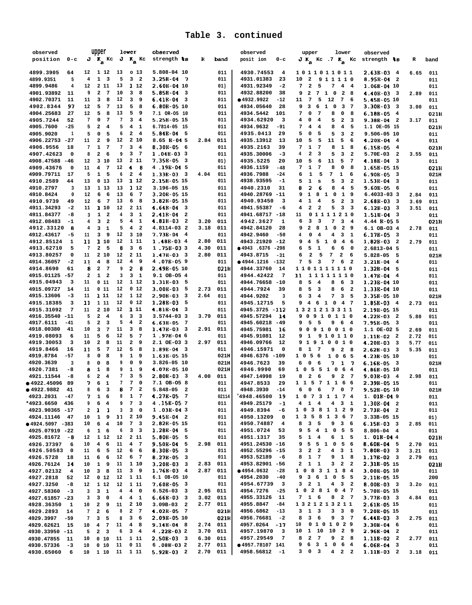| observed            |                         |                         | upper                                  |    | lower                                              | observed                            |      |          | observed                              | upper                                        | lower                                                     | observed                              |      |       |
|---------------------|-------------------------|-------------------------|----------------------------------------|----|----------------------------------------------------|-------------------------------------|------|----------|---------------------------------------|----------------------------------------------|-----------------------------------------------------------|---------------------------------------|------|-------|
| position            | $0 - c$                 |                         | $J K_{\rm a}$ Kc                       |    | $J K_a Kc$                                         | strength ts                         | R    | band     | posit ion<br>0-c                      |                                              |                                                           | $J K_A$ Kc .7 $K_A$ Kc strength $k$ s | R    | band  |
|                     |                         |                         |                                        |    |                                                    |                                     |      |          |                                       |                                              |                                                           |                                       |      |       |
| 4899.3905           | 64                      | 12                      | 1 12                                   | 13 | 0 <sub>13</sub>                                    | 5.808-04 10                         |      | 011      | 4930.74553<br>$\overline{4}$          | 1011011011                                   |                                                           | $2.63B-034$                           | 6.65 | 011   |
| 4899.9351           | 5                       | 4                       | $\mathbf{1}$<br>3                      | 5  | 3 <sub>2</sub>                                     | $3.25B - 04$<br>- 7                 |      | 011      | 4931.01383<br>23                      | 10<br>$\overline{\mathbf{2}}$                | 9 1 1 1 1 0                                               | 8.95B-04<br>$\overline{\mathbf{2}}$   |      | 011   |
| 4899.9486           | 4                       | 12                      | 2 11                                   | 13 | 1 12                                               | 2.60B-04 10                         |      | 01)      | 4931.92349<br>$-2$                    | 7<br>2<br>5                                  | 7<br>4 4                                                  | 1.06B-04 10                           |      | 011   |
| 4901.93892          | 11                      | 9                       | $\mathbf{2}$<br>$\overline{7}$         | 10 | 3<br>8                                             | $5.85E-04$<br>3                     |      | 011      | 4932.88200<br>38                      | $7\overline{ }$<br>2<br>$\mathbf{1}$<br>9    | $\overline{\mathbf{0}}$<br>$\overline{\mathbf{2}}$<br>- 8 | $4.40B-033$                           | 2.89 | 011   |
| 4902.70371          | 11                      | 11                      | з<br>8                                 | 12 | 3<br>9                                             | 6.41B-04<br>3                       |      | 011      | ● 4932.9922<br>$-12$                  | 7<br>5<br>11                                 | 12<br>7<br>-6                                             | 5.45B-05 10                           |      | 011   |
| 4902.8344           | 97                      | 12                      | 5<br>$7\phantom{.0}$                   | 13 | 5<br>8                                             | 6.80B-05 10                         |      | 011      | 4934.05640<br>28                      | 6<br>$\mathbf{1}$<br>9<br>з                  | $\overline{\mathbf{0}}$<br>3<br>$\overline{7}$            | $3.30B-03$ 3                          | 3.00 | 011   |
| 4904.25683          | 27                      | 12                      | 5<br>8                                 | 13 | 5<br>9                                             | 7.1 OR-05 10                        |      | 011      | 4934.5442<br>101                      | 7<br>7<br>0                                  | 8<br>0<br>8                                               | 6.18B-05<br>- 4                       |      | 021H  |
| 4905.7244           | 52                      | 7                       | $7\phantom{.0}$<br>0                   | 7  | 3<br>4                                             | 5.25B-05 15                         |      | 011      | 4934.62920<br>3                       | $\overline{\mathbf{4}}$<br>4<br>0            | 5<br>$\mathbf{2}$<br>3                                    | 9.38E-04<br>$\overline{\mathbf{2}}$   | 3.17 | 011   |
| 4905.7600           | $-25$                   | 5                       | $\mathbf{2}$<br>4                      | 5  | 4<br>-1                                            | 6.7814-05 15                        |      | 011      | 4934.9632<br>$-91$                    | 7<br>4<br>4                                  | 8<br>4<br>5                                               | 1.1 OE-05 15                          |      | 021H  |
| 4905.9020           | 1                       | 5                       | $\mathbf 0$<br>5                       | 6  | $\overline{\mathbf{2}}$<br>$\overline{\mathbf{4}}$ | $5.84B-04$ 5                        |      | 011      | 4935.0413<br>29                       | 5<br>0<br>5                                  | 5<br>3<br>$\overline{2}$                                  | 9.506-05 10                           |      | 011   |
| 4906.22753          | $-27$                   | 11                      | 2<br>9                                 | 12 | 2 10                                               | $8.65 B - 045$                      | 2.84 | 011      | 4935.13912<br>13                      | 10<br>5<br>5                                 | 11<br>5<br>6                                              | 4.20B-04<br>- 4                       |      | 011   |
| 4906.9556           | 18                      | 7                       | $\mathbf{1}$<br>$\overline{7}$         | 7  | 3<br>$\overline{\mathbf{4}}$                       | $8.30B - 056$                       |      | 011      | 4935.2163<br>39                       | 7<br>1<br>7                                  | 8<br>1<br>8                                               | 6.15B-05<br>$\overline{\mathbf{4}}$   |      | 021H  |
| 4907.42623          | $\mathbf 0$             | 8                       | $\mathbf{2}$<br>6                      | 9  | 3<br>-7                                            | 1.048-033                           |      | 011      | 4935.30006<br>-3                      | 2<br>4<br>з                                  | 5<br>3<br>$\overline{\mathbf{2}}$                         | 5.70E-03<br>$\overline{\mathbf{2}}$   | 3.55 | 011   |
| 4908.47588          | -46                     | 12                      | 3 10                                   | 13 | 2 1 1                                              | 7.35B-05 3                          |      | 01)      | 4935.5225<br>20                       | 10<br>5<br>6                                 | 11<br>5<br>7                                              | 4.18B-04<br>- 3                       |      |       |
| 4909.43676          |                         | 11                      | 7                                      | 12 | 4<br>-8                                            | 4.198-045                           |      | 011      | 4936.1159<br>$-48$                    | 7<br>1<br>7                                  | 8<br>8<br>0                                               |                                       |      | 011   |
|                     | 0                       |                         | 4                                      |    |                                                    |                                     |      |          |                                       |                                              |                                                           | 1.65E-05 15                           |      | 021H  |
| 4909.79711          | 17                      | 5                       | 1<br>5                                 | 6  | $\overline{\mathbf{2}}$<br>$\overline{\mathbf{4}}$ | $1.33B-03$ 3                        | 4.04 | 011      | 4936.7988<br>$-24$                    | ${\bf 1}$<br>5<br>6                          | 7<br>1<br>6                                               | 6.90B-05<br>- 3                       |      | 021H  |
| 4910.2589           | 44                      | 13                      | 013                                    | 13 | 1 12                                               | 2.158-05 15                         |      | 011      | 4938.93595<br>$-1$                    | ${\bf 1}$<br>5<br>s                          | 5<br>3<br>$\overline{a}$                                  | 1.53B-04<br>- 3                       |      | 011   |
| 4910.2797           | 3                       | 13                      | 1 13                                   | 13 | 1 12                                               | 3.196-05 15                         |      | 011      | 4940.2310<br>31                       | 2<br>8<br>6                                  | 8<br>4<br>-5                                              | 9.60E-05<br>- 6                       |      | 011   |
| 4910.8424           | 0                       | 12                      | 6<br>6                                 | 13 | 6<br>$\overline{7}$                                | 3.20E-05 15                         |      | 011      | 4940.28769 -11                        | 8 <sub>1</sub><br>9<br>1                     | $\overline{\mathbf{0}}$<br>1 9                            | 6.4033-03 3                           | 2.84 | 011   |
| 4910.9739           | 49                      | 12                      | 6<br>$\overline{7}$                    | 13 | 6<br>8                                             | 3.82B-05 15                         |      | 011      | 4940.93450<br>3                       | 4<br>1<br>4                                  | 5<br>2<br>3                                               | 2.68B-03<br>- 3                       | 3.69 | 011   |
| 4911.34293          | $-2$                    | 11                      | 1 10                                   | 12 | 2 1 1                                              | 4.64B-04<br>- 3                     |      | 011      | 4941.55387<br>-6                      | 2<br>$\mathbf{2}$<br>4                       | 5<br>$\overline{\mathbf{3}}$<br>$_{3}$                    | $6.12B-03$<br>$\overline{\mathbf{3}}$ | 3.51 | 011   |
| 4911.84377          | -8                      | 3                       | $\mathbf 1$<br>$\overline{\mathbf{2}}$ | 4  | 3<br>1                                             | 2.41B-04<br>-2                      |      | 011      | 4941.68717<br>$-18$                   | 11<br>0<br>1111                              | 210                                                       | 1.51B-04<br>- 3                       |      | 011   |
| 4912.08483          | -1                      | $\overline{\mathbf{4}}$ | 3<br>$\overline{\mathbf{2}}$           | 5  | $4 \quad 1$                                        | 4.81E-03<br>$\overline{\mathbf{2}}$ | 3.20 | 011      | 4942.3627<br>1                        | 3<br>6<br>3                                  | 7<br>3<br>$\overline{4}$                                  | 4.44 B-05 5                           |      | 02 1H |
| 4912.33120          | 8                       | 4                       | 3<br>1                                 | 5  | $\overline{4}$<br>$\overline{\mathbf{2}}$          | 4.8114-03 2                         | 3.18 | 011      | 4942.84120<br>28                      | 8<br>9<br>2<br>1                             | 0<br>2<br>9                                               | 6.1 OB-03 4                           | 2.78 | 011   |
| 4912.43617          | -5                      | 11                      | 3<br>9                                 | 12 | 310                                                | $7.73B - 04$ 4                      |      | 011      | 4942.9460<br>$-50$                    | 0<br>$\overline{4}$<br>4                     | 4<br>3<br>$\mathbf{1}$                                    | $6.17B-05$ 3                          |      | 011   |
| 4912.85124          | 1                       | 11                      | 1 10                                   | 12 | 1 1 1                                              | $1.48B-034$                         | 2.80 | 011      | 4943.21920<br>$-12$                   | 5<br>9<br>4<br>1                             | 0<br>$\overline{4}$<br>6                                  | $1.82B-03$ 2                          | 2.79 | 011   |
| 4913.62710          | 5                       | $7\phantom{.0}$         | $\overline{\mathbf{2}}$<br>5           | 8  | $\mathbf{3}$<br>- 6                                | $1.75B-033$                         | 4.30 | 011      | ● 4943 .6376<br>-298                  | 5<br>1<br>6                                  | 6<br>6<br>0                                               | 2.6813-04 5                           |      | 011   |
| 4913.80257          | 0                       | 11                      | 2 10                                   | 12 | 2 1 1                                              | $1.47B-03$ 3                        | 2.80 | 011      | 4943.8715<br>$-31$                    | 2<br>5<br>6                                  | 7<br>$\mathbf{2}$<br>- 6                                  | 5.828-05<br>- 5                       |      | 021H  |
| 4914.36057          | $-2$                    | 11                      | 4<br>8                                 | 12 | $\overline{\mathbf{4}}$<br>9                       | 4.07B-059                           |      | 011      | ● 4944.1216<br>$-132$                 | 5<br>7<br>3                                  | 7<br>6<br>- 2                                             | $3.21B - 04$<br>4                     |      | 011   |
| 4914.8690           | 61                      | 8                       | 2<br>$7\phantom{.0}$                   | 9  | 2<br>-8                                            | 2.49B-05 10                         |      | 021H     | 4944.33760<br>14                      | 1101111110                                   |                                                           | 1.32B-04<br>5                         |      | 011   |
| 4915.01125          | $-57$                   | $\overline{\mathbf{2}}$ | 1<br>$\overline{\mathbf{2}}$           | 3  | 3 <sub>1</sub>                                     | 9.1 OB-05 4                         |      | 011      | 4944.42422<br>-7                      | 11                                           | 11111110                                                  | 1.47B-04<br>$\overline{\mathbf{4}}$   |      | 011   |
| 4915.04943          | 3                       | 11                      | 011                                    | 12 | 1 12                                               | $1.318 - 03$ 5                      |      | 011      | 4944.76658<br>$-10$                   | 8<br>5<br>$\overline{4}$                     | 8<br>6 <sup>3</sup>                                       | 1.23B-04 10                           |      | 011   |
| 4915.09727          | 14                      | 11                      | 011                                    | 12 | 0 <sub>12</sub>                                    | $3.00B-03$<br>- 5                   | 2.73 | 011      | 4944.7924<br>39                       | 8<br>5<br>3                                  | 8<br>6<br>- 2                                             | 1.338-04 10                           |      | 011   |
| 4915.13606          | -3                      | 11                      | 1 1 1                                  | 12 | 1 12                                               | 2.90B-03<br>3                       | 2.64 | 011      | 4944.9202<br>3                        | 6<br>3<br>4                                  | 7<br>$\mathbf{3}$<br>- 5                                  | 3.35B-05 10                           |      | 021H  |
| 4915.18385          | 3                       | 11                      | 1 11                                   | 12 | 0 <sub>12</sub>                                    | 1.28B-03<br>5                       |      | 011      | 4945.12715<br>5                       | $\overline{4}$<br>- 6<br>$\mathbf{1}$<br>9   | $\overline{\mathbf{0}}$<br>4 7                            | 1.858-03 4                            | 2.73 | 011   |
| 4915.31092          | 7                       | 11                      | 210                                    | 12 | 1 1 1                                              | 4.81E-04<br>3                       |      | 011      | 4945.3725 -112                        | 1321213311                                   |                                                           | 2.19B-05 15                           |      |       |
| 4916.35540          | $-11$                   | 5                       | $\mathbf{2}$<br>4                      | 6  | 3<br>3                                             | $3.5744 - 03$ 3                     | 3.79 | 011      | 4945.57294                            | 9<br>9<br>0                                  | 10110                                                     |                                       |      | 011   |
|                     |                         | 5                       |                                        |    |                                                    |                                     |      |          | 14                                    |                                              |                                                           | 4.22B-03<br>- 2                       | 5.80 | 011   |
| 4917.6111           | $-41$                   |                         | $\mathbf{2}$<br>3                      | 5  | 4<br>$\overline{\mathbf{2}}$                       | $6.63B-05$<br>7                     |      | 011      | 4945.60218<br>-49                     | 5<br>9<br>- 5                                | 9<br>6 4                                                  | 7.95B-05 3                            |      | 011   |
| 4918.00380          | 41                      | 10                      | 7<br>з                                 | 11 | з<br>8                                             | $1.47B-033$                         | 2.91 | 011      | 4945.75981<br>-16                     | 0 9 1 0 0<br>9                               | 10                                                        | 1.1 OE-02 5                           | 2.69 | 011   |
| 4919.08093          | 6                       | 11                      | 5<br>6                                 | 12 | 5<br>7                                             | 1.978-046                           |      | 011      | 4945.91081<br>12                      | 1<br>9                                       | 9 1 0 1 1 0                                               | $1.11E-02$ 2                          | 2.72 | 011   |
| 4919.30053          | 3                       | 10                      | $\mathbf{2}$<br>8                      | 11 | $\mathbf{2}$<br>9                                  | 2.1 OE-03 3                         | 2.97 | 011      | 4946.09766<br>12                      | 9                                            | 1910010                                                   | $4.20B - 03$<br>- 3                   | 5.77 | 011   |
| 4919.8466           | 16                      | 11                      | 5<br>7                                 | 12 | 5<br>8                                             | $1.89E-04$ 3                        |      | 011      | 4946.15971<br>0                       | 1<br>7<br>8                                  | 9<br>2 8                                                  | $2.62E-033$                           | 5.35 | 011   |
| 4919.8784           | $-57$                   | 8                       | 0<br>8                                 | 9  | $\mathbf{1}$<br>9                                  | 1.638-05 15                         |      | 021H     | 4946.6376 -109                        | 6<br>$1\quad$<br>5                           | 1 0 6<br>5                                                | 4.23B-05 10                           |      | 011   |
| 4920.3639           | 3                       | 8                       | 0<br>8                                 | 9  | 0<br>9                                             | 3.826-05 10                         |      | 021H     | 4946.7623<br>39                       | 6<br>6<br>0                                  | 7<br>$1 \overline{7}$                                     | 6.16B-05<br>- 3                       |      | 021H  |
| 4920.7381           | -8                      | 8                       | $\mathbf{1}$<br>8                      | 9  | $\mathbf{1}$<br>9                                  | 4.07E-05 10                         |      | 021H     | 4946.9990<br>69                       | $1\quad$ 0<br>5<br>5                         | $1\quad$ 0<br>64                                          | 4.86B-05 10                           |      | 011   |
| 4921.11544          | -8                      | 6                       | 2<br>4                                 | 7  | 3<br>5                                             | $2.80E-033$                         | 4.00 | 011      | 4947.14998<br>19                      | 2<br>8<br>6                                  | $7\phantom{.0}$<br>9<br>2                                 | $9.03B-034$                           | 2.98 | 011   |
| ● 4922.45096        | 89                      | 7                       | 6<br>1                                 | 7  | 7<br>0                                             | 7.1 OB-05 8                         |      | 011      | 4947.8533<br>29                       | 5<br>711<br>$1\quad1$                        | 66                                                        | 2.39B-05 15                           |      | 011   |
| ● 4922.9882         | 41                      | 8                       | 6<br>3                                 | 8  | 7<br>2                                             | 5.848-05<br>$\overline{\mathbf{2}}$ |      | 011      | 4948.3930<br>$-14$                    | 0<br>6<br>6                                  | 7<br>0<br>-7                                              | 9.52B-05 10                           |      | 021H  |
| 4923.2031           | -47                     | 7                       | 1<br>6                                 |    | 1<br>7                                             | 4.27B-05 7                          |      | 02114    | 4948.46500<br>19                      | 1 0 7 3 1 1 7 4                              |                                                           | $1.01B-049$                           |      | 011   |
| *4923.6650          | 436                     | 9                       | 6<br>$\overline{4}$                    | 9  | 7 <sub>3</sub>                                     | 4.15B-057                           |      | 011      | 4949.25179<br>$-1$                    | $4$ 1 4                                      | $4$ 3 1                                                   | $1.30B-04$ 2                          |      | 011   |
| 4923.90365 -17      |                         | 2                       | $\mathbf{1}$<br>$\mathbf{I}$           | 3  | 30                                                 | 1.03E-043                           |      | 011      | 4949.8394<br>-6                       | 1 0 3 8 1 1 2 9                              |                                                           | $2.73B-04$ 2                          |      | 011   |
| 4924.11146          | 47                      | 10                      | $\mathbf{1}$<br>9                      | 11 | 2 10                                               | $9.45B - 04$ 2                      |      | 011      | 4950.13209<br>$\mathbf 0$             | 1 3 5 8 1 3 6 7                              |                                                           | 3.33B-05 15                           |      | 01)   |
| $0.4924.5097 - 383$ |                         | 10                      | 6<br>$\overline{\mathbf{4}}$           | 10 | 7 <sub>3</sub>                                     | 2.82E-05 15                         |      | 011      | 4950.74887<br>$\overline{\bf 4}$      | 8<br>3 <sub>5</sub>                          | 9 3 6                                                     | $6.15B-03$ 3                          | 2.85 | 011   |
| 4925.07919 -22      |                         | 6                       | $1\quad 6$                             | 6  | 3 <sub>3</sub>                                     | $1.28B-04$ 5                        |      | 011      | 4951.0724<br>53                       | 9                                            | 5 4 1 0 5 5                                               | $8.806 - 04$ 4                        |      | 011   |
| 4925.81672          | -8                      | 12                      | 1 12                                   | 12 | 2 1 1                                              | $5.80B-055$                         |      | 011      | 4951.1317<br>35                       | $\mathbf{1}$<br>$\overline{\mathbf{4}}$<br>5 | 6 1 5                                                     | $1.01B-044$                           |      | 021H  |
| 4926.37397          | 6                       | 10                      | $4\quad 6$                             | 11 | 4 7                                                | $9.50B - 04$ 5                      | 2.98 | 011      | 4951.24530 -16                        | 9 5 5 1 0 5 6                                |                                                           | $8.60B - 04$ 5                        | 2.70 | 011   |
| 4926.50583          | 0                       | 11                      | 6<br>5                                 | 12 | 6<br>6                                             | 8.30B-05<br>$\overline{\mathbf{3}}$ |      | 011      | 4952.55296 -15                        | $\mathbf{2}$<br>$\overline{\mathbf{2}}$<br>3 | 4<br>$\overline{\mathbf{3}}$<br>1                         | $7.80B-03$ 3                          | 3.21 | 011   |
| 4926.5728           | 18                      | 11                      | 6<br>6                                 | 12 | 6 7                                                | 8.278-05<br>3                       |      | 011      | 4953.52189<br>-6                      | 1 7<br>8                                     | 9<br>$1 \quad 8$                                          | $1.17B-02$ 3                          | 2.79 | 011   |
| 4926.76124          | 14                      | 10                      | $\mathbf{1}$<br>9                      | 11 | 1 10                                               | $3.20B-03$ 3                        | 2.83 | 011      | 4953.82901 -56                        | $1\quad1$<br>2                               | $\overline{a}$<br>$\mathbf{3}$<br>$\overline{\mathbf{2}}$ | 2.31B-05 15                           |      | 021H  |
| 4927.02132          | $\overline{\mathbf{4}}$ | 10                      | $3 \quad 8$                            | 11 | 3 <sub>9</sub>                                     | $1.76B-03$ 4                        |      | 2.87 011 | ● 4954.0632<br>$-28$                  | 1 0 8 3 1 1 8 4                              |                                                           | 3.00B-05 10                           |      | 011   |
| 4927.2818           | 52                      | 12                      | $0\quad 12$                            | 12 | 1 11                                               | 6.1 OB-05 10                        |      | 011      | 4954.2030<br>$-40$                    | 9 3 6 1 0 5 5                                |                                                           | 2.118-05 15                           |      | 200   |
| 4927.3250           | $-8$                    | 12                      | 1 12                                   | 12 | 1 1 1                                              | $7.60B-05$ 3                        |      | 011      | 4954.67739<br>$\overline{\mathbf{3}}$ | 2 <sub>1</sub><br>3                          | $4 \quad 3 \quad 2$                                       | $8.00B-03$ 3                          | 3.20 | 011   |
| 4927.58360          | $-3$                    | 3                       | 3<br>$\mathbf{1}$                      | 4  | $4\quad 0$                                         | $6.526 - 03$ 3                      | 2.95 | 011      | 4954.7276<br>$-25$                    | 1 0 2 8 1 0 4 7                              |                                                           | 5.70B-05 15                           |      | 011   |
|                     |                         | 3                       | з                                      | 4  | $4 \quad 1$                                        | $6.66B-033$                         | 3.02 | 011      | 4955.33126<br>11                      | 7 1 6                                        | 8 2 7                                                     | $3.77B-03$ 3                          | 4.84 |       |
| 4927.61857 -23      |                         |                         | 0                                      |    |                                                    |                                     | 2.77 | 011      | 4955.8847<br>$-84$                    |                                              |                                                           |                                       |      | 011   |
| 4928.36350          | 1                       | 10                      | 2 9                                    | 11 | 2 10                                               | $3.09B-03$ 2                        |      |          |                                       | 1321213211                                   |                                                           | 2.61B-05 15                           |      | 011   |
| 4929.2893           | 14                      | 7                       | 2<br>6                                 | 8  | $\overline{a}$<br>$\overline{7}$                   | $4.02B-05$ 7                        |      | 021H     | 4956.6862<br>$-13$                    | $1 \quad 3$<br>3                             | $3 \quad 3 \quad 0$                                       | 7.20B-05 15                           |      | 011   |
| 4929.3997           | $-59$                   | 7                       | 3<br>5                                 | 8  | 36                                                 | 2.09E-05 10                         |      | 021H     | 4956.76681<br>$-2$                    | 36<br>8                                      | 9 3 7                                                     | $6.44B-03$ 3                          | 2.75 | 011   |
| 4929.62621          | 15                      | 10                      | 4 7                                    | 11 | $\overline{\mathbf{4}}$<br>- 8                     | $9.14E-04$ 8                        | 2.74 | 011      | 4957.0264<br>- 17                     | 10                                           | 0 1 0 1 0 2 9                                             | $3.30B - 04$ 6                        |      | 011   |
| 4930.33950 -11      |                         | 5                       | $2 \quad 3$                            | 6  | 3 <sub>4</sub>                                     | 4.228-032                           | 3.70 | 011      | 4957.19870<br>3                       | 10 1 10 10 2 9                               |                                                           | $2.96B-04$ 2                          |      | 011   |
| 4930.47855          | 11                      | 10                      | 010                                    | 11 | 1 11                                               | $2.50B-03$ 3                        | 6.30 | 011      | 4957.29549<br>$7\phantom{.0}$         | $\mathbf{2}$<br>8<br>$\overline{7}$          | 9<br>$2 \quad 8$                                          | $1.11B-02$ 2                          | 2.77 | 011   |
| 4930.57336          | -3                      | 10                      | 0 <sub>10</sub>                        | 11 | 011                                                | $6.08B-032$                         | 2.77 | 011      | ● 4957.78107 141                      | 9 6 3 1 0 6 4                                |                                                           | $6.06B - 04$<br>-3                    |      | 011   |
| 4930.65060          | 6                       | 10                      | 1 10                                   | 11 | 1 11                                               | $5.92B-03$ 2                        | 2.70 | 011      | 4958.56812<br>$-1$                    | $3 \t0 \t3$                                  | $4$ 2 2                                                   | $1.11B-03$ 2                          | 3.18 | 011   |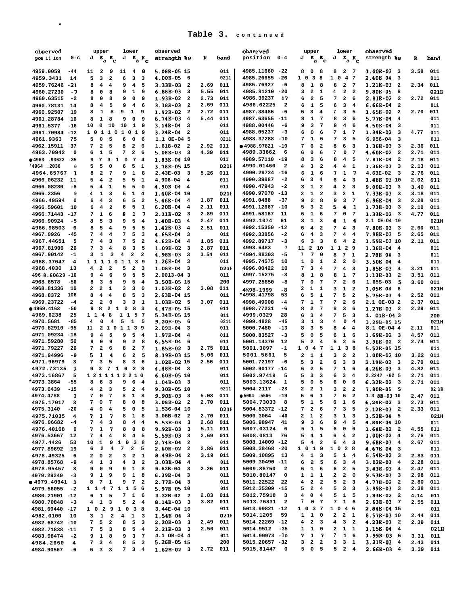| observed                     |                        | upper                                                                           | lower                                                                            | observed                                                            |                  |             | observed                                                 | upper                                                                             | lower                                                             | observed                                               |              |                     |
|------------------------------|------------------------|---------------------------------------------------------------------------------|----------------------------------------------------------------------------------|---------------------------------------------------------------------|------------------|-------------|----------------------------------------------------------|-----------------------------------------------------------------------------------|-------------------------------------------------------------------|--------------------------------------------------------|--------------|---------------------|
| pos it ion                   | $0 - c$                | $J K_a$<br>$\mathbf{r}_{\rm c}$                                                 | $J K_{\rm a} K_{\rm c}$                                                          | strength ts                                                         | R                | band        | position<br>$0 - c$                                      | J<br>$\mathbf{K}_a \mathbf{K}_c$                                                  | J<br>$\mathbf{r}_\mathbf{a}$ $\mathbf{r}_\mathbf{c}$              | strength ts                                            | R            | band                |
| 4959.0059                    | $-44$                  | $\overline{\mathbf{2}}$<br>9<br>11                                              | 11<br>48                                                                         | 5.08R-05 15                                                         |                  | 011         | 4985.11660 -22                                           | 0<br>8<br>8                                                                       | 8<br>2 7                                                          | $1.00E-03$ 3                                           | 3.58         | 011                 |
| 4959.3431                    | 14                     | 5<br>3<br>$\overline{\mathbf{2}}$                                               | 6<br>3<br>3                                                                      | 4.00E-05<br>- 6                                                     |                  | 0211        | 4985.26655<br>-26                                        | $1 \t0 \t3$<br>- 8                                                                | 1 0 4 7                                                           | 2.40B-04<br>3                                          |              | 011                 |
| 4959.76246 -21               |                        | 4<br>$\overline{\mathbf{4}}$<br>8                                               | $\overline{\bf 4}$<br>5<br>9                                                     | $3.33B-03$<br>$\overline{\mathbf{2}}$                               | 2.69             | 011         | 4985.76927<br>-6                                         | $\mathbf{1}$<br>8<br>8                                                            | 2 7<br>8<br>$\mathbf{2}$<br>$\overline{\mathbf{2}}$               | $1.21B-03$ 2                                           | 2.34         | 011                 |
| 4960.27230<br>4960.63515     | -7<br>$-2$             | 8<br>0<br>8<br>0<br>8<br>8                                                      | $\mathbf{1}$<br>9<br>9<br>0<br>9<br>9                                            | 6.88E-03<br>3<br>1.93B-02<br>$\overline{\mathbf{2}}$                | 5.55<br>2.73     | 011<br>011  | 4985.81210<br>-20<br>4986.39237<br>17                    | $\overline{\mathbf{2}}$<br>з<br>1<br>$\overline{\mathbf{2}}$<br>5<br>6            | 4<br>7<br>$\mathbf{2}$<br>6                                       | 9.80B-05<br>- 8<br>2.81E-02<br>$\overline{\mathbf{2}}$ | 2.72         | 021H<br>011         |
| 4960.78131                   | 14                     | 5<br>8<br>4                                                                     | 9<br>$\overline{4}$<br>-6                                                        | 3.38B-03<br>$\overline{\mathbf{2}}$                                 | 2.69             | 011         | 4986.62225<br>$\overline{\mathbf{2}}$                    | 1<br>5<br>6                                                                       | 6<br>3<br>4                                                       | $6.66B-04$<br>$\overline{\mathbf{2}}$                  |              | 011                 |
| 4960.92507                   | 19                     | 1<br>8<br>9<br>8                                                                | 1<br>9                                                                           | $1.92B-02$<br>$\overline{\mathbf{2}}$                               | 2.72             | 011         | 4987.38486<br>-6                                         | 3<br>6<br>4                                                                       | 7<br>з<br>5                                                       | $1.65B-02$<br>$\overline{\mathbf{2}}$                  | 2.70         | 011                 |
| 4961.28784                   | 16                     | 8<br>1<br>8                                                                     | 9<br>0<br>9                                                                      | $6.74B-03$<br>4                                                     | 5.44             | 011         | 4987.63655<br>-11                                        | ${\bf 1}$<br>8<br>7                                                               | 8<br>3<br>6                                                       | 5.77B-04<br>4                                          |              | 011                 |
| 4961.5377                    | -16                    | 10<br>0<br>10                                                                   | 10<br>$\mathbf{1}$<br>9                                                          | 3.14E-04<br>3                                                       |                  | 011         | 4988.00446<br>-6                                         | 3<br>7<br>9                                                                       | 9<br>$\overline{4}$<br>6                                          | 4.50B-04<br>$\overline{\mathbf{3}}$                    |              | 011                 |
| 4961.70984 -12<br>4961.9363  | 75                     | $1\quad0$<br>1<br>$\mathbf{1}$<br>1<br>0<br>5<br>5<br>0                         | 0 1 9<br>6<br>0<br>-6                                                            | $3.24B - 04$<br>2<br>1.1 OE-04 5                                    |                  | 011<br>0211 | 4988.05237<br>-3<br>4988.37288<br>-10                    | 0<br>6<br>6<br>${\bf 1}$<br>7<br>6                                                | 7<br>1<br>-7<br>7<br>3<br>5                                       | $1.34B-02$<br>- 3<br>$6.956 - 04$<br>3                 | 4.77         | 011<br>011          |
| 4962.15911                   | 37                     | $\mathbf{2}$<br>5<br>7                                                          | 8<br>$\mathbf{2}$<br>6                                                           | 1.618-02<br>$\overline{\mathbf{2}}$                                 | 2.92             | 011         | ● 4988.97821<br>$-10$                                    | 6<br>$\overline{\mathbf{2}}$<br>7                                                 | 8<br>$\overline{\mathbf{3}}$<br>6                                 | 1.36B-03<br>3                                          | 2.36         | 011                 |
| 4963.70942                   | 0                      | ${\bf 1}$<br>5<br>6                                                             | 7<br>2<br>6                                                                      | $5.08B-03$<br>- 3                                                   | 4.39             | 011         | 4989.33662<br>6                                          | 0<br>6<br>6                                                                       | 7<br>0<br>-7                                                      | 4.60B-02<br>- 2                                        | 2.71         | 011                 |
| ●4963.93622 -35              |                        | 7<br>3<br>9<br>1                                                                | $7\phantom{.0}$<br>0<br>$\overline{\mathbf{4}}$                                  | 1.83E-04 10                                                         |                  | 011         | 4989.57110 -19                                           | 3<br>8<br>6                                                                       | 8<br>4<br>5                                                       | 7.81B-04<br>$\overline{\mathbf{2}}$                    | 2.18         | 011                 |
| 1964.2036*                   | 0                      | 5<br>5<br>0                                                                     | 5<br>6<br>1                                                                      | 3.78B-05 15                                                         |                  | 0211        | 4990.01460<br>2                                          | 3<br>$\overline{\mathbf{2}}$<br>4                                                 | 4<br>4<br>1                                                       | 1.36B-03<br>-3                                         | 2.13         | 011                 |
| 4964.65767                   | 1                      | $\overline{\mathbf{2}}$<br>7<br>8<br>4                                          | 9<br>1<br>8<br>5                                                                 | $2.43E-03$<br>- 3<br>4.906-04<br>4                                  | 5.26             | 011<br>011  | 4990.29724 -16<br>4990.39887<br>$-2$                     | 1<br>6<br>6<br>3<br>4<br>6                                                        | 7<br>1<br>-7<br>6<br>4<br>3                                       | 4.63E-02<br>$\overline{\mathbf{3}}$<br>1.488-03 10     | 2.76<br>2.02 | 011<br>011          |
| 4966.06232<br>4966.08230     | 11<br>-6               | 5<br>$\mathbf{2}$<br>$\overline{\mathbf{4}}$<br>5<br>1                          | 5<br>1<br>5<br>5<br>0                                                            | 4.90E-04<br>4                                                       |                  | 011         | 4990.47943<br>$-2$                                       | $\mathbf{1}$<br>$\overline{\mathbf{2}}$<br>3                                      | 4<br>$\mathbf{2}$<br>3                                            | $9.00B-033$                                            | 3.40         | 011                 |
| 4966.2356                    | 9                      | 1<br>4<br>- 3                                                                   | 5<br>1<br>4                                                                      | 1.40B-04 10                                                         |                  | 0211        | 4990.97070<br>$-13$                                      | $\mathbf{1}$<br>2<br>$\overline{\mathbf{2}}$                                      | $\overline{\mathbf{2}}$<br>3<br>1                                 | 7.33B-03<br>$_{3}$                                     | 3.18         | 011                 |
| 4966.49594                   | 0                      | $\overline{\mathbf{4}}$<br>-3<br>6                                              | 6<br>5<br>$\overline{\mathbf{2}}$                                                | 5.46B-04<br>4                                                       | 1.87             | 011         | 4991.0488<br>$-37$                                       | $\overline{\mathbf{2}}$<br>8<br>9                                                 | 9<br>3<br>$\overline{7}$                                          | 6.96B-04<br>$\overline{\mathbf{3}}$                    | 2.28         | 011                 |
| 4966.59601                   | 10                     | $\overline{\mathbf{4}}$<br>$\overline{\mathbf{2}}$<br>6                         | 5<br>6<br>1                                                                      | $6.20B - 04$<br>$\overline{4}$                                      | 2.11             | 011         | 4991.12667 -10                                           | 3<br>5<br>2                                                                       | 5<br>4<br>-1                                                      | $1.73B-03$<br>$_{3}$                                   | 2.10         | 011                 |
| 4966.71443 -17               |                        | ${\bf 1}$<br>6<br>7                                                             | -7<br>8<br>1                                                                     | $2.11B-02$<br>$_{3}$                                                | 2.89             | 011         | 4991.58167<br>11                                         | $\mathbf{1}$<br>6<br>6                                                            | 7<br>$\mathbf{o}$<br>$\overline{7}$                               | $1.33B-02$ 3                                           | 4.77         | 011                 |
| 4966.90924<br>4966.98503     | $-5$<br>6              | 5<br>8<br>-3<br>5<br>8                                                          | 5<br>9<br>4<br>9<br>5                                                            | 1.40B-03<br>$\overline{4}$<br>$1.42B-03$<br>$\overline{\mathbf{4}}$ | 2.47<br>2.51     | 011<br>011  | 4992.1074<br>61<br>4992.15350 -12                        | $\mathbf{1}$<br>з<br>3<br>$\overline{\mathbf{4}}$<br>6<br>$\overline{\mathbf{2}}$ | 4<br>$\mathbf{1}$<br>-4<br>7<br>$\overline{4}$<br>$_{3}$          | 2.1 OE-04 10                                           |              | 021H<br>011         |
| 4967.0926                    | -45                    | $\overline{\mathbf{4}}$<br>7<br>4<br>4                                          | 5<br>7<br>5<br>3                                                                 | 4.65E-04<br>3                                                       |                  | 011         | 4992.33856<br>-2                                         | 6<br>4<br>3                                                                       | 7<br>4<br>-4                                                      | $7.80E-03$ 3<br>7.98B-03<br>- 5                        | 2.60<br>2.65 | 011                 |
| 4967.44651                   | 5                      | 7<br>4<br>3                                                                     | 7<br>5<br>$\overline{\mathbf{2}}$                                                | 4.62E-04<br>4                                                       | 1.85             | 011         | 4992.89717<br>-3                                         | 3<br>6<br>$\overline{\mathbf{3}}$                                                 | 6<br>$4\phantom{1}$<br>$\overline{\mathbf{2}}$                    | 1.59B-03 10                                            | 2.11         | 011                 |
| 4967.81906                   | 26                     | 3<br>7<br>4                                                                     | 8<br>3<br>5                                                                      | 1.09E-02<br>3                                                       | 2.87             | 011         | 4993.6483<br>7                                           | 11<br>2<br>10                                                                     | 1 1 2<br>- 9                                                      | 1.36B-04<br>$\overline{4}$                             |              | 011                 |
| 4967.90142                   | -1                     | 3<br>1<br>3                                                                     | $\overline{\mathbf{2}}$<br>4<br>2                                                | 4.98B-03<br>$\overline{\mathbf{3}}$                                 | 3.54             | 011         | *4994.88303<br>$-5$                                      | $\overline{7}$<br>7<br>0                                                          | $7\phantom{.0}$<br>8<br>$\mathbf{1}$                              | 2.78B-04<br>- 3                                        |              | 011                 |
| 4968.37047<br>4968.4030      | 4<br>13                | 1 1 1 1 0<br>$\mathbf{2}$<br>$\overline{\mathbf{2}}$<br>4                       | 1 1 3 9<br>5<br>2<br>3                                                           | 1.26B-04<br>3<br>1.08E-04<br>-3                                     |                  | 011<br>0211 | 4995.74575<br>10<br>4996.00422<br>10                     | 0<br>1<br>1<br>7<br>3<br>4                                                        | 2<br>$\overline{\mathbf{2}}$<br>0<br>7<br>$\overline{\mathbf{4}}$ | 3.50B-04<br>4                                          |              | 011<br>011          |
| 496 8.60629 -10              |                        | $\overline{\mathbf{4}}$<br>6<br>9                                               | 5<br>9<br>5                                                                      | $2.0013 - 04$ 3                                                     |                  | 011         | 4997.15275<br>$-3$                                       | ${\bf 1}$<br>8<br>8                                                               | 3<br>8<br>$\mathbf{1}$<br>-7                                      | 1.85B-03<br>4<br>1.13B-03<br>$\overline{\mathbf{2}}$   | 3.21<br>3.51 | 011                 |
| 4968.6578                    | -56                    | 3<br>8<br>5                                                                     | 5<br>9<br>4                                                                      | 3.50B-05 15                                                         |                  | 200         | 4997.25850<br>-8                                         | 7<br>0<br>7                                                                       | 7<br>$\mathbf{2}$<br>6                                            | -5<br>$1.65S-03$                                       | 3.60         | 011                 |
| 4968.81336                   | 10                     | $\mathbf{2}$<br>2<br>1                                                          | з<br>3<br>0                                                                      | $1.03B-02$ 2                                                        | 3.08             | 011         | 4%98-1999<br>-8                                          | 2<br>1<br>1                                                                       | 3<br>$\mathbf{1}$<br>$\overline{\mathbf{2}}$                      | 1.058-04<br>6                                          |              | 021H                |
| 4968.8372                    | 106                    | 4<br>8<br>4                                                                     | 5<br>8<br>3                                                                      | 2.638-04 15                                                         |                  | 011         | *4998.41798<br>53                                        | 5<br>6<br>1                                                                       | 7<br>5<br>$\mathbf{2}$                                            | 5.758-03<br>$\overline{4}$                             | 2.52         | 011                 |
| 4969.23722<br>● 4969.4163    | $-4$<br>$-50$          | $\overline{\mathbf{2}}$<br>2<br>0<br>9<br>8<br>2<br>$\mathbf{1}$                | з<br>3<br>$\mathbf{1}$<br>8<br>0<br>- 3                                          | $1.03E-02$ 5                                                        | 3.07             | 011<br>011  | 4998.49008<br>$-4$<br>4998.77231<br>-6                   | $\mathbf{1}$<br>$\overline{7}$<br>7<br>$\overline{\mathbf{2}}$<br>8<br>7          | 7<br>$\mathbf{2}$<br>6<br>8<br>3<br>6                             | 2.1 OE-03 2                                            | 2.37<br>2.29 | 011                 |
| 4969.6238                    | 25                     | 8<br>1 1 4                                                                      | 1 1 5 7                                                                          | 4.47B-05 15<br>5.34B-05 15                                          |                  | 011         | 4999.0329<br>28                                          | 3<br>6<br>4                                                                       | 7<br>5<br>3                                                       | $1.27B-03$ 2<br>$1.01B-043$                            |              | 011<br>200          |
| 4970.5681                    | $-85$                  | 5<br>0<br>4<br>4                                                                | 1<br>5                                                                           | 9.20B-05<br>- 6                                                     |                  | 0211        | 4999.4828<br>-45                                         | з<br>1<br>3                                                                       | 4<br>0<br>4                                                       | 3.29B-05 15                                            |              | 021H                |
| 4970.82910 -95               |                        | 2 1 0 1 1 3 9<br>11                                                             |                                                                                  | 2.09E-04<br>-3                                                      |                  | 011         | 5000.7480<br>$-13$                                       | з<br>5<br>8                                                                       | 8<br>$\overline{\mathbf{4}}$<br>$\overline{\mathbf{4}}$           | 8.1 OE-04 4                                            | 2.11         | 011                 |
| 4971.09234 -18               |                        | $\overline{\bf 4}$<br>5<br>9                                                    | 5<br>9<br>$\overline{4}$                                                         | 1.97E-04<br>$\overline{\mathbf{4}}$                                 |                  | 011         | 5000.83527<br>$-3$                                       | 5<br>5<br>0                                                                       | 6<br>1<br>6                                                       | $1.69B-02$ 3                                           | 4.57         | 011                 |
| 4971.59280<br>4971.79227     | 50<br>26               | 9<br>0<br>9<br>$\overline{\mathbf{2}}$<br>6<br>7                                | 9<br>2<br>8<br>8<br>$\mathbf{2}$<br>$\overline{7}$                               | $6.55B-04$<br>6<br>1.85B-02<br>$\overline{\mathbf{3}}$              | 2.75             | 011<br>011  | 5001.14370<br>12<br>5001.3097<br>-1                      | $\overline{\mathbf{2}}$<br>5<br>4<br>1 0 4 7                                      | 6<br>2<br>5<br>1 1 3 8                                            | $3.96B-02$ 2<br>5.52B-05 1s                            | 2.74         | 011<br>011          |
| 4971.94996                   | -9                     | 5<br>1<br>4                                                                     | 6<br>$\mathbf{2}$<br>5                                                           | 8.198-03 15                                                         | 5.06             | 011         | 5001.5661<br>5                                           | 2<br>1<br>1                                                                       | з<br>2<br>-2                                                      | 1.00B-02 10                                            | 3.22         | 011                 |
| 4971.96979                   | з                      | 7<br>3<br>5                                                                     | 8<br>3<br>6                                                                      | 1.02B-02 15                                                         | 2.56             | 011         | 5001.72197<br>-6                                         | 3<br>$\overline{a}$<br>5                                                          | 6<br>3<br>3                                                       | $2.19B-02$ 3                                           | 2.70         | 011                 |
| 4972.73135                   | 1                      | 3 7 1 0<br>9                                                                    | 2 8                                                                              | 4.48E-04<br>$_{3}$                                                  |                  | 011         | 5002.90177 -14                                           | $\overline{\mathbf{2}}$<br>6<br>5                                                 | 7<br>1<br>- 6                                                     | $4.26B - 03$ 3                                         | 4.82         | 011                 |
| 4973.16867                   | 5                      | 1211112210                                                                      |                                                                                  | 6.60E-05 10                                                         |                  | 011         | 5002.97419<br>5                                          | 3<br>3<br>5                                                                       | 6<br>3<br>$\overline{4}$                                          | $2.224? -025$                                          | 2.71         | 011                 |
| *4973.3864<br>4973.6439      | $-55$<br>$-15$         | 8<br>6<br>$\overline{\mathbf{3}}$<br>$4$ 2 3                                    | 9<br>6<br>$\overline{\mathbf{4}}$<br>5 <sub>2</sub><br>4                         | $1.04B-03$ 3<br>9.30B-05 10                                         |                  | 011<br>0211 | 5003.13624<br>1<br>5004.2117<br>$-28$                    | 5<br>$\mathbf 0$<br>5<br>$2 \quad 1$<br>2                                         | 6<br>$\mathbf 0$<br>6<br>$\overline{a}$<br>2<br>3                 | $6.32B-02$ 3<br>7.80B-05<br>S                          | 2.71         | 011<br>02 1H        |
| 4974.4788                    | 3                      | 7<br>0<br>$\overline{7}$                                                        | 8<br>$\mathbf{1}$<br>8                                                           | $9.90E-033$                                                         | 5.08             | 011         | ● 5004 .5566<br>$-19$                                    | 6<br>6<br>$\mathbf{1}$                                                            | 7 6<br>$\overline{2}$                                             | 1.3 BB-03 10                                           | 2.47         | 011                 |
| 4975.17017                   | з                      | 7<br>0<br>$\overline{7}$                                                        | $\mathbf 0$<br>8<br>8                                                            | $3.08B-02$ 2                                                        | 2.70             | 011         | 5004.73033<br>- 8                                        | $\mathbf{1}$<br>5<br>5                                                            | 6<br>$\mathbf{1}$<br>6                                            | $6.24B-02$ 3                                           | 2.73         | 011                 |
| 4975.3140                    | $-20$                  | 4<br>0<br>$\overline{4}$                                                        | 5<br>$\mathbf 0$<br>5                                                            | 1.536-04 10                                                         |                  | 0211        | 5004.83372 -12                                           | $\mathbf{2}$<br>7<br>- 6                                                          | 7 <sup>7</sup><br>3 <sub>5</sub>                                  | $2.12E-03$ 2                                           | 2.33         | 011                 |
| 4975.71035<br>4976.06682     | $\overline{4}$<br>$-4$ | $1 \quad 7$<br>7.<br>$4 \quad 3$<br>7                                           | 8<br>$1 \quad 8$<br>8<br>$\overline{\mathbf{4}}$<br>$\overline{4}$               | $3.06B-02$ 2<br>$5.53B-03$ 3                                        | 2.70<br>2.68     | 011<br>011  | $5006.3064 - 40$<br>5006.98947<br>41                     | $1 \quad 2$<br>2<br>$3\quad 6$<br>9                                               | $\mathbf{3}$<br>$1 \quad 3$<br>$4\quad 5$<br>9                    | $1.52B-04$ 5<br>4.84E-04 10                            |              | 021H                |
| 4976.40168                   | 0                      | $\mathbf{1}$<br>7<br>$\overline{7}$                                             | 8<br>0<br>8                                                                      | $9.92B-033$                                                         | 5.11             | 011         | 5007.03124<br>6                                          | $1\quad 5$<br>5                                                                   | 6<br>$\mathbf 0$<br>- 6                                           | $1.64B-02$ 2                                           | 4.55         | 011<br>011          |
| 4976.53667                   | 12                     | $\overline{\mathbf{4}}$<br>$\overline{4}$<br>7                                  | 8<br>$\overline{4}$<br>5                                                         | $5.59B-03$ 3                                                        | 2.69             | 011         | 5008.0813<br>76                                          | $4\quad1$<br>5                                                                    | $4\quad 2$<br>6                                                   | $1.00B-02$ 4                                           | 2.76         | 011                 |
| 4977.4426                    | 53                     | $\mathbf{1}$<br>10                                                              | 9 1 0 3 8                                                                        | $2.74B-04$ 2                                                        |                  | 011         | 5008.14009 -12                                           | $4\quad 2$<br>5                                                                   | 6<br>$\overline{4}$<br>$\overline{\mathbf{3}}$                    | $9.68B-034$                                            | 2.67         | 011                 |
| 4977.89692                   | 19                     | $\mathbf{2}$<br>$\overline{\mathbf{4}}$<br>6                                    | 7 <sup>7</sup><br>$\overline{\mathbf{2}}$<br>5                                   | $2.60B-02$ 2                                                        | 2.86             | 011         | 5008.38468 -20                                           | 1 0 1 9                                                                           | 1 0 2 8                                                           | $4.67B-04$ 3                                           |              | 011                 |
| 4978.49325<br>4978.85768     | 6<br>-9                | 0<br>$\overline{a}$<br>$\overline{a}$<br>$1 \quad 3$<br>$\overline{\mathbf{4}}$ | 3<br>$\overline{a}$<br>$\mathbf{1}$<br>$\overline{\mathbf{4}}$<br>3 <sub>2</sub> | $8.49B - 04$ 2<br>$3.03B - 04$ 4                                    | 3.19             | 011<br>011  | 5009.10895<br>13<br>5009.30490 -11                       | $1 \quad 3$<br>4<br>2 <sub>5</sub><br>6                                           | 5<br>$1 \quad 4$<br>3 <sub>4</sub><br>6                           | $6.54B-02$ 3<br>$3.02B-03$ 4                           | 2.83<br>2.28 | 011<br>011          |
| 4978.95457                   | 3                      | $\mathbf 0$<br>9<br>9                                                           | $1 \quad 8$<br>9                                                                 | $6.63B-04$ 3                                                        | 2.26             | 011         | 5009.86750<br>$\overline{\mathbf{2}}$                    | $1\quad 6$<br>6                                                                   | 6<br>2 <sub>5</sub>                                               | $3.43B - 03$ 4                                         | 2.47         | 011                 |
| 4979.29240                   | $-3$                   | 9 1 9                                                                           | $1 \quad 8$<br>9                                                                 | $6.39B-04$ 3                                                        |                  | 011         | 5010.80147<br>0                                          | $\mathbf{1}$<br>$1\quad1$                                                         | $\mathbf{2}$<br>$\mathbf{2}$<br>$\overline{\mathbf{0}}$           | $9.53E-03$ 3                                           | 2.98         | 011                 |
| $0.4979.40941$ 1             |                        | 7 <sub>1</sub><br>8                                                             | 9 7<br>$\overline{a}$                                                            | $2.77B - 04$ 3                                                      |                  | 011         | 5011.22522<br>22                                         | $2 \quad 2$<br>4                                                                  | 5<br>$2 \quad 3$                                                  | $4.77B-02$ 2                                           | 2.80         | 011                 |
| 4979.56055                   | -2                     | 1 1 4 7 1 1 5 6                                                                 |                                                                                  | 5.97B-05 10                                                         |                  | 011         | 5012.35309 -15                                           | $\mathbf{2}$<br>5<br>4                                                            | 5<br>3 <sub>3</sub>                                               | $3.99B-03$ 3                                           | 2.38         | 011                 |
| 4980.21901 -12<br>4980.70848 | $-3$                   | $6 \quad 1 \quad 5$<br>$4\quad1$<br>$\overline{\mathbf{3}}$                     | 7 1 6<br>$5$ 2 4                                                                 | $3.32B-02$ 2<br>$8.14B-03$ 3                                        | 2.83<br>3.82 011 | 011         | 5012.75918<br>3<br>5013.76831<br>$\overline{\mathbf{2}}$ | $0 \quad 4$<br>4<br>7<br>0<br>$\overline{7}$                                      | 5<br>$1\quad 5$<br>7<br>$1\quad 6$                                | $1.83E-02$ 2<br>$2.63B-03$ 7                           | 4.14<br>2.55 | 011<br>011          |
| 4981.69440 -17               |                        | 1 0 2 9 1 0 3 8                                                                 |                                                                                  | 3.44E-04 10                                                         |                  | 011         | 5013.99821 -12                                           | 1 0 3 7                                                                           | 1 0 4 6                                                           | 2.84B-04 15                                            |              | 011                 |
| 4982.0100                    | 10                     | $\mathbf 1$<br>$\overline{\mathbf{2}}$<br>3                                     | $\mathbf{1}$<br>$\overline{4}$<br>3                                              | $1.54B-04$ 3                                                        |                  | 0211        | 5014.1205<br>59                                          | $1 \quad 0$<br>$\mathbf{1}$                                                       | $2 \quad 2 \quad 1$                                               | 8.57B-03 10                                            | 2.44         | 011                 |
| 4982.68742 -10               |                        | 5<br>$\overline{\mathbf{2}}$<br>$7^{\circ}$                                     | 8<br>5<br>$\overline{\mathbf{3}}$                                                | $2.20B-03$ 3                                                        | 2.49             | 011         | 5014.22269 -12                                           | $2 \quad 3$<br>4                                                                  | 4<br>3 <sub>2</sub>                                               | $4.23B-03$ 2                                           | 2.39         | 011                 |
| 4982.71838 -11               |                        | 5<br>7<br>$\overline{\mathbf{3}}$                                               | 5<br>8<br>$\overline{4}$                                                         | $2.21E-03$ 3                                                        | 2.50             | 011<br>011  | 5014.9512<br>$-35$<br>5014.99973 -lo                     | $1 \quad 0$<br>$\mathbf{1}$<br>$1 \quad 7$<br>7                                   | $\mathbf{2}$<br>$1\quad1$<br>$1\quad 6$<br>7                      | $1.15B-04$ 4                                           |              | 021H                |
| 4983.98474<br>4984.2660      | $-2$<br>4              | $1 \quad 8$<br>9<br>3<br>7<br>$\overline{\mathbf{4}}$                           | 3 <sub>7</sub><br>9<br>8<br>5 <sub>3</sub>                                       | 4.1 OB-04 4<br>5.26B-05 15                                          |                  | 200         | 5015.20657 -32                                           | $2 \quad 2$<br>з                                                                  | 3<br>3 <sub>1</sub>                                               | $1.99B-036$<br>$3.21E-03$ 4                            | 2.43         | $3.31$ $011$<br>011 |
| 4984.90567                   | -6                     | $6 \quad 3 \quad 3$                                                             | 7 3 4                                                                            | $1.62B-02$ 3                                                        |                  | 2.72 011    | 5015.81447 0                                             | 5 0 5                                                                             | $5 \quad 2 \quad 4$                                               | $2.66B-03$ 4                                           | 3.39         | 011                 |
|                              |                        |                                                                                 |                                                                                  |                                                                     |                  |             |                                                          |                                                                                   |                                                                   |                                                        |              |                     |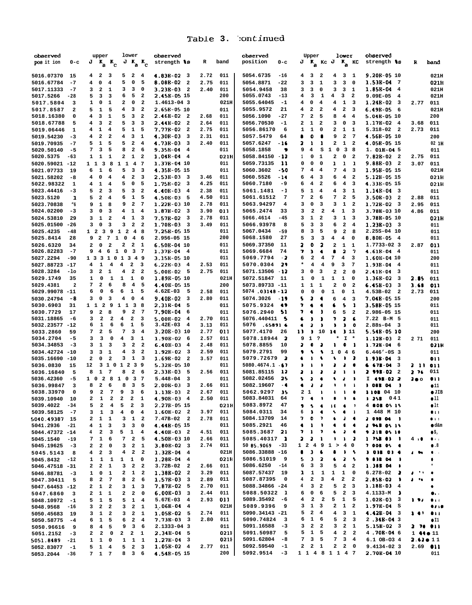# .—— **L:—** .-—a **Table 3. - :uIILIIlueu**

| observed                     |                         | upper                                             |                         | lower                                                         |                              | observed                                   |              |             | observed                                                | Upper                                   |                                                    | lower                                               | observed                                      |                                        |                       |
|------------------------------|-------------------------|---------------------------------------------------|-------------------------|---------------------------------------------------------------|------------------------------|--------------------------------------------|--------------|-------------|---------------------------------------------------------|-----------------------------------------|----------------------------------------------------|-----------------------------------------------------|-----------------------------------------------|----------------------------------------|-----------------------|
| pos it ion                   | $0 - c$                 | $J K_{\rm a} K_{\rm c}$                           |                         | $J K_{\rm a} K_{\rm c}$                                       |                              | strength 18                                | R            | band        | position<br>0-с                                         |                                         |                                                    | $J$ $K$ <sub>a</sub> $Kc$ $J$ $K$ <sub>a</sub> $Kc$ | strength 18                                   | R                                      | band                  |
|                              |                         |                                                   |                         |                                                               |                              |                                            |              |             |                                                         |                                         |                                                    |                                                     |                                               |                                        |                       |
| 5016.07370                   | 15                      | -2<br>4.                                          | 3                       | 5<br>2                                                        | $\overline{4}$               | $4.83E-02$ 3                               | 2.72         | 011         | 5054.6735<br>$-16$                                      | 4<br>3                                  | 2                                                  | 4<br>3 <sub>1</sub>                                 | $9.20B-0510$                                  |                                        | 021H                  |
| 5016.67784                   | $-7$                    | 0<br>4                                            | 4                       | 5<br>0                                                        | 5                            | 8.08B-02<br>$\overline{\mathbf{2}}$        | 2.75         | 011         | 5054.8871<br>$-22$                                      | 3<br>з                                  | 3<br>1                                             | 3<br>0                                              | 1.53E-04<br>- 7                               |                                        | 021H                  |
| 5017.11333                   | $-7$                    | 2<br>3                                            | 1                       | 3<br>з                                                        | 0                            | 3.23B-03<br>$\overline{a}$                 | 2.40         | 011         | 5054.9458<br>38<br>$-13$                                | 3<br>з                                  | 3<br>0                                             | 3<br>1                                              | 1.85B-04<br>4                                 |                                        | 021H                  |
| 5017.5266                    | -28<br>з                | 5<br>з<br>1<br>0                                  | з<br>1                  | 5<br>6<br>2<br>0                                              | 2<br>$\mathbf{2}$            | 2.458-05 15<br>1.4613-04 3                 |              | 200<br>021H | 5055.0743<br>5055.64045<br>$-1$                         | з<br>4<br>4<br>0                        | 1<br>4<br>4<br>4                                   | з<br>2<br>1<br>3                                    | $9.09E-05$<br>$\overline{4}$<br>1.24B-02<br>3 | 2.77                                   | 021H<br>011           |
| 5017.5804<br>5017.8587       | 2                       | 5<br>1                                            | 5                       | 3<br>4                                                        | $\overline{\mathbf{2}}$      | 2.65B-05 10                                |              | 011         | 5055.9572<br>21                                         | 4<br>2                                  | $\mathbf{2}$<br>4                                  | $\mathbf{2}$<br>3                                   | 6.498-05<br>6                                 |                                        | 021H                  |
| 5018.16380                   | 0                       | з<br>4                                            | 1                       | 5<br>з                                                        | $\mathbf{2}$                 | 2.46B-02<br>2                              | 2.68         | 011         | 5056.1090<br>-27                                        | 7<br>2                                  | 8<br>5                                             | 4<br>4                                              | 5.04B-05 10                                   |                                        | 200                   |
| 5018.67788                   | 5                       | з<br>4                                            | 2                       | 5<br>3                                                        | 3                            | 2.44B-02<br>$\overline{\mathbf{2}}$        | 2.64         | 011         | 5056.70530<br>-1                                        | 2<br>1                                  | $\overline{\mathbf{2}}$<br>3                       | 0<br>3                                              | 1.178-02<br>$\overline{4}$                    | 3.68                                   | 011                   |
| 5019.06446                   | 1                       | 1<br>4                                            | 4                       | 5<br>1                                                        | 5                            | 7.77B-02<br>2                              | 2.75         | 011         | 5056.86170<br>6                                         | 1<br>1                                  | 2<br>0                                             | 1<br>1                                              | $5.318 - 02$<br>- 2                           | 2.73                                   | 011                   |
| 5019.54230                   | $-3$                    | 2<br>4                                            | $\overline{\mathbf{2}}$ | 3<br>4                                                        | 1                            | 4.30B-03<br>з                              | 2.31         | 011         | 5057.5479<br>64                                         | ۰<br>8                                  | ٠<br>9                                             | $\mathbf{2}$<br>$7\phantom{.0}$                     | 4.56B-05 10                                   |                                        | 200                   |
| 5019.70935                   | $-7$                    | 1<br>5                                            | 5                       | $\mathbf{2}$<br>5                                             | 4                            | 4.73B-03<br>3                              | 2.40         | 011         | 5057.6247<br>$-16$                                      | 2<br>1                                  | 1<br>2                                             | 1<br>$\overline{\mathbf{2}}$                        | 4.05B-05 15                                   |                                        | 02 1H                 |
| 5020.50140                   | $-5$                    | 7<br>з                                            | 5                       | $\mathbf{2}$<br>8                                             | 6                            | <b>9.35B-04</b><br>$\overline{\mathbf{4}}$ |              | 011         | 5058.1858<br>9                                          | 9<br>4                                  | s<br>1                                             | $\mathbf 0$<br>$\overline{\mathbf{3}}$<br>- 8       | $1.01B-045$                                   |                                        | 011                   |
| 5020.5375                    | $-63$                   | 1<br>1                                            | 1                       | 2<br>1                                                        | $\mathbf{2}$                 | 1.04E-04<br>$\overline{\mathbf{4}}$        |              | 021H        | 5058.84150<br>- 12                                      | 1<br>0                                  | 2<br>1                                             | 0<br>$\overline{\mathbf{2}}$                        | 7.82B-02<br>- 2                               | 2.75                                   | 011                   |
| 5020.59021                   | $-12$                   | 11<br>$\overline{\mathbf{3}}$                     | 8                       | $1\quad1\quad4$                                               | $\overline{7}$               | 1.37B-04 10                                |              | 011         | 5059.73135<br>11                                        | 0<br>0                                  | 1<br>0                                             | 1<br>1                                              | 9.88E-03<br>- 2                               | 3.07                                   | 011                   |
| 5021.07733                   | 19                      | 1<br>6                                            | 6                       | 5<br>з                                                        | 3                            | 4.35B-05 15                                |              | 011         | 5060.3602<br>-50                                        | 7<br>4                                  | 7<br>4                                             | 4<br>3                                              | 1.958-05 15                                   |                                        | 021H                  |
| 5021.58202                   | -8                      | 0<br>4                                            | 4                       | $\mathbf{2}$<br>4                                             | 3                            | 2.53B-03<br>3                              | 3.46         | 011         | 5060.5526<br>$-14$                                      | 6<br>4                                  | 3<br>6                                             | 4<br>2                                              | 5.12B-05 15                                   |                                        | 021H                  |
| 5022.98322                   | 1                       | 4<br>1                                            | 4                       | 5<br>0                                                        | 5                            | 1.75B-02<br>-3                             | 4.25         | 011         | 5060.7180<br>-9                                         | 6<br>4                                  | $\mathbf{2}$<br>6                                  | 4<br>з                                              | 4.33E-05 15                                   |                                        | 021H                  |
| 5023.44416                   | -3                      | $\overline{\mathbf{2}}$<br>5                      | 3                       | 3<br>5                                                        | $\overline{\mathbf{2}}$      | 4.40B-03<br>4                              | 2.38         | 011         | 5061.1481<br>- 1                                        | 5<br>1                                  | 4<br>4                                             | 3<br>1                                              | 1.14E-04<br>- 3                               |                                        | 011                   |
| 5023.5120                    | 1                       | 5<br>2                                            | 4                       | 1<br>6                                                        | 5                            | 4.50E-03<br>5                              | 4.50         | 011         | 5061.61512<br>7                                         | 7<br>2                                  | 7<br>6                                             | $\mathbf{2}$<br>5                                   | $3.50E-03$<br>$\overline{\mathbf{2}}$         | 2.88                                   | 011                   |
| 5023.70838                   | "б                      | $\mathbf 1$<br>9                                  | 8                       | 9<br>2                                                        | 7                            | 1.22B-03 10                                | 2.78         | 011         | 5063.94297<br>4                                         | з<br>0                                  | з<br>з                                             | 1<br>2                                              | 1.72B-02<br>3                                 | 2.95                                   | 011                   |
| 5024.02200                   | $-3$                    | 3<br>0                                            | з<br>$\mathbf{2}$       | 4<br>1<br>4                                                   | $\overline{\mathbf{4}}$<br>з | 1.87E-02<br>3<br>7.57B-02<br>з             | 3.90<br>2.78 | 011<br>011  | 5065.2474<br>33<br>5066.4614<br>-45                     | $\overline{\mathbf{2}}$<br>з<br>з<br>1  | $\overline{\mathbf{2}}$<br>4<br>2<br>з             | 1<br>з<br>1<br>3                                    | 3.78B-03 10<br>3.78B-05 10                    | 4.86                                   | 011                   |
| 5024.53810<br>5025.01500     | 29<br>-26               | з<br>1<br>з<br>0                                  | 3                       | 1<br>$\mathbf{2}$<br>3                                        | $\overline{\mathbf{2}}$      | 1.70B-03<br>3                              | 3.49         | 011         | 5066.93978<br>8                                         | 5<br>з                                  | 3<br>6                                             | $\mathbf{2}$<br>4                                   | $1.23B-03$<br>- 3                             |                                        | 021H<br>011           |
| 5025.4235                    | -48                     | 1 2<br>3                                          | 9<br>$\mathbf{1}$       | $\overline{\mathbf{2}}$<br>4                                  | -8                           | 7.25B-05 15                                |              | 011         | 5067.0434<br>$-59$                                      | 8<br>з                                  | 9<br>5                                             | $\mathbf{2}$<br>8                                   | 2.255-04 10                                   |                                        | 011                   |
| 5025.8414                    | 28                      | 9<br>$\overline{\mathbf{2}}$                      | $\mathbf{7}$<br>1       | $\mathbf 0$<br>$\overline{4}$                                 | - 6                          | 2.956-05 15                                |              | 200         | 5068.1580<br>27                                         | 3<br>5                                  | 3<br>4                                             | 4<br>0                                              | 8.80E-05<br>$\overline{\mathbf{4}}$           |                                        | 011                   |
| 5026.6320                    | 34                      | 0<br>$\mathbf{2}$                                 | $\overline{2}$          | 2<br>2                                                        | 1                            | 6.50B-04 10                                |              | 011         | 5069.37350<br>11                                        | 2<br>0                                  | 2<br>2                                             | 1<br>1                                              | 1.7733-02 3                                   | 2.87                                   | 011                   |
| 5026.82283                   | $-7$                    | 9<br>4                                            | 6<br>$\mathbf{1}$       | 0<br>3                                                        | - 7                          | $1.37B - 04$ 4                             |              | 011         | 5069.6684<br>74                                         | 7<br>э                                  | ٠<br>$\bullet$                                     | 2<br>7                                              | 4.618-04<br>- 4                               |                                        | 011                   |
| 5027.2294                    | -90                     | 1 3 3                                             | 1<br>$\mathbf{o}$       | 1<br>3<br>-49                                                 |                              | 3.15B-05 10                                |              | 011         | 5069.7794<br>$\cdot$ 2                                  | $\mathbf{2}$<br>6                       | 7<br>4                                             | 4<br>з                                              | 1.60E-04 10                                   |                                        | 200                   |
| 5027.88723                   | $-17$                   | 4<br>1                                            | 4                       | 2<br>4                                                        | 3                            | 6.22B-03<br>$\overline{\mathbf{4}}$        | 2.53         | 011         | 29<br>5070.0304                                         | *<br>4                                  | 4<br>9                                             | з<br>7                                              | 1.93B-04<br>4                                 |                                        | 011                   |
| 5028.3284                    | -10                     | з<br>2                                            | 1                       | 2<br>4                                                        | $\overline{\mathbf{2}}$      | $5.00E-02 = 5$                             | 2.75         | 011         | 5071.13506<br>- 12                                      | з<br>0                                  | з<br>2                                             | $\mathbf{2}$<br>$\mathbf{o}$                        | 2.418-04<br>-3                                |                                        | 011                   |
| 5029.1749                    | 35                      | 1<br>0                                            | 1                       | 1<br>1                                                        | 0                            | 1.89B-05 10                                |              | 021H        | 5072.51847<br>11                                        | 1<br>0                                  | $\mathbf{1}$<br>1                                  | 1<br>0                                              | 1.36B-02<br>3                                 | 2.85                                   | 011                   |
| 5029.4381                    | $\overline{\mathbf{2}}$ | 2<br>7                                            | 6                       | $\overline{\bf 4}$<br>8                                       | 5                            | 4.40E-05 15                                |              | 200         | 5073.89733 -11                                          | 1<br>1                                  | 2<br>1                                             | 0<br>$\overline{\mathbf{2}}$                        | 6.45B-03<br>3                                 | 3.68                                   | 011                   |
| 5029.99078                   | $-11$                   | 6<br>0                                            | 6                       | 6<br>1                                                        | 5                            | $4.62E-03$<br>5                            | 2.58         | 011         | 5074.03148-12                                           | 0<br>0                                  | 0<br>1                                             | 0<br>1                                              | 4.53B-02<br>$\overline{\mathbf{2}}$           | 2.73                                   | 011                   |
| 5030.24794                   | -8                      | 0<br>3                                            | з                       | 4<br>0                                                        | 4                            | 9.40B-02<br>3                              | 2.80         | 011         | 5074.3026<br>-19                                        | s<br>2                                  | ٠<br>6                                             | $\overline{\bf 4}$<br>3                             | 7.04B-05 15                                   |                                        | 200                   |
| 5030.6903                    | 31                      | 11<br>$\overline{\mathbf{2}}$                     | 9<br>1                  | 1<br>3                                                        | -8                           | 2.31B-04<br>5                              |              | 011         | 5075.9324<br>49                                         | ,<br>٠                                  | ٠<br>6                                             | 5<br>1                                              | 3.58E-05 15                                   |                                        | 011                   |
| 5030.7729                    | 17                      | $\overline{\mathbf{2}}$<br>9                      | 8                       | 9<br>$\overline{\mathbf{2}}$                                  | -7                           | 7.90B-04<br>6                              |              | 011         | 5076.2940<br>51                                         | 7<br>٠                                  | D<br>6                                             | 5<br>$\overline{\mathbf{2}}$                        | 2.986-05 15                                   |                                        | 011                   |
| 5031.18865<br>5032.23577 -12 | -6                      | 3<br>$\overline{\mathbf{2}}$<br>1<br>6            | $\mathbf{2}$<br>6       | 4<br>$\mathbf{2}$<br>6<br>1                                   | 3<br>5                       | 5.00B-02<br>4<br>$3.42E-03$<br>4           | 2.70<br>3.13 | 011<br>011  | 5076.440411<br>-5<br>5076.658916                        | ß<br>J<br>٠<br>3                        | ı<br>7<br>э<br>э                                   | 2<br>6<br>э<br>۰                                    | $7.22$ B-M 5<br>$2.88s - 04$<br>- 3           |                                        | 011<br>011            |
| 5033.2860                    | 59                      | 7<br>2                                            | 5                       | 7<br>3                                                        | $\overline{\mathbf{4}}$      | 3.20E-03 10                                | 2.77         | 011         | 5077.4170<br>26                                         | 11<br>D                                 | 10<br>14                                           | 311                                                 | 5.548-05 10                                   |                                        | 200                   |
| 5034.2704                    | $-5$                    | з<br>3                                            | 0                       | 4<br>з                                                        | 1                            | 1.90B-02<br>6                              | 2.57         | 011         | 5078.18944<br>- 2                                       | 9<br>1                                  | ?                                                  | I.                                                  | 1.12B-03<br>$\overline{\mathbf{2}}$           | 2 71                                   | 011                   |
| 5034.34853                   | $-3$                    | з<br>1                                            | з                       | $\mathbf{2}$<br>з                                             | $\overline{\mathbf{2}}$      | $6.40B-03$<br>4                            | 2.48         | 011         | 5078.8855<br>10                                         | 3<br>۰                                  | ,<br>$\mathbf{I}$                                  | ۰<br>-1                                             | 1.72B-04<br>6                                 |                                        | 021H                  |
| 5034.42724                   | $-10$                   | 3<br>з                                            | 1                       | 3<br>4                                                        | $\mathbf{2}$                 | 1.92E-02<br>3                              | 2.59         | 011         | 5079.2791<br>99                                         | 9<br>۹.                                 | ۰<br>1                                             | $\mathbf 0$<br>46                                   | $6.446' - 0S$ 3                               |                                        | 011                   |
| 5035.16690                   | $-10$                   | 2<br>0                                            | $\mathbf{2}$            | з<br>1                                                        | 3                            | 1.69B-02<br>$\overline{\mathbf{2}}$        | 3.57         | 011         | 5079.72679<br>- 2                                       | 6<br>1                                  | A<br>v                                             | ,<br>,                                              | 1.938-04<br>-3                                |                                        | 0 I I                 |
| 5036.0830                    | 15                      | 12<br>3<br>1                                      | $\mathbf 0$             | 1 2<br>$\overline{\mathbf{3}}$                                | و.                           | 5.32B-05 10                                |              | 011         | 5080.4674.1<br>-67                                      | ı<br>ł                                  | 2                                                  | J.<br>л                                             | 678-DI<br>3                                   | 211                                    | 011                   |
| 5036.16840                   | 5                       | 8<br>1                                            | 7                       | 8<br>2                                                        | 6                            | 2.33B-03<br>5                              | 2.56         | 011         | 5081.85115<br>12                                        | J<br>ı                                  | đ<br>ı                                             | -1<br>-                                             | 2 998 O2<br>$\overline{\mathbf{2}}$           | 2 76                                   | 011                   |
| 5036.42360                   | $-5$                    | $1\quad$ 0<br>$\overline{\mathbf{2}}$             | 8<br>1                  | $\mathbf 0$<br>3                                              | -7                           | $5.448 - 04$<br>3                          |              | 011         | 5082.02456<br>25                                        | s<br>a                                  | ٠                                                  | 1<br>э                                              | 498-02-2<br>I                                 | 200                                    | .                     |
| 5036.99847                   | 3                       | 2<br>8                                            | 6                       | 8<br>3                                                        | 5                            | 2.00B-03<br>3                              | 2.66         | 011         | 5082.19607<br>- 4                                       | ٠<br>J                                  | J<br>,                                             | ۰<br>-1                                             | $)$ one or<br>- 3                             |                                        | $\bullet$ 11          |
| 5038.33970                   | $\mathbf 0$             | $\overline{\mathbf{2}}$<br>9                      | 7                       | 9<br>3                                                        | 6                            | 1.13B-03<br>$\overline{\mathbf{2}}$        | 2.67         | 011         | 5062.9297<br>35                                         | 21                                      | 1<br>٠                                             | $\mathbf{1}$<br>٠                                   | 1105 04 10                                    |                                        | $\bullet$ JIB         |
| 5039.10940                   | 10                      | 2<br>1                                            | 2                       | 2<br>2                                                        | 1                            | 4.90B-03 4                                 | 2.50         | 011         | 5083.84031<br>64                                        | 7.<br>٠                                 |                                                    |                                                     | 1 25B<br>041                                  |                                        | $\bullet$ 11          |
| 5039.4022                    | $-34$                   | $\mathbf 2$<br>5                                  | $\overline{\mathbf{4}}$ | 5<br>$\mathbf{2}$                                             | $\overline{\mathbf{3}}$      | 2.27B-05 15<br>$1.60E-02$ 2                | 3.97         | 021H<br>011 | 5083.8972<br>47<br>5084.0311<br>34                      | 9<br>$\bullet$<br>J.<br>6               | $\bullet$<br>$\mathbf{1}$<br>$\blacklozenge$       | $\bullet$<br>$\mathbf{r}$                           | 4 808 05 15<br>1 448 M 10                     |                                        | $\bullet$ lt          |
| 5039.58125<br>5040.49387 15  | $-7$                    | $\mathbf{1}$<br>3<br>$\mathbf 1$<br>$\mathbf{2}$  | 3<br>$\mathbf 1$        | $\overline{\mathbf{4}}$<br>$\mathbf 0$<br>$3 \quad 1 \quad 2$ | $\overline{\bf 4}$           | $7.47B-02$ 2                               | 2.78         | 011         | 5084.13709 14                                           | 7.<br>0 <sub>7</sub>                    | ٠<br>٠                                             | ٠<br>-1<br>$\lambda$<br>٠                           | $2.09804$ $3.09804$                           |                                        | $\blacksquare$<br>811 |
| 5041.2936                    | $-21$                   | $4 \quad 1$                                       | 3                       | $\overline{\mathbf{3}}$<br>з                                  | $\mathbf 0$                  | 4.44B-05 15                                |              | 011         | 5085.2921<br>46                                         | ٠<br>-1                                 | ٠<br>J.                                            | 6<br>٠                                              | <b>2 MB OS IS</b>                             |                                        | $\bullet$ d&m         |
| 5044.47372 -14               |                         | $\mathbf{2}$<br>4                                 | $\overline{\mathbf{3}}$ | $5$ 1 4                                                       |                              | $4.40B-03$ 2                               | 4.51         | 011         | 5085.3687<br>21                                         | $1 - 7$<br>7                            | $\bullet$                                          | $\lambda$<br>$\bullet$                              | 9 318 05 10                                   |                                        | ●\$,                  |
| 5045.1540                    | $-19$                   | $\mathbf{1}$<br>7                                 | 6                       | 7<br>$\mathbf{2}$                                             | 5                            | 4.50B-03 10                                | 2.66         | 011         | 5085.40317 1                                            | 2<br>$\mathbf{z}$                       | $\mathbf{1}$<br>۰                                  | $\mathbf{1}$<br><sup>2</sup>                        | 1.758.01.1                                    | $4 \cdot 0$                            | $\bullet$ and         |
| 5045.19625                   | $-3$                    | $\mathbf{2}$<br>$\mathbf{2}$                      | 0                       | 3 <sub>2</sub>                                                | $\mathbf{1}$                 | $3.80B-02$ 3                               | 2.74         | 011         | 50 85.9069<br>$-33$                                     |                                         |                                                    | 1 2 4 9 1 > 4 0                                     | 7 008 05 0                                    |                                        | $\bullet$ .8          |
| 5045.5143                    | 8                       | $\mathbf{2}$<br>4                                 | 3                       | $\mathbf{2}$<br>4                                             | $\overline{2}$               | $1.32B-04$ 4                               |              | 021H        | 5086.33888 -16                                          | J.<br>٠                                 | $\bullet$<br>٠                                     | $\sqrt{2}$                                          | <b>JOIR 01 0</b>                              | $\blacksquare$                         | $\bullet$             |
| 5045.8432                    | $-12$                   | $1\quad1\quad1$                                   |                         | $1 \quad 1 \quad 0$                                           |                              | $1.28E-04$ 4                               |              | 021H        | 5086.51019<br>و ۔                                       | 5.<br>3                                 | 2<br>$\bullet$                                     | 2 <sub>5</sub>                                      | 9.838.04<br>- 1                               |                                        |                       |
| 5046.47518 -31               |                         | $\overline{a}$<br>$\mathbf{2}$                    | $\mathbf{1}$            | 3<br>$\overline{\mathbf{2}}$                                  | $\overline{\mathbf{2}}$      | $3.72B-02$ 2                               | 2.66         | 011         | 5086.6250<br>$-14$                                      | 6<br>3                                  | 3<br>5                                             | $\overline{4}$<br>$\overline{\mathbf{2}}$           | 1.388 04<br>- 1                               |                                        | $\star$               |
| $5046.88781 - 3$             |                         | $1 \quad 0$                                       | $\mathbf{1}$            | $2 \quad 1 \quad 2$                                           |                              | 1.38B-02 2                                 | 3.29         | 011         | 5087.57437<br>19                                        | $\mathbf{1}$<br>1                       | $\mathbf{1}$<br>$\mathbf{1}$                       | $1 \quad 0$                                         | $6.278 - 02$ 2                                | $\mathbf{J}$ . The set of $\mathbf{J}$ | $\bullet$             |
| 5047.30411                   | 5                       | $\overline{a}$<br>8                               | $\overline{7}$          | $\mathbf{2}$<br>8                                             | 6                            | $1.57E-033$                                | 2.89         | 011         | 5087.87395<br>$\overline{\mathbf{0}}$                   | $\overline{\mathbf{4}}$<br>$\mathbf{2}$ | $\overline{\mathbf{3}}$<br>$\overline{\mathbf{4}}$ | $2 \quad 2$                                         | 2.85B-02<br>$\cdot$                           | $\mathbf{J}$ . The $\mathbf{J}$        | ۰                     |
| 5047.64453 -12               |                         | $2 \quad 1 \quad 2$                               |                         | $3\quad 1\quad 3$                                             |                              | $7.87B-025$                                | 2.70         | 011         | 5088.34866 -24                                          | 4<br>3                                  | $\overline{\mathbf{2}}$                            | 5<br>$2 \quad 3$                                    | $1.18E-034$                                   |                                        | ٠                     |
| 5047.6860                    | $\overline{\mathbf{3}}$ | $2 \quad 1 \quad 1$                               |                         | $\mathbf{2}$<br>$\mathbf{2}$                                  | $\overline{\mathbf{0}}$      | $6.00B-03$ 3                               | 2.44         | 011         | 5088.50322 1                                            | 0<br>6                                  | 6                                                  | $5$ 2 3                                             | $4.1133 - M$ )                                |                                        | $\bullet\cdot\cdot$   |
| 5048.10972                   | $-1$                    | $\mathbf{1}$<br>$5 -$                             | 5                       | $\mathbf{1}$<br>5                                             | $\overline{4}$               | $5.67E-03$ 4                               | 2.93         | 011         | $5089.35492 - 6$                                        | $\overline{\mathbf{2}}$<br>4            | $\overline{\mathbf{2}}$<br>5                       | $\mathbf{1}$<br>5                                   | $1.02B-03$ 3                                  | .                                      | $0 + 1$               |
| 5048.9568                    | $-16$                   | $\overline{\mathbf{2}}$<br>3                      | $\overline{\mathbf{2}}$ | $3$ 2 1                                                       |                              | $1.06B - 04$ 4                             |              | 021H        | 5089.9396<br>9                                          | $1 \quad 3$<br>3                        |                                                    | $2 \quad 1 \quad 2$                                 | $1.97E-04S$                                   |                                        |                       |
| 5050.45683                   | 19                      | $\mathbf{1}$<br>3                                 | $\overline{\mathbf{2}}$ | $\mathbf{3}$<br>2 <sub>1</sub>                                |                              | $1.05B-02$ 5                               | 2.74<br>2.80 | 011<br>011  | 5090.34143 -21<br>5090.74824<br>$\overline{\mathbf{3}}$ | $2 \quad 4$<br>5<br>6<br>$1\quad 6$     |                                                    | 4<br>3 <sub>1</sub><br>5<br>$2 \quad 3$             | $4.42B-04$ 3                                  | <b>147 BII</b>                         |                       |
| 5050.58775                   | $-4$<br>9               | $\mathbf{1}$<br>6<br>$\overline{\mathbf{4}}$<br>8 | 5<br>5                  | $2 \quad 4$<br>6<br>3<br>9                                    | - 6                          | $7.73B-03$ 3<br>2.1333-04 3                |              | 011         | 5091.16588<br>$-3$                                      | 3                                       | $2\quad 2$                                         | 3<br>2 <sub>1</sub>                                 | $2.34B-04.3$<br>$5.15B-02$ 3                  | 2 78 811                               | $\bullet$ I1          |
| 5050.96616<br>5051.2152      | $-3$                    | $\mathbf{2}$<br>$\mathbf{2}$                      | $\mathbf 0$             | $\mathbf{2}$<br>$\overline{\mathbf{2}}$                       | $\mathbf{1}$                 | $2.34E-04$ 5                               |              | 021F        | 5091.50987<br>5                                         | 5<br>$1\quad 5$                         |                                                    | $\overline{\mathbf{4}}$<br>$2 \quad 2$              | 4.70B-046                                     | 1 440 11                               |                       |
| 5051.8489                    | $-21$                   | $\mathbf{1}$<br>$\mathbf{1}$                      | $\mathbf 0$             | $1 \quad 1 \quad 1$                                           |                              | $1.27E-04$ 3                               |              | 021F        | 5091.62804<br>-8                                        | 7                                       | 3 <sub>5</sub>                                     | $7\overline{ }$<br>$3 \quad 4$                      | 6.1 OB-03 4                                   | 2.62011                                |                       |
| 5052.83077                   | $-1$                    | 5<br>$\mathbf{1}$                                 | $\overline{\mathbf{4}}$ | $2 \quad 3$<br>5                                              |                              | $1.05B-02$ 4                               | 2.77         | 011         | 5092.59540<br>$-1$                                      | 2<br>2 <sub>1</sub>                     |                                                    | 2<br>$2 \quad 0$                                    | 9.4134-02 3                                   | $2.69$ <b>011</b>                      |                       |
| 5053.2044                    | $-36$                   | 7 1 7                                             |                         | 8 3 6                                                         |                              | 4.54B-05 15                                |              | 200         | 5092.9514<br>$-3$                                       |                                         |                                                    | 1 1 4 8 1 1 4 7                                     | 2.70B-04 10                                   |                                        | 011                   |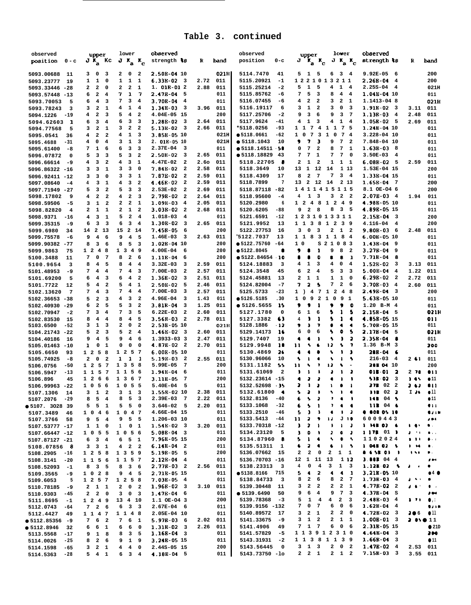| observed<br>position<br>$0 - c$        | upper<br>$J K_a$ Kc                                            | lower<br>$J K_a K_c$                                                   | observed<br>strength <b>ts</b>                       | R            | band            | observed<br>position<br>$0 - c$                           | lower<br>upper<br>$\mathbf{r_a}$ $\mathbf{r_c}$<br>$J K_{\rm a} K_{\rm c}$<br>J                                                                                 | observed<br>strength ts                               | R                                  | band                                                                                                                                                                                                                                                                                                                                                                                                                                                                     |
|----------------------------------------|----------------------------------------------------------------|------------------------------------------------------------------------|------------------------------------------------------|--------------|-----------------|-----------------------------------------------------------|-----------------------------------------------------------------------------------------------------------------------------------------------------------------|-------------------------------------------------------|------------------------------------|--------------------------------------------------------------------------------------------------------------------------------------------------------------------------------------------------------------------------------------------------------------------------------------------------------------------------------------------------------------------------------------------------------------------------------------------------------------------------|
| 5093.00688<br>11                       | 3 0<br>- 3                                                     | 2<br>0<br>2                                                            | 2.50B-04 10                                          |              | 021H            | 5114.7470<br>41                                           | 5 1 5<br>6 3 4                                                                                                                                                  | $9.92E-05$<br>- 6                                     |                                    | 200                                                                                                                                                                                                                                                                                                                                                                                                                                                                      |
| 5093.23777<br>19                       | $1\quad1$<br>$\overline{\mathbf{0}}$                           | $\mathbf{1}$<br>$1\quad$                                               | $6.33B-02$ 3                                         | 2.72         | 011             | 5115.20921<br>$-1$                                        | 1221013211                                                                                                                                                      | 2.268-04<br>$\overline{\mathbf{4}}$                   |                                    | 200                                                                                                                                                                                                                                                                                                                                                                                                                                                                      |
| 5093.33446<br>$-28$                    | $\mathbf{2}$<br>2<br>$\mathbf 0$                               | 2<br>$\overline{\mathbf{2}}$<br>1                                      | $1.01B-012$                                          | 2.88         | 011             | 5115.25214<br>$-2$                                        | 1<br>5<br>4<br>5<br>$1 \quad 4$                                                                                                                                 | $2.25S-04$<br>$\overline{4}$                          |                                    | 021H                                                                                                                                                                                                                                                                                                                                                                                                                                                                     |
| 5093.57448 -13                         | $\mathbf{2}$<br>6<br>4                                         | 7<br>-7<br>$\mathbf{1}$                                                | 2.47B-04<br>- 5                                      |              | 011             | 5115.85762<br>-6                                          | 5<br>7<br>$\overline{\mathbf{3}}$<br>8<br>$4\quad 4$                                                                                                            | 1.04B-04 10                                           |                                    | 011                                                                                                                                                                                                                                                                                                                                                                                                                                                                      |
| 5093.70053<br>5                        | $\overline{\mathbf{4}}$<br>6<br>-3<br>$\mathbf{2}$<br>1        | 7<br>3<br>4<br>4<br>$\mathbf{1}$<br>$\overline{4}$                     | 3.70B-04<br>- 4<br>$1.34B-03$ 3                      | 3.96         | 011<br>011      | 5116.07455<br>-6<br>5116.19117<br>6                       | $\overline{\mathbf{2}}$<br>$\overline{a}$<br>$\overline{\mathbf{2}}$<br>3<br>$\mathbf{1}$<br>4<br>$\mathbf{1}$<br>3<br>0<br>3<br>$\overline{\mathbf{2}}$<br>- 3 | 1.1413-04 8<br>$1.91B-02$ 3                           | 3.11                               | 021H<br>011                                                                                                                                                                                                                                                                                                                                                                                                                                                              |
| 5093.78243<br>3<br>5094.1226<br>$-19$  | 3<br>$\mathbf{2}$<br>3<br>4                                    | 5<br>4<br>$\overline{\mathbf{2}}$                                      | 4.04E-05 15                                          |              | 200             | 5117.25706<br>$-2$                                        | 3<br>6<br>9<br>3<br>9<br>- 7                                                                                                                                    | 1.13B-03<br>$\overline{\mathbf{4}}$                   | 2.48                               | 011                                                                                                                                                                                                                                                                                                                                                                                                                                                                      |
| 5094.62603<br>$\mathbf{1}$             | 3<br>6<br>4                                                    | 6<br>3<br>3                                                            | 1.28B-02<br>$_{3}$                                   | 2.64         | 011             | 5117.9624<br>$-41$                                        | 1<br>4<br>$\mathbf{1}$<br>3<br>-4<br>4                                                                                                                          | $1.05B-02$ 5                                          | 2.69                               | 011                                                                                                                                                                                                                                                                                                                                                                                                                                                                      |
| 5094.77568<br>5                        | $\overline{\mathbf{2}}$<br>3<br>1                              | 3<br>$\overline{\mathbf{2}}$<br>$\overline{\mathbf{2}}$                | $5.13B-02$<br>- 3                                    | 2.66         | 011             | *5118.0256<br>$-93$                                       | 7 5<br>74<br>$1\quad1$<br>$1\quad1$                                                                                                                             | 1.24B-04 10                                           |                                    | 011                                                                                                                                                                                                                                                                                                                                                                                                                                                                      |
| 5095.0541<br>36                        | 4<br>2<br>$\overline{\mathbf{2}}$                              | 4<br>1<br>3                                                            | 3.858-05 10                                          |              | 021H            | • 5118.0661<br>-62                                        | 7<br>3<br>$\mathbf{1}$<br>$\mathbf{o}$<br>-7<br>1 0<br>-4                                                                                                       | 3.228-04 10                                           |                                    | 011                                                                                                                                                                                                                                                                                                                                                                                                                                                                      |
| -31<br>5095.4688                       | 0<br>4<br>4                                                    | $\mathbf 1$<br>3<br>3                                                  | 2. 01E-05 10                                         |              | 021H            | • 5118.1043<br>10                                         | 7<br>3<br>$7\overline{ }$<br>,<br>9<br>$\overline{\mathbf{2}}$                                                                                                  | 7.848-04 10                                           |                                    | 011                                                                                                                                                                                                                                                                                                                                                                                                                                                                      |
| 5095.61400<br>-8                       | 1<br>7<br>6                                                    | 6<br>3<br>3<br>5<br>$\mathbf{3}$<br>$\overline{\mathbf{2}}$            | $2.37E-04$<br>$_{3}$<br>2.50B-02<br>$_{3}$           | 2.65         | 011<br>011      | $\bullet$ 5118.14511 $\cdot$ 50<br>• 5118.18829<br>-43    | 7<br>$\overline{\mathbf{2}}$<br>$\overline{7}$<br>8<br>1<br>0<br>$7\overline{ }$<br>7 0<br>1<br>7<br>7                                                          | $1.63B-03$ 8<br>$3.50E-03$<br>$\overline{\mathbf{4}}$ |                                    | 011                                                                                                                                                                                                                                                                                                                                                                                                                                                                      |
| 5096.07872<br>0<br>5096.66614<br>-9    | 3<br>5<br>-3<br>3<br>4<br>$\overline{\mathbf{2}}$              | 4<br>3<br>1                                                            | $4.47E-02$<br>$\overline{\mathbf{2}}$                | 2.60         | 011             | 5118.22705<br>- 8                                         | 2<br>$\mathbf{1}$<br>$\overline{\mathbf{2}}$<br>1<br>1 1                                                                                                        | $6.08B-025$                                           | 2.59                               | 011<br>011                                                                                                                                                                                                                                                                                                                                                                                                                                                               |
| 5096.86322 -16                         | 3<br>1<br>3                                                    | 3<br>3<br>0                                                            | 7.84B-02<br>$\overline{\mathbf{2}}$                  | 2.58         | 011             | 5118.3649<br>10                                           | 1 13<br>13 1 12 14                                                                                                                                              | 1.53E-04 15                                           |                                    | 200                                                                                                                                                                                                                                                                                                                                                                                                                                                                      |
| 5096.92411 -12                         | 3<br>0<br>3                                                    | з<br>3<br>1                                                            | 7.87B-02<br>$\overline{\mathbf{2}}$                  | 2.59         | 011             | 5118.4309<br>17                                           | $\overline{\mathbf{2}}$<br>$\overline{7}$<br>7<br>$\mathbf{3}$<br>8<br>$\overline{4}$                                                                           | 1.33B-04 15                                           |                                    | 011                                                                                                                                                                                                                                                                                                                                                                                                                                                                      |
| 5097.08640<br>$-4$                     | 3<br>$\mathbf{1}$<br>4                                         | 4<br>$\mathbf{3}$<br>$\overline{\mathbf{2}}$                           | $4.46E-02$ 2                                         | 2.59         | 011             | 7<br>5118.7899                                            | 13 2 12 14<br>2 13                                                                                                                                              | 1.658-04 7                                            |                                    | 200                                                                                                                                                                                                                                                                                                                                                                                                                                                                      |
| 5097.71949 -27                         | 3<br>5<br>$\overline{\mathbf{2}}$                              | 5<br>3<br>3                                                            | 2.53E-02<br>$\overline{\mathbf{2}}$                  | 2.69         | 011             | 5118.87118 -82                                            | 1411415115                                                                                                                                                      | 8.1 OE-04 6                                           |                                    | 200                                                                                                                                                                                                                                                                                                                                                                                                                                                                      |
| 5098.17802<br>9                        | $\mathbf{2}$<br>$\overline{\mathbf{2}}$<br>4                   | $\overline{\mathbf{2}}$<br>4<br>3                                      | 2.79B-02<br>$\overline{\mathbf{2}}$                  | 2.64         | 011             | 5118.95600<br>$-4$                                        | 1 3<br>3<br>2 2<br>4                                                                                                                                            | $2.07B-034$                                           | 1.94                               | 011                                                                                                                                                                                                                                                                                                                                                                                                                                                                      |
| 5098.59506<br>$-5$                     | 1<br>$\overline{\mathbf{2}}$<br>3                              | 2<br>$\overline{a}$<br>1                                               | 1.09E-03<br>$\overline{4}$<br>$3.03B-02$             | 2.05         | 011             | 5120.2980<br>6                                            | 48<br>1 2<br>$1\quad 2$<br>-49<br>$\overline{\mathbf{2}}$<br>8<br>3 <sub>5</sub>                                                                                | 4.98B-05 10<br>4.89B-05 15                            |                                    | 011                                                                                                                                                                                                                                                                                                                                                                                                                                                                      |
| 5098.82820<br>4<br>5098.9371<br>-16    | 1<br>2<br>1<br>3<br>1<br>4                                     | 2<br>$1\quad 2$<br>5<br>$\overline{2}$<br>$\overline{4}$               | $\overline{\mathbf{2}}$<br>1.018-03<br>4             | 2.68         | 011<br>011      | 5120.6205<br>$-88$<br>5121.6591<br>$-12$                  | 9<br>8<br>1 2 3 1 0 1 3 3 1 1                                                                                                                                   | 2.15B-04<br>$\overline{\mathbf{3}}$                   |                                    | 011<br>200                                                                                                                                                                                                                                                                                                                                                                                                                                                               |
| 5099.35315<br>-9                       | 3<br>3<br>6                                                    | 6<br>3<br>$\overline{\mathbf{4}}$                                      | 1.30B-02<br>$\overline{\mathbf{3}}$                  | 2.65         | 011             | 5121.9952<br>13                                           | 1 1 3 8 1 2 3 9                                                                                                                                                 | 4.116-04<br>4                                         |                                    | 200                                                                                                                                                                                                                                                                                                                                                                                                                                                                      |
| 5099.6980<br>34                        | 14 2 13                                                        | 15<br>2 14                                                             | 7.45B-05<br>6                                        |              | 200             | 5122.27753<br>16                                          | 3<br>$\overline{\mathbf{0}}$<br>3<br>2<br>1 2                                                                                                                   | $9.80B-03$<br>- 6                                     | 2.48                               | 011                                                                                                                                                                                                                                                                                                                                                                                                                                                                      |
| 5099.75578<br>-6                       | 9<br>$\overline{\mathbf{4}}$<br>6                              | 9<br>$4\phantom{1}$<br>- 5                                             | $1.46E-03$<br>$\overline{\mathbf{3}}$                | 2.63         | 011             | 15122.7037<br>13                                          | 1 1 8 3 1 1 8 4                                                                                                                                                 | 6.00E-05 10                                           |                                    | 011                                                                                                                                                                                                                                                                                                                                                                                                                                                                      |
| 5099.90382 -77                         | 3<br>- 6<br>8                                                  | 8<br>5<br>$\overline{\mathbf{3}}$                                      | 1.028-04 10                                          |              | 200             | • 5122.75760<br>-64                                       | S 2 1 0 8 3<br>1 <sub>0</sub>                                                                                                                                   | 1.43B-04<br>و _                                       |                                    | 011                                                                                                                                                                                                                                                                                                                                                                                                                                                                      |
| 5099.9863<br>75                        | $1\quad 2$<br>48                                               | 1 3 4 9                                                                | 4.00E-04<br>6                                        |              | 200             | ● 5122.8045<br>0                                          | 1<br>,<br>9<br>8<br>$\overline{\mathbf{2}}$                                                                                                                     | $3.27B-04$<br>و.                                      |                                    | 011                                                                                                                                                                                                                                                                                                                                                                                                                                                                      |
| 5100.3488<br>11                        | 7<br>0<br>-7                                                   | $\mathbf{2}$<br>8<br>6                                                 | 1.11E-04<br>6                                        |              | 200             | $• 5122.84654$ 10                                         | 8<br>O<br>۰<br>8<br>$\mathbf{1}$                                                                                                                                | 7.71B-04<br>-8                                        |                                    | 011                                                                                                                                                                                                                                                                                                                                                                                                                                                                      |
| 5100.9654<br>з<br>5101.48953<br>-9     | 4<br>5<br>8<br>7<br>4<br>4                                     | 8<br>4<br>4<br>7<br>4<br>$\overline{\mathbf{3}}$                       | $3.32E-03$<br>з<br>7.00E-03<br>$\mathbf{2}$          | 2.59<br>2.57 | 011<br>011      | 5124.18883<br>з<br>5124.3548<br>45                        | 4<br>4<br>1<br>$\overline{\mathbf{3}}$<br>0<br>4<br>2<br>5<br>$\overline{\mathbf{4}}$<br>3<br>3<br>6                                                            | $1.52E-02$<br>- 3<br>$5.00B-04$<br>$\overline{4}$     | 3.13<br>1.22                       | 011<br>011                                                                                                                                                                                                                                                                                                                                                                                                                                                               |
| 5101.69200<br>5                        | 6<br>$\overline{\mathbf{4}}$<br>3                              | 6<br>4<br>$\overline{\mathbf{2}}$                                      | 1.36B-02<br>3                                        | 2.51         | 011             | 5124.45881<br>13                                          | 1<br>2<br>1<br>1<br>1<br>$\mathbf 0$                                                                                                                            | 6.29B-02<br>$\overline{\mathbf{2}}$                   | 2.72                               | 011                                                                                                                                                                                                                                                                                                                                                                                                                                                                      |
| 5101.7722<br>12                        | $\overline{\mathbf{2}}$<br>5<br>$\overline{\mathbf{4}}$        | 5<br>$\overline{4}$<br>$\mathbf{1}$                                    | 2.50E-02<br>5                                        | 2.46         | 011             | 5124.82004<br>$-7$                                        | $\overline{\mathbf{a}}$<br>s<br>7<br>$\overline{\mathbf{2}}$<br>7<br>- 6                                                                                        | 3.70E-03<br>$\overline{4}$                            | 2.60                               | 011                                                                                                                                                                                                                                                                                                                                                                                                                                                                      |
| 5102.13620<br>7                        | 7<br>4<br>3                                                    | 7<br>4<br>$\overline{4}$                                               | 7.00E-03<br>3                                        | 2.57         | 011             | 5125.5733<br>$-23$                                        | 4 7 1 2<br>48<br>1)                                                                                                                                             | 2.49B-04<br>$\overline{\mathbf{3}}$                   |                                    | 200                                                                                                                                                                                                                                                                                                                                                                                                                                                                      |
| $5102.36653 - 38$                      | $\mathbf{2}$<br>5<br>- 3                                       | 4<br>3<br>$\overline{\mathbf{2}}$                                      | 4.96E-04<br>3                                        | 1.43         | 011             | •5126.5185<br>.30                                         | 9 2<br>1 0 9 1<br>1 0                                                                                                                                           | $5.638 - 0510$                                        |                                    | 011                                                                                                                                                                                                                                                                                                                                                                                                                                                                      |
| 5102.40930<br>-29                      | $\overline{\mathbf{2}}$<br>6<br>-5                             | 5<br>3<br>$\overline{\mathbf{2}}$                                      | $3.81E-04$<br>3                                      | 1.25         | 011             | • 5126.5655<br>-15                                        | ,<br>- 1<br>,<br>$\bullet$<br>۰<br>,                                                                                                                            | $1.20$ B-M 4                                          |                                    | 011                                                                                                                                                                                                                                                                                                                                                                                                                                                                      |
| 5102.70947<br>$-2$                     | 3<br>7<br>$\overline{4}$                                       | 7 <sup>7</sup><br>3<br>5                                               | $6.22E-03$<br>$\overline{\mathbf{2}}$                | 2.60         | 011             | 5127.1780<br>0                                            | $\mathbf{1}$<br>6<br>-1<br>-5<br>6<br>s                                                                                                                         | $2.15B - 04$ 5                                        |                                    | 021H                                                                                                                                                                                                                                                                                                                                                                                                                                                                     |
| 5102.83530<br>15<br>5103.6500<br>-52   | $\overline{\mathbf{4}}$<br>8<br>$\overline{4}$<br>1<br>3<br>-3 | 8<br>$\overline{\mathbf{4}}$<br>5<br>$\overline{\mathbf{2}}$<br>2<br>0 | $3.56B-03$<br>$\overline{\mathbf{2}}$<br>2.53B-05 10 | 2.78         | 011<br>021H     | 5127.3382<br>63<br>5128.1886<br>- 12                      | ı<br>s<br>-1<br>4<br>-1<br>4<br>э<br>7<br>$\blacktriangleleft$<br>$\bullet$<br>,                                                                                | 4.85B-05 15<br>5.70B-05 15                            |                                    | 011<br>011                                                                                                                                                                                                                                                                                                                                                                                                                                                               |
| 5104.21743 -22                         | 5<br>2<br>3                                                    | 5<br>$\overline{a}$<br>$\overline{4}$                                  | $1.46B-02$ 3                                         | 2.60         | 011             | 5129.14173<br>16                                          | s<br>5<br>0<br>6<br>۰<br>6                                                                                                                                      | 2.17B-04<br>5                                         |                                    | 02 I H                                                                                                                                                                                                                                                                                                                                                                                                                                                                   |
| 5104.40186<br>16                       | 9<br>4<br>5                                                    | 9<br>4<br>6                                                            | 1.3933-03 3                                          | 2.47         | 011             | 5129.7407<br>19                                           | ٠<br>s<br>D<br>-2<br>٠<br>-                                                                                                                                     | 2.35B-04<br>-8                                        |                                    | 011                                                                                                                                                                                                                                                                                                                                                                                                                                                                      |
| 5105.01463 -10                         | 1<br>1<br>0                                                    | 0<br>0<br>0                                                            | $4.87E-02$ 2                                         | 2.70         | 011             | 5129.9948<br>10                                           | ۰<br>12<br>s<br>7<br>11<br>٠                                                                                                                                    | $1.36$ B-M $3$                                        |                                    | 200                                                                                                                                                                                                                                                                                                                                                                                                                                                                      |
| 5105.6650<br>93                        | 5<br>$1\quad 2$<br>- 8                                         | 1 2 5 7                                                                | $6.00E-0510$                                         |              | 011             | 5130.4869<br>26                                           | ٠<br>٠<br>۹<br>J.<br>٠<br>-                                                                                                                                     | 28B-04<br>-6                                          |                                    | 011                                                                                                                                                                                                                                                                                                                                                                                                                                                                      |
| 5105.74925<br>-8                       | $\overline{\mathbf{2}}$<br>$\mathbf{2}$<br>0                   | $\mathbf{1}$<br>$\mathbf{1}$<br>- 1                                    | $5.19B-03$<br>$\overline{\mathbf{2}}$                | 2.55         | 011             | 5130.96066<br>10                                          | s.<br>$\mathbf{1}$<br>٠<br>٠<br>$\mathbf{1}$<br>-5<br>7                                                                                                         | $216 - 03$<br>4                                       | $2 \cdot 1$                        | 011                                                                                                                                                                                                                                                                                                                                                                                                                                                                      |
| 5106.0756<br>-50<br>5106.5947<br>$-13$ | 1 2 5<br>$\overline{7}$<br>1 1 5 7                             | 1 3 5 8<br>1 1 5 6                                                     | 5.99E-05<br>- 7<br>1.94B-04<br>6                     |              | 200<br>011      | 5131.1182<br>-55<br>5131.61069<br>$\overline{\mathbf{2}}$ | ٠<br>12<br>٠<br>11<br>$\overline{\phantom{a}}$<br>D<br>1<br>-<br>đ<br>1<br>ı,                                                                                   | 28E 04 10<br><b>OIR 01</b><br>- 2                     | 270                                | 200<br>011                                                                                                                                                                                                                                                                                                                                                                                                                                                               |
| 5106.896<br>45                         | 1 2 6 6                                                        | 1 3 6 7                                                                | 3.11E-05<br>-7                                       |              | 200             | 5132.23614 -15                                            | ,<br>J<br>٠<br>٠<br>٠<br>٠                                                                                                                                      | 518 02<br>$\overline{\mathbf{3}}$                     | 3.45                               | •11                                                                                                                                                                                                                                                                                                                                                                                                                                                                      |
| 5106.99963 -22                         | 1056                                                           | 1 0 5 5                                                                | 5.40E-04<br>- 5                                      |              | 011             | $5132.52698 - 35$                                         | $\mathbf{1}$<br>,<br>$\mathbf{a}$<br>١<br>٠<br>$\mathbf{1}$                                                                                                     | 278 02 2                                              | 2 LJ                               | $\bullet \bullet \bullet$                                                                                                                                                                                                                                                                                                                                                                                                                                                |
| 5107.1306<br>14                        | $3\quad 1\quad 2$                                              | $3 \quad 1 \quad 3$                                                    | 1.55B-02 10                                          |              | 2.38 011        | 5132.61800 4                                              | $\mathbf{z}$<br>A.<br>- 1<br>- 4                                                                                                                                | 338022                                                | T JA                               | $\bullet$ 11                                                                                                                                                                                                                                                                                                                                                                                                                                                             |
| 5107.2076 -29                          | $8\quad 5\quad 4$                                              | $8\quad 5\quad 3$                                                      | $2.39E-03$ 7                                         |              | 2.22 011        | 5132.8136 -40                                             | 6 5 2 7 4 1                                                                                                                                                     | 148 04 5                                              |                                    | •11                                                                                                                                                                                                                                                                                                                                                                                                                                                                      |
| • 5107.302839                          | $5\quad 5\quad 1$<br>1046                                      | $5\quad 5\quad 0$<br>1 0 4 7                                           | $3.646 - 02$ 5<br>4.66E-04 15                        |              | 2.20 011<br>011 | 5133.1068 -32<br>5133.2510<br>-46                         | 7.4.4<br>$5 - 1$<br>6<br>$\mathbf{1}$<br>$\bullet$<br>$\sqrt{2}$<br>5.                                                                                          | 118 04 4<br><b>8 808 05 10</b>                        |                                    | 011<br>0.111                                                                                                                                                                                                                                                                                                                                                                                                                                                             |
| 5107.3489<br>46<br>5107.3766<br>58     | 954                                                            | 9 5 5                                                                  | 1.206-03 10                                          |              | 011             | 5133.5413 -44                                             | $11 \t2 \t9 \t12 \tJ10$                                                                                                                                         | 6009443                                               |                                    | $1 + 1$                                                                                                                                                                                                                                                                                                                                                                                                                                                                  |
| 5107.53777 -17                         | $1\quad1\quad0$                                                | 1 0 1                                                                  | $1.54E-02$ 3                                         |              | $3.20$ $011$    | 5133.70318 -12                                            | 2 <sub>1</sub><br>$\mathbf{J}$<br>$1 \t1 \t2$                                                                                                                   | 1 M B 02 6                                            |                                    |                                                                                                                                                                                                                                                                                                                                                                                                                                                                          |
| 5107.66447 -12                         | 1 0 5 5                                                        | 1 0 5 6                                                                | $5.08B - 04$ 3                                       |              | 011             | 5134.23120 5                                              | $\mathbf{J}$<br>0 <sub>0</sub><br>$2 \cdot 6 \cdot 2$                                                                                                           | 1178 01 1                                             |                                    | $2 - 11 = 0.1$                                                                                                                                                                                                                                                                                                                                                                                                                                                           |
| 5107.87127 -21                         | $6 \quad 3 \quad 4$                                            | $6\quad 5\quad 1$                                                      | 7.96B-05 15                                          |              | 200             | 5134.87960 8                                              | $5 \quad 1 \quad 4$<br>50.5                                                                                                                                     | 1102024                                               |                                    | 1.11.1                                                                                                                                                                                                                                                                                                                                                                                                                                                                   |
| 5108.07856 8                           | $3 \quad 3 \quad 1$                                            | 4 2 2                                                                  | $6.14B-04$ 2                                         |              | 011             | 5135.51311 1                                              | $2 - 4$<br>$6 \t15$<br>$\bullet$                                                                                                                                | 1.048.02.5                                            | $1 - 14$                           | $\bullet$ .                                                                                                                                                                                                                                                                                                                                                                                                                                                              |
| 5108.2905 -16                          | $1\ 2\ 5\ 8$                                                   | 1 3 5 9                                                                | $5.19B-05$ 5                                         |              | 200             | 5136.07662 15                                             | $2 \quad 0$<br>$\overline{\mathbf{2}}$<br>$1\quad1$<br>$\mathbf{2}$                                                                                             | <b>8 6 58 03 1</b>                                    | $1 - 1$                            | $\bullet$ .                                                                                                                                                                                                                                                                                                                                                                                                                                                              |
| 5108.3141<br>$-20$                     | 1 1 5 6<br>$8$ 3 5                                             | 1 1 5 7<br>8 3 6                                                       | $2.12B-04$ 4<br>$2.77B-03$ 2                         |              | 011<br>2.56 011 | 5136.70703 -16<br>5138.23313 3                            | 12 1 11 13<br>112<br>4  0  4  3  1  3                                                                                                                           | 3.000 04 4<br>1.128025                                | $\lambda$ , and $\lambda$          | $\pmb{\mathcal{S}}$ and                                                                                                                                                                                                                                                                                                                                                                                                                                                  |
| $5108.52093 - 1$<br>5109.3565<br>- 9   | 1 0 2 8                                                        | 9 4 5                                                                  | 2.718-05 15                                          |              | 011             | ● 5138.8166 715                                           | $5$ 4 2<br>4 4 1                                                                                                                                                | 3.21E-05 10                                           |                                    | •4                                                                                                                                                                                                                                                                                                                                                                                                                                                                       |
| $-5$<br>5109.6053                      | 1 2 5 7                                                        | 1 2 5 8                                                                | $7.03E-054$                                          |              | 011             | 5138.84733 3                                              | 2 6<br>8 2 7<br>8                                                                                                                                               | $1.73B - 03$ 4                                        | $\mathbf{J}=\mathbf{A}+\mathbf{U}$ | $\bullet$                                                                                                                                                                                                                                                                                                                                                                                                                                                                |
| $5110.78185 - 9$                       | $2 \quad 1 \quad 1$                                            | 2 0 2                                                                  | $1.96E-02$ 3                                         |              | $3.10$ $011$    | 5139.30448 11                                             | $3 \quad 2 \quad 2$<br>$2\quad 2\quad 1$                                                                                                                        | $4.77B-02$ 2                                          |                                    | $\mathbf{a}^{\dagger} \cdot \mathbf{a}^{\dagger} \cdot \mathbf{a}^{\dagger} \cdot \mathbf{a}^{\dagger} \cdot \mathbf{a}^{\dagger} \cdot \mathbf{a}^{\dagger} \cdot \mathbf{a}^{\dagger} \cdot \mathbf{a}^{\dagger} \cdot \mathbf{a}^{\dagger} \cdot \mathbf{a}^{\dagger} \cdot \mathbf{a}^{\dagger} \cdot \mathbf{a}^{\dagger} \cdot \mathbf{a}^{\dagger} \cdot \mathbf{a}^{\dagger} \cdot \mathbf{a}^{\dagger} \cdot \mathbf{a}^{\dagger} \cdot \mathbf{a}^{\dagger} \$ |
| 5110.9303 -45                          | $2 \quad 2 \quad 0$                                            | $3 \t0 \t3$                                                            | $1.47E-04$ 6                                         |              | 011             | • 5139.6490 50                                            | 9 6 4<br>9 7 3                                                                                                                                                  | $4.37B - 04$ s                                        |                                    | $3.0 - 1$                                                                                                                                                                                                                                                                                                                                                                                                                                                                |
| 5111.8695<br>$-1$                      | 1 2 4 9                                                        | 13 4 10                                                                | 1.1 OE-04 3                                          |              | 200             | $5139.78368 - 3$                                          | 5<br>1 4 4 2 3                                                                                                                                                  | $2.48B-034$                                           |                                    | $\mathbf{1}$ $\mathbf{1}$ $\mathbf{1}$ $\mathbf{0}$ $\mathbf{1}$ $\mathbf{1}$                                                                                                                                                                                                                                                                                                                                                                                            |
| 5112.0743 -64                          | 7 2 6                                                          | $6 \quad 3 \quad 3$                                                    | $2.67E-04$ 6                                         |              | 011<br>011      | 5139.9156 -132<br>5140.89572 17                           | 7 0 7<br>6 0 6<br>$3 \quad 2 \quad 1$<br>$2 \quad 2 \quad 0$                                                                                                    | $1.62B-04$ 4<br>$4.72B-02$ 3                          |                                    | <b>BJ18</b><br>$206$ 011                                                                                                                                                                                                                                                                                                                                                                                                                                                 |
| 5112.4427<br>49<br>$• 5112.85356 -9$   | 1 1 4 7<br>7 6 2                                               | 1 1 4 8<br>7 6 1                                                       | 2.05E-04 10<br>$5.97B-036$                           |              | 2.02 011        | $5141.33675 -9$                                           | $3\quad1\quad2$<br>$2 \quad 1 \quad 1$                                                                                                                          | $1.00B-01$ 3                                          |                                    | 2 010 11                                                                                                                                                                                                                                                                                                                                                                                                                                                                 |
| • 5112.8946<br>32                      | 6 6 1                                                          | 6 6 0                                                                  | $1.31B-02$ 3                                         |              | 2.26 011        | 5141.4906 49                                              | 7 1 7<br>6 0 6                                                                                                                                                  | 2.31B-05 15                                           |                                    | • 21D                                                                                                                                                                                                                                                                                                                                                                                                                                                                    |
| 5113.5568<br>$-17$                     | 9 1 8                                                          | 8 3 5                                                                  | $1.168 - 04$ 3                                       |              | 011             | 5141.57829 -5                                             | 1 1 3 9 1 2 3 1 0                                                                                                                                               | $4.64B-04$ 3                                          |                                    | 200                                                                                                                                                                                                                                                                                                                                                                                                                                                                      |
| 5114.0026<br>$-25$                     | 8 2 6                                                          | 9 1 9                                                                  | 3.24B-05 15                                          |              | 011             | $5143.31931 - 2$                                          | 1 1 3 8 1 1 3 9                                                                                                                                                 | $1.66B-04$ 3                                          |                                    | $\bullet$ 11                                                                                                                                                                                                                                                                                                                                                                                                                                                             |
| 5114.1598<br>$-65$                     | $3 \quad 2 \quad 1$                                            | $4\quad 4\quad 0$                                                      | 2.44S-05 15                                          |              | 200             | 5143.56445 0                                              | $3 \quad 1 \quad 3$<br>2 0 2                                                                                                                                    | $1.47B-02$ 4                                          |                                    | 2.S3 011                                                                                                                                                                                                                                                                                                                                                                                                                                                                 |
| 5114.5363<br>-28                       | $5\quad 4\quad 1$                                              | $6\quad 3\quad 4$                                                      | $4.18B - 04$ 5                                       |              | 011             | 5143.73750 -lo                                            | $2 \quad 2 \quad 1$<br>$2 \quad 1 \quad 2$                                                                                                                      | $7.15B-03$ 3                                          |                                    | 3.55 011                                                                                                                                                                                                                                                                                                                                                                                                                                                                 |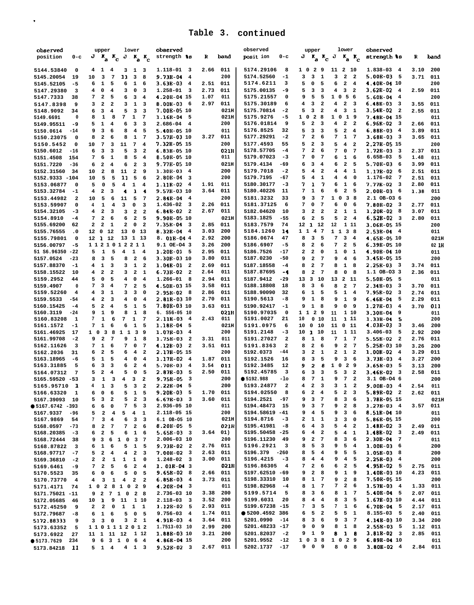| observed                                 | upper<br>lower                                                                                                     | observed                              |              |              | observed                              | upper                                                   | lower                                                                         | observed                                          |              |            |
|------------------------------------------|--------------------------------------------------------------------------------------------------------------------|---------------------------------------|--------------|--------------|---------------------------------------|---------------------------------------------------------|-------------------------------------------------------------------------------|---------------------------------------------------|--------------|------------|
| position<br>$0 - c$                      | $J$ $K_a$ $K_c$ $J$ $K_a$ $K_c$                                                                                    | strength 18                           | R            | band         | posit ion<br>$0-c$                    | $\mathbf{K}_a$ $\mathbf{K}_c$ J<br>J                    | $K_a$ $K_c$                                                                   | strength ts                                       | R            | band       |
|                                          |                                                                                                                    |                                       |              |              |                                       |                                                         |                                                                               |                                                   |              |            |
| 5144.53840<br>0                          | 4<br>1<br>4<br>3<br>$\mathbf{1}$<br>$\overline{\mathbf{3}}$                                                        | 1.118-01<br>- 3                       | 2.66         | 011          | 5174.29106<br>8                       | 1 0<br>$\overline{\mathbf{2}}$<br>9                     | 11 2 10                                                                       | $1.838 - 03$ 4                                    | 3.10         | 200        |
| 5145.20054<br>19                         | 3<br>$\overline{7}$<br>11<br>3<br>8<br>10                                                                          | 9.73B-04<br>4                         |              | 200          | 5174.52560<br>$-1$                    | 3<br>3<br>1                                             | 3<br>$\overline{\mathbf{2}}$<br>$\overline{\mathbf{2}}$                       | $5.00B-035$                                       | 3.71         | 011        |
| 5145.52105<br>-5                         | $\mathbf{1}$<br>5<br>6<br>1<br>6<br>6                                                                              | $3.63E-03$<br>4                       | 2.51         | 011          | 5174.6211<br>з                        | 5<br>0<br>5                                             | $\overline{\mathbf{2}}$<br>6<br>4                                             | 4.40B-04 10                                       |              | 200        |
| 5147.29380<br>3                          | 0<br>$\overline{4}$<br>з<br>0<br>4<br>3                                                                            | 1.258-01<br>3                         | 2.73         | 011          | 5175.00135<br>-9                      | 5<br>3<br>3                                             | 3<br>$\overline{\mathbf{2}}$<br>4                                             | $3.62E-02$<br>$\overline{\mathbf{4}}$             | 2.59         | 011        |
| 5147.7333<br>38                          | 7<br>$\overline{\mathbf{2}}$<br>5<br>6<br>3<br>4                                                                   | 4.20B-04 15                           | 1.07         | 011          | 5175.21557<br>0                       | 9<br>5<br>5                                             | 105<br>- 6                                                                    | 5.60B-04<br>$\overline{\mathbf{4}}$               |              | 200        |
| 5147.8398<br>9                           | $\overline{\mathbf{2}}$<br>$\overline{\mathbf{2}}$<br>3<br>${\bf 1}$<br>з<br>3                                     | $8.00E-03$<br>- 6                     | 2.97         | 011          | 5175.30189<br>6                       | 3<br>$\overline{\mathbf{2}}$<br>4                       | $\overline{\mathbf{4}}$<br>$\overline{\mathbf{2}}$<br>$\overline{\mathbf{3}}$ | $6.48B-03$<br>$_{3}$                              | 3.55         | 011        |
| 5148.9092<br>34                          | 6<br>3<br>$\overline{4}$<br>5<br>3<br>3                                                                            | 7.00B-05 10                           |              | 021H         | 5175.70814<br>$-2$                    | 3<br>5<br>$\overline{\mathbf{2}}$                       | 4<br>3<br>1                                                                   | $3.54E-02$<br>$\overline{\mathbf{2}}$             | 2.55         | 011        |
| 5149.6691<br>$\Omega$                    | 8<br>${\bf 1}$<br>8<br>7<br>$\mathbf{1}$<br>$7\phantom{.0}$                                                        | 1.16E-04<br>- 5                       |              | 021H         | 5175.9276<br>$-5$                     | 2 8<br>$1\quad$                                         | 1 0 1 9                                                                       | 7.48B-04 15                                       |              | 011        |
| 5149.95511<br>-9                         | 5<br>1<br>6<br>3<br>4<br>3                                                                                         | 2.686-04<br>-4                        |              | 200          | 5176.01814<br>9                       | 5<br>$\mathbf{2}$<br>3                                  | $\mathbf{2}$<br>4<br>$\overline{\mathbf{2}}$                                  | 6.96B-02<br>- 3<br>6.88B-03                       | 2.66         | 011        |
| 5150.0614<br>$-14$                       | 3<br>8<br>6<br>4<br>5<br>9<br>$\overline{\mathbf{2}}$<br>8<br>6<br>8<br>1<br>$7\phantom{.0}$                       | 5.40B-05 10<br>3.57B-03 10            | 3.27         | 011<br>011   | 5176.8525<br>32<br>5177.29291<br>$-2$ | 5<br>3<br>3<br>$\mathbf{2}$<br>7<br>6                   | 5<br>$\mathbf{2}$<br>$\overline{\mathbf{4}}$<br>7<br>$\mathbf{1}$<br>-7       | $\overline{\mathbf{4}}$<br>$3.68E-03$ 3           | 3.89         | 011<br>011 |
| 5150.23075<br>0                          | $\overline{7}$<br>11<br>$7\phantom{.0}$<br>$\overline{\mathbf{4}}$<br>3                                            | 7.32B-05 15                           |              | 200          | 5177.4593<br>55                       | 5<br>$\overline{\mathbf{2}}$<br>3                       | 5<br>$\overline{\mathbf{4}}$<br>$\overline{\mathbf{2}}$                       | 2.27B-05 15                                       | 3.65         | 200        |
| 5150.5452<br>0<br>5150.6012<br>-16       | 10<br>3<br>3<br>5<br>3<br>$\overline{a}$<br>6                                                                      | 6.83B-05 10                           |              | 021H         | 5178.57705<br>$-4$                    | 7<br>$\mathbf{2}$<br>6                                  | 7<br>0<br>$\overline{7}$                                                      | $1.72B-03$ 3                                      | 2.37         | 011        |
| 5151.4508<br>154                         | 7<br>6<br>1<br>8<br>5<br>4                                                                                         | 8.50B-05 10                           |              | 011          | 5179.07023<br>$-3$                    | 7<br>$\mathbf 0$<br>7                                   | 6<br>$\mathbf{1}$<br>6                                                        | $6.65B-03$<br>5                                   | 1.48         | 011        |
| 5151.7220<br>$-36$                       | 6<br>$\overline{\mathbf{2}}$<br>$\overline{\mathbf{2}}$<br>3<br>6<br>$\overline{\bf 4}$                            | 9.77E-05 10                           |              | 021H         | 5179.4134<br>-69                      | 6<br>3<br>$\overline{4}$                                | $\overline{\mathbf{2}}$<br>6<br>5                                             | 5.70B-03<br>- 6                                   | 3.99         | 011        |
| 5152.31560<br>34                         | $\mathbf{2}$<br>8<br>11<br>$\mathbf{2}$<br>10<br>9                                                                 | 1.30B-03<br>-4                        |              | 200          | 5179.7018<br>$-2$                     | 5<br>$\overline{\mathbf{4}}$<br>$\overline{\mathbf{2}}$ | 4<br>$\overline{\bf 4}$<br>1                                                  | 1.17B-02<br>- 6                                   | 2.51         | 011        |
| 5152.9333 -104                           | 5<br>5<br>11<br>5<br>6<br>10                                                                                       | $2.80B - 04$<br>3                     |              | 200          | 5179.7195<br>$-67$                    | 5<br>$\overline{\mathbf{4}}$<br>1                       | 4<br>$\overline{\mathbf{4}}$<br>$\mathbf 0$                                   | 1.176-02<br>- 7                                   | 2.51         | 011        |
| 5153.06877<br>0                          | 5<br>5<br>4<br>1<br>0<br>4                                                                                         | 1.11E-02<br>-4                        | 1.91         | 011          | 5180.30177<br>$-3$                    | 7<br>1<br>7                                             | 6<br>$\mathbf{1}$<br>6                                                        | 7.77B-02<br>- 3                                   | 2.80         | 011        |
| 5153.32784<br>$-1$                       | $\mathbf{1}$<br>$\overline{\mathbf{2}}$<br>3<br>4<br>$\blacktriangleleft$<br>4                                     | 9.57B-03 10                           | 3.64         | 011          | 5180.40226<br>11                      | $\mathbf{1}$<br>6<br>7                                  | 6<br>$\overline{\mathbf{2}}$<br>5                                             | $2.00B-03$ 6                                      | 1.38         | 011        |
| 5153.44982<br>$\overline{\mathbf{2}}$    | 5<br>11<br>5<br>6<br>$7\phantom{.0}$<br>10                                                                         | $2.84B - 04$<br>4                     |              | 200          | 5181.3232<br>33                       | 9<br>3<br>$7\phantom{.0}$                               | $1\quad$<br>38                                                                | 2.1 OB-03 6                                       |              | 200        |
| 5153.59907<br>0                          | $\mathbf{1}$<br>$\overline{\mathbf{4}}$<br>3<br>0<br>3<br>4                                                        | 1.436-02<br>3                         | 2.26         | 011          | 5181.37125<br>6                       | 7<br>0<br>$\overline{7}$                                | 6<br>$\mathbf 0$<br>6                                                         | $7.80B-02$ 3                                      | 2.77         | 011        |
| 5154.32105<br>$-3$                       | $\overline{\mathbf{2}}$<br>4<br>3<br>$\overline{\mathbf{2}}$<br>3<br>$\overline{a}$                                | $6.84B-02$<br>- 2                     | 2.67         | 011          | 5182.04620<br>10                      | з<br>$\mathbf{2}$<br>$\overline{\mathbf{2}}$            | 2<br>1<br>1                                                                   | 1.20B-02<br>- 8                                   | 3.07         | 011        |
| 5154.8910<br>$-4$                        | $\overline{\mathbf{2}}$<br>7<br>6<br>6<br>$\overline{a}$<br>5                                                      | 9.90E-05 10                           |              | 021H         | 5183.1825<br>$-55$                    | $\overline{a}$<br>6<br>5                                | 5<br>$\mathbf{2}$<br>$\overline{4}$                                           | $6.52B-02$ 3                                      | 2.80         | 011        |
| 5155.69200<br>62                         | $\overline{\mathbf{2}}$<br>2<br>2<br>$\mathbf 1$<br>0<br>$\overline{a}$                                            | 7.35B-04<br>- 3                       | 2.85         | 011          | 5183.7579<br>74                       | 12<br>1 12                                              | 12<br>1 11                                                                    | 3.06B-05 15                                       |              | 200        |
| 5155.76555<br>$\cdot$ 0                  | 12 0<br>12<br>13 0 13                                                                                              | 8.32B-04<br>$\overline{\mathbf{4}}$   | 3.03         | 200          | 5184.1260<br>14                       | 1 1 4 7                                                 | 1 1 3 8                                                                       | $2.53B-04$ 4                                      |              | 011        |
| 5155.79801<br>$\mathbf 0$                | 13 1 13<br>12 1 12                                                                                                 | 8. 01B-04 4                           | 2.92         | 200          | 5186.0674<br>47                       | 3<br>5<br>8                                             | 3<br>7<br>$\overline{4}$                                                      | 4.65B-05 10                                       |              | 021H       |
| 5156.00797<br>$-5$                       | 1121012211                                                                                                         | 9.1 OE-04 3                           | 3.26         | 200          | 5186.6907<br>$-5$                     | $\overline{\mathbf{2}}$<br>6<br>8                       | 7<br>$\overline{\mathbf{2}}$<br>5                                             | 6.39B-05 10                                       |              | 02 IH      |
| 51 S6.96350 -22                          | $\mathbf{1}$<br>5<br>$\overline{\mathbf{4}}$<br>$\mathbf{1}$<br>$\overline{\mathbf{4}}$<br>5                       | 1.20E-01<br>- 5                       | 2.95         | 011          | 5186.7526<br>$-17$                    | $\mathbf{2}$<br>$\mathbf{2}$<br>0                       | 1<br>0<br>1                                                                   | 4.90B-04 10                                       |              | 011        |
| 5157.0524<br>$-23$                       | 3<br>$\mathbf{2}$<br>5<br>8<br>8<br>6                                                                              | 3.30B-03 10                           | 3.80         | 011          | 5187.0230<br>$-50$                    | $\mathbf{2}$<br>9<br>7                                  | 9<br>$\overline{\mathbf{4}}$<br>6                                             | 3.45B-05 15                                       |              | 200        |
| 5157.88370<br>$-1$                       | $\mathbf{1}$<br>1<br>3<br>з<br>$\overline{\mathbf{2}}$<br>4                                                        | 1.04B-01<br>$\overline{\mathbf{2}}$   | 2.69         | 011          | 5187.18558<br>$-4$                    | 8<br>$\mathbf{2}$<br>$\overline{7}$                     | ${\bf 1}$<br>8<br>8                                                           | $2.25B - 03$ 3                                    | 3.74         | 011        |
| 5158.15522<br>10                         | $\overline{\mathbf{2}}$<br>$\overline{\mathbf{2}}$<br>з<br>$\overline{\mathbf{2}}$<br>4<br>1                       | $6.73B-02$<br>$\overline{\mathbf{2}}$ | 2.64         | 011          | 5187.87695<br>-4                      | $\overline{\mathbf{2}}$<br>8<br>$\overline{7}$          | $\mathsf{o}$<br>8<br>8                                                        | 1.1 OB-03 3                                       | 2.36         | 011        |
| 5159.2952<br>44                          | 5<br>$\pmb{0}$<br>5<br>4<br>0<br>$\overline{\mathbf{4}}$                                                           | 1.266-01<br>8                         | 2.94         | 011          | 5187.9412<br>$-29$                    | 13<br>3<br>10                                           | 2 11<br>13                                                                    | 5.50B-05<br>- 5                                   |              | 011        |
| 5159.4907<br>0                           | 7<br>3<br>$\overline{\mathbf{2}}$<br>4<br>7<br>5                                                                   | 4.50B-03 15                           | 3.58         | 011          | 5188.18808<br>18                      | 8<br>3<br>6                                             | 8<br>$\mathbf{2}$<br>$7\phantom{.0}$                                          | 2.34B-03<br>3                                     | 3.70         | 011        |
| 5159.52260<br>$\overline{\mathbf{4}}$    | 3<br>$\mathbf 1$<br>з<br>3<br>$\mathbf 0$<br>4                                                                     | $2.95B-02$<br>- 8                     | 2.86         | 011<br>011   | 5188.90090<br>32<br>-8                | 6<br>$\mathbf{1}$<br>5                                  | 5<br>$\mathbf 1$<br>$\overline{4}$                                            | 7.95B-02<br>3                                     | 2.74         | 011        |
| 5159.5533<br>$-54$                       | $\overline{\mathbf{2}}$<br>4<br>3<br>4<br>0<br>4<br>$\overline{2}$<br>$\overline{\mathbf{4}}$<br>5<br>$\mathbf{1}$ | 2.81E-03 10<br>7.80B-03 10            | 2.70<br>3.63 | 011          | 5190.5613<br>5190.92417<br>$-1$       | $\mathbf{1}$<br>9<br>8<br>$\mathbf{1}$<br>8<br>9        | $\mathbf{1}$<br>9<br>9<br>9<br>0<br>9                                         | $6.46B-04$<br>- 5<br>$1.27B-03$<br>$\overline{4}$ | 2.29         | 011<br>011 |
| 5160.15425<br>$-4$<br>5160.3119<br>$-24$ | 5<br>5<br>8<br>1<br>1<br>9<br>9<br>8                                                                               | $6.$ $S56-05$ 10                      |              | 021H         | 5190.97035<br>0                       | $1\quad1\quad2$<br>9                                    | 1 10<br>11                                                                    | 3.30B-04<br>9                                     | 3.70         | 011        |
| 5160.83208<br>1                          | 7<br>$\mathbf{1}$<br>6<br>7<br>$\mathbf{1}$<br>7                                                                   | 2.11B-03<br>$\overline{4}$            | 2.43         | 011          | 21<br>5191.0027                       | $0$ 10<br>10                                            | 11<br>1 1 1                                                                   | 1.338-04<br>-5                                    |              | 200        |
| 5161.1572<br>$-1$                        | $\mathbf 1$<br>1<br>6<br>6<br>5<br>7                                                                               | 1.18B-04<br>5                         |              | 021H         | 5191.0975<br>6                        | 10<br>$\mathbf{o}$<br>10                                | 11<br>011                                                                     | 4.03B-03<br>- 3                                   | 3.46         | 200        |
| 5161.46925<br>17                         | 1 1 3 9<br>38<br>$1\quad 0$                                                                                        | 1.07B-03<br>4                         |              | 200          | 5191.2148<br>-3                       | 10<br>1 10                                              | 11<br>1 1 1                                                                   | $3.406 - 03$<br>5                                 | 2.92         | 200        |
| 5161.99708<br>$-2$                       | $\mathbf{1}$<br>$\overline{\mathbf{2}}$<br>7<br>9<br>8<br>9                                                        | 1.758-03<br>$\overline{\mathbf{2}}$   | 3.31         | 011          | $\overline{\mathbf{2}}$<br>5191.27027 | 8<br>$\mathbf{1}$<br>8                                  | $\mathbf{1}$<br>7<br>$\overline{7}$                                           | $5.55B-02$ 2                                      | 2.76         | 011        |
| 5162.11626<br>3                          | ${\bf 1}$<br>7<br>6<br>7<br>0<br>7                                                                                 | 4.12B-03<br>$\overline{\mathbf{2}}$   | 3.51         | 011          | 5191.8363<br>$\mathbf{2}$             | $\mathbf{2}$<br>8<br>6                                  | $\mathbf{2}$<br>9<br>7                                                        | 5.25B-03 10                                       | 3.26         | 200        |
| 5162.2036<br>31                          | $\overline{\mathbf{2}}$<br>5<br>6<br>$\overline{4}$<br>$\overline{\mathbf{2}}$<br>6                                | 2.17B-05 15                           |              | 200          | 5192.0373<br>$-44$                    | $\mathbf{2}$<br>1<br>з                                  | 2<br>$\mathbf{1}$<br>$\overline{\mathbf{2}}$                                  | $1.00B-02$ 4                                      | 3.29         | 011        |
| 5163.18965<br>-6                         | $\mathbf{1}$<br>5<br>5<br>4<br>0<br>$\overline{\bf 4}$                                                             | 1.17B-02<br>$\overline{4}$            | 1.87         | 011          | 5192.1526<br>16                       | 3<br>8<br>5                                             | 3<br>9<br>6                                                                   | $3.73B - 03$<br>$\overline{\mathbf{4}}$           | 3.27         | 200        |
| 5163.31885<br>5                          | $\overline{\mathbf{3}}$<br>3<br>6<br>6<br>$\overline{\mathbf{2}}$<br>$\overline{\mathbf{4}}$                       | 5.70B-03<br>$\overline{4}$            | 3.54         | 011          | 5192.3485<br>12                       | $\mathbf{z}$<br>8<br>9                                  | 1 0 2 9                                                                       | $3.65B-03$<br>- 5                                 | 3.13         | 200        |
| 5164.07312<br>7                          | 5<br>$\overline{\mathbf{2}}$<br>5<br>$\mathbf 0$<br>5<br>4                                                         | 2.87B-03<br>5                         | 2.50         | 011          | 5192.45785<br>3                       | 3<br>6<br>3                                             | 5<br>3<br>$\overline{2}$                                                      | $3.46B - 02$<br>- 3                               | 2.58         | 011        |
| 5165.59520 -53                           | 3<br>з<br>$\mathbf{1}$<br>3<br>$\overline{\mathbf{2}}$<br>4                                                        | 9.75B-05<br>3                         |              | 200          | • 5192.988<br>-10                     | 7<br>${\bf 1}$<br>8                                     | $\overline{7}$<br>$\overline{\mathbf{2}}$<br>9                                | 3.1 OB-04 6                                       |              | 200        |
| 5165.95710<br>1                          | 5<br>$\overline{\mathbf{2}}$<br>$\mathbf{1}$<br>3<br>3<br>4                                                        | $2.22B-04$<br>5                       |              | 200          | 5193.24877<br>$\overline{\mathbf{2}}$ | $\mathbf{2}$<br>3<br>4                                  | 3<br>1<br>$\overline{\mathbf{2}}$                                             | $9.00B-034$                                       | 2.54         | 011        |
| 5166.63320<br>1                          | $1\quad 5$<br>6<br>5<br>6<br>$\mathbf{o}$                                                                          | $9.20B-035$                           | 1.70         | 011          | 5194.02550<br>8                       | 2<br>$\overline{\mathbf{4}}$<br>6                       | 5<br>$\mathbf{2}$<br>3                                                        | $5.89B-02$ 2                                      | 2.62         | 011        |
| 5167.39093<br>10                         | 5<br>5<br>3<br>$\overline{a}$<br>3<br>$\overline{\mathbf{2}}$                                                      | $6.67B-03$ 3                          | 3.60         | 011          | 5194.2521<br>-97                      | 9<br>3<br>$\overline{7}$                                | 8<br>3<br>6                                                                   | 1.78B-05 15                                       |              | 021H       |
| $95167.6742 - 393$                       | 6<br>7 5<br>6<br>0<br>$\overline{\mathbf{3}}$                                                                      | 2.936-05 10                           |              | 011          | 5194.48473<br>15                      | 3<br>9<br>$\overline{7}$                                | $\mathbf{2}$<br>9<br>8                                                        | $1.27B-03$ 4                                      | 3.57         | 011        |
| 5167.9337<br>-96                         | 5<br>$\overline{\mathbf{2}}$<br>$\overline{4}$<br>5<br>$\overline{4}$<br>1                                         | 2.118-05 15                           |              | 200          | 5194.58619 -41<br>5194.8716           | 9<br>$\overline{4}$<br>$\overline{\phantom{0}}$         | 3 <sup>7</sup><br>6<br>9                                                      | 8.51E-04 10                                       |              | 011        |
| 5167.9869<br>54<br>$-73$                 | 3<br>6<br>$\overline{\mathbf{3}}$<br>7<br>4<br>3<br>$\overline{\mathbf{2}}$<br>$\overline{7}$<br>7<br>6            | 6.1 OB-05 10<br>$8.20B - 05$ 5        |              | 021H<br>021H | $-3$<br>5195.41981<br>-8              | $\mathbf{1}$<br>2<br>$\mathbf{1}$<br>$4 \quad 3$<br>6   | 3<br>3<br>0<br>$\overline{\mathbf{4}}$<br>5<br>$\overline{\mathbf{2}}$        | 5.868-05 15<br>$1.48B-02$ 3                       |              | 200<br>011 |
| 5168.0597<br>5168.20385<br>$-3$          | $\overline{a}$<br>8<br>$\overline{\mathbf{2}}$<br>5<br>6<br>$\mathbf{1}$<br>6<br>6                                 | $5.65B-03$ 3                          | 3.64         | 01)          | 5195.50458 -25                        | $\overline{4}$<br>6<br>$\overline{\mathbf{2}}$          | 5<br>$\overline{4}$<br>$\mathbf{1}$                                           | $1.48B-02$ 3                                      | 2.49<br>2.49 | 011        |
| 5168.72444<br>38                         | 9 3<br>6 1 0 3 7                                                                                                   | 2.006-03 10                           |              | 200          | 5196.11230<br>- 49                    | $2 \quad 7$<br>9                                        | 3<br>8<br>6                                                                   | $2.30B-04$ 7                                      |              | 011        |
| 5168.87822<br>3                          | $\mathbf{1}$<br>6<br>$5$ 1 5<br>6                                                                                  | $9.73B-02$ 2                          | 2.76         | 011          | 5196.2921<br>3                        | 5<br>8<br>$\overline{\mathbf{3}}$                       | 5<br>9<br>$\overline{\mathbf{4}}$                                             | $1.00B-03$ 6                                      |              | 200        |
| 5168.97717<br>$-7$                       | 5 <sub>2</sub><br>$4$ 2 3<br>4                                                                                     | $7.00B-02$ 3                          | 2.63         | 011          | 5196.379 -260                         | 5<br>8<br>$\overline{\mathbf{4}}$                       | 9<br>5<br>5                                                                   | 1.058-03 8                                        |              | 200        |
| 5169.36810<br>$-2$                       | 2<br>$\overline{\mathbf{2}}$<br>$\mathbf{1}$<br>1<br>$\mathbf{1}$<br>0                                             | $1.248 - 02$ 3                        | 3.00         | 011          | 5196.4215<br>$-3$                     | 8<br>$\overline{\mathbf{4}}$<br>$\overline{\mathbf{4}}$ | 9<br>$\overline{4}$<br>5                                                      | $2.25B-034$                                       |              | 200        |
| 5169.6461<br>-9                          | 7 <sub>2</sub><br>5<br>6<br>2 4                                                                                    | $1.01B-04$ 3                          |              | 021H         | 5196.86305<br>$\overline{\mathbf{4}}$ | $2\quad 6$<br>7                                         | 2 <sub>5</sub><br>6                                                           | 4.95B-02 5                                        | 2.75         | 011        |
| 5170.5523<br>35                          | $\mathbf 0$<br>5<br>$\overline{\mathbf{0}}$<br>6<br>6<br>5                                                         | $9.65B-02$ 8                          | 2.66         | 011          | 5197.62510 -69                        | $\mathbf{2}$<br>$_{\rm 8}$<br>9                         | 9<br>1 9                                                                      | 1.40B-03 10                                       | 4.23         | 011        |
| 5170.73770<br>$\overline{\mathbf{4}}$    | $4 \quad 3$<br>$\mathbf{1}$<br>4<br>$2^{\circ}$                                                                    | $6.85B-034$                           | 3.73         | 011          | 5198.33310<br>10                      | $\mathbf{1}$<br>8<br>$\overline{7}$                     | $\mathbf{2}$<br>9<br>8                                                        | 7.50B-05 15                                       |              | 200        |
| 5171.4171<br>74                          | $1\quad$ 0<br>2 8 1 0 2 9                                                                                          | $4.20B - 04$ 3                        |              | 011          | 5198.82968<br>$-4$                    | $\mathbf{1}$<br>8<br>$\overline{7}$                     | 7<br>$\mathbf{2}$<br>6                                                        | $1.57B-03$ 4                                      | 1.33         | 011        |
| 5171.75021 -11                           | 9 2 7 1 0 2 8                                                                                                      | 2.736-03 10                           | 3.38         | 200          | 5199.5714<br>5                        | 3<br>8<br>- 6                                           | 8<br>$1 \quad 7$                                                              | $5.40B-04$ 5                                      | 2.07         | 011        |
| 5172.05685<br>46                         | 10 <sub>1</sub><br>9 11 1 10                                                                                       | $2.118 - 03$ 3                        | 3.52         | 200          | 5199.6031<br>20                       | 4<br>$\overline{\mathbf{4}}$<br>8                       | 3 <sub>5</sub><br>8                                                           | 1.67B-03 10                                       | 4.44         | 011        |
| 5172.45250<br>9                          | $\mathbf{2}$<br>$\overline{\mathbf{2}}$<br>$\mathbf 0$<br>$1 \quad 1 \quad 1$                                      | $1.12B - 02$ 5                        | 2.93         | 011          | 5199.67238 -15                        | 7<br>3<br>5                                             | $7\phantom{.0}$<br>$1\quad 6$                                                 | $6.70B - 04$ 5                                    | 2.17         | 011        |
| 5172.79687<br>$-8$                       | $\mathbf{1}$<br>6<br>50<br>6<br>5                                                                                  | $9.756 - 03$ 4                        | 1.74         | 011          | ● 5200.4592 386                       | 5<br>$\overline{\mathbf{2}}$<br>6                       | 5<br>5 1                                                                      | $8.15S-03$ 5                                      | 2.40         | 011        |
| 5172.88333<br>9                          | $\overline{\mathbf{3}}$<br>$3 \t2 \t1$<br>3<br>0                                                                   | $4.91B-03$ 4                          | 3.64         | 011          | 5201.0990<br>$-14$                    | 3<br>8<br>$6^{\circ}$                                   | 9<br>3 <sub>7</sub>                                                           | 4.14B-03 10                                       | 3.34         | 200        |
| 5<br>5173.63352                          | 1101112012                                                                                                         | 1.7513-03 10                          | 2.99         | 200          | 5201.48233 -17                        | $0$ 9<br>9                                              | 8<br>$1 \quad 8$                                                              | $2.55B-03$ 5                                      | 1.12         | 011        |
| 5173.6922<br>27                          | 11 1 11 12 1 12                                                                                                    | 1.88E-03 10                           | 3.21         | 200          | 5201.82037<br>-2                      | $1 \quad 9$<br>9                                        | $1 \quad 8$<br>8                                                              | $3.81B-02$ 3                                      | 2.85         | 011        |
| • 5173.7629<br>234                       | 9 6 3 1 0 6 4                                                                                                      | 4.86B-04 15                           |              | 200          | 5201.9552<br>$-12$                    | 1 0 3 8                                                 | 1 0 2 9                                                                       | 6.89B-04 10                                       |              | 011        |
| 5173.84218 11                            | $5$ 1 4<br>$4$ 1 3                                                                                                 | $9.52B - 02$ 3                        |              | 2.67 011     | 5202.1737<br>$-17$                    | 9 0 9                                                   | 8 0 8                                                                         | $3.80B-02$ 4                                      | 2.84 011     |            |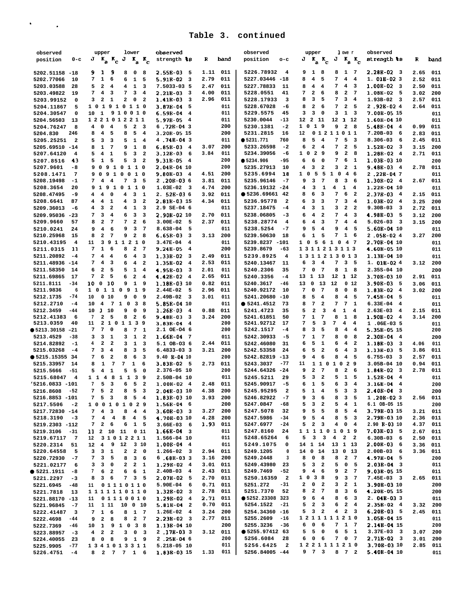. .

| observed                              |                         | upper                                                   | lower                                              | observed                              |      |          | observed                              | I owe r<br>upper                                                                       | observed                            |          |      |
|---------------------------------------|-------------------------|---------------------------------------------------------|----------------------------------------------------|---------------------------------------|------|----------|---------------------------------------|----------------------------------------------------------------------------------------|-------------------------------------|----------|------|
| position                              | $0-c$                   | $J K_a K_c$                                             | J<br>$K_a$ $K_c$                                   | strength 18                           | R    | band     | position<br>$o-c$                     | J                                                                                      | strength ts                         | R        | band |
|                                       |                         |                                                         |                                                    |                                       |      |          |                                       | $J K_{\rm a} K_{\rm c}$<br>$K_a K_c$                                                   |                                     |          |      |
|                                       |                         |                                                         |                                                    |                                       |      |          |                                       |                                                                                        | $2.28B-02$ 3                        |          |      |
| 5202.51158 -18                        |                         | 9<br>91                                                 | 8<br>0<br>8                                        | $2.55B-03$<br>- 5                     | 1.11 | 011      | 5226.78932<br>$\overline{4}$          | 1 8<br>9<br>8<br>$\mathbf{1}$<br>$\overline{7}$                                        |                                     | 2.65     | 011  |
| 5202.77066<br>10                      |                         | $\mathbf{1}$<br>6<br>7                                  | ${\bf 1}$<br>6<br>5                                | $5.91B-02$<br>$\overline{\mathbf{3}}$ | 2.79 | 011      | 5227.03446 -18                        | 4<br>8<br>5<br>7<br>$\overline{\mathbf{4}}$<br>$\overline{4}$                          | $1.01B-023$                         | 2.52     | 011  |
| 5203.03588<br>28                      |                         | $\overline{\mathbf{2}}$<br>5<br>4                       | $\mathbf{1}$<br>4<br>3                             | 7.5033-03 5                           | 2.47 | 011      | 5227.78833<br>11                      | 4<br>7<br>4<br>8<br>$\overline{4}$<br>- 3                                              | $1.00B-02$ 3                        | 2.50     | 011  |
| 5203.49822<br>19                      |                         | $\bf{4}$<br>3<br>7                                      | 3<br>7<br>$\overline{4}$                           | $2.21B-03$ 3                          | 4.00 | 011      | 5228.0551<br>41                       | $\mathbf 2$<br>$\mathbf{2}$<br>7<br>6<br>8<br>$\overline{7}$                           | $1.08E-02$ 5                        | 3.02     | 200  |
| 5203.99152                            | 0                       | $\overline{\mathbf{2}}$<br>$\mathbf 1$<br>3             | 2<br>0 <sub>2</sub>                                | $1.41B-03$<br>$\overline{\mathbf{3}}$ | 2.96 | 011      | 5228.17933<br>3                       | 3<br>8<br>5<br>7<br>3<br>$\overline{4}$                                                | $1.93B-02$ 3                        | 2.57     | 011  |
| 5204.11867                            | 5                       | 101910110                                               |                                                    | $3.87E-04 = 5$                        |      | 011      | 5228.67028<br>-6                      | $\mathbf{2}$<br>2 <sub>5</sub><br>8<br>6<br>7                                          | 2.92B-024                           | 2.64     | 011  |
| 5204.30547                            | $\mathbf 0$             | 10 <sub>1</sub>                                         | 9 1 0 0 1 0                                        | $6.59B-04$ 4                          |      | 011      | 5229.5575<br>45                       | $\overline{\mathbf{3}}$<br>з<br>3<br>$1 \quad 3$<br>$\mathbf 0$                        | 7.00B-05 15                         |          | 011  |
|                                       |                         | 1221012211                                              |                                                    |                                       |      | 011      | 5230.0044<br>$-13$                    | 12 2 11<br>12 1 12                                                                     | 1.60B-04 10                         |          |      |
| 5204.56503<br>13                      |                         |                                                         |                                                    | $5.97B-054$                           |      |          |                                       |                                                                                        |                                     |          | 011  |
| 5204.76247                            | 8                       | 0<br>$\overline{\mathbf{4}}$<br>4                       | 5<br>2 <sub>3</sub>                                | $6.72E-04.3$                          |      | 200      | 5230.1381<br>$-2$                     | 19<br>9<br>$2 \quad 8$<br>1 0                                                          | $5.48E-04$ 4                        | 0.99     | 011  |
| 5204.830<br>246                       |                         | $\overline{\bf 4}$<br>5<br>8                            | 5<br>8<br>$\overline{4}$                           | 3.20B-05 15                           |      | 200      | 5231.2815<br>16                       | 01211011<br>12                                                                         | $7.20B-03$ 6                        | 2.83     | 011  |
| 5205.25251                            | $\overline{\mathbf{2}}$ | $\mathbf{3}$<br>$\overline{\mathbf{3}}$<br>5            | 5<br>$1 \quad 4$                                   | 4.74B-043                             |      | 011      | • 5231.771<br>760                     | 5<br>8<br>$\overline{4}$<br>7<br>5<br>$\overline{\mathbf{3}}$                          | $8.306 - 03$<br>- 6                 | 2.45     | 011  |
| 5205.69510 -14                        |                         | $\mathbf{1}$<br>$\overline{7}$<br>8                     | $1 \quad 8$<br>9                                   | $6.85B-034$                           | 3.07 | 200      | 5233.26598<br>$-2$                    | $\overline{\mathbf{2}}$<br>6<br>$\overline{4}$<br>7<br>$\mathbf{2}$<br>5               | $1.52B-02$ 3                        | 3.15     | 200  |
| 5207.64120                            | 4                       | $\overline{4}$<br>1<br>5                                | 5<br>3<br>$\overline{\mathbf{2}}$                  | $3.12B - 03$ 6                        | 3.84 | 011      | 5234.39056<br>-6                      | $\mathbf{2}$<br>$1\quad$ 0<br>$\overline{\mathbf{2}}$<br>9<br>9<br>8                   | $1.28B-02$ 4                        | 2.71     | 011  |
| 5207.8516<br>43                       |                         | $\mathbf{1}$<br>5<br>5                                  | 3<br>5<br>$\overline{\mathbf{2}}$                  | $9.31B-05$ 4                          |      | 200      | • 5234.906<br>-95                     | 6<br>7<br>6<br>6<br><b>1</b><br>0                                                      | 1.03B-03 10                         |          | 200  |
| 5207.9601<br>$-8$                     |                         | 90                                                      | 9 1 0 1 1 0                                        | $2.04B-04$ 10                         |      | 200      | 5235.27913<br>10                      | 3<br>3<br>$\mathbf{2}$<br>$\overline{\mathbf{2}}$<br>$\mathbf{1}$<br>4                 | $9.48E-034$                         | 2.78     | 011  |
|                                       |                         |                                                         |                                                    |                                       |      |          |                                       |                                                                                        |                                     |          |      |
| 5208.1471                             | $7\phantom{.0}$         | 9 0 9 1 0 0 1 0                                         |                                                    | $9.80B - 03$ 4                        | 4.51 | 200      | 5235.6994<br>18                       | 5<br>5<br>$1\quad$ 0<br>$4\quad 6$<br>$1\quad$ 0                                       | $2.22B-047$                         |          | 011  |
| 5208.19498<br>$-1$                    |                         | $\overline{\mathbf{4}}$<br>$\overline{\mathbf{4}}$<br>7 | 3 <sub>5</sub><br>7 <sup>7</sup>                   | $2.20E-036$                           | 3.81 | 011      | 5235.96146<br>$-7$                    | $\overline{7}$<br>$\overline{\mathbf{3}}$<br>9<br>3<br>8<br>- 6                        | $1.30B-02$ 4                        | 2.67     | 011  |
| 5208.3654<br>20                       |                         | 9 1 9 1 0 1 1 0                                         |                                                    | $1.03E-02$ 3                          | 4.74 | 200      | 5236.19132 -24                        | 3<br>$\mathbf{1}$<br>4<br>1<br>4<br>$\overline{4}$                                     | 1.22B-04 10                         |          | 011  |
| 5208.47495<br>-9                      |                         | $\mathbf 0$<br>4<br>4                                   | $\mathbf{3}$<br>4<br>1                             | $2.52E-036$                           | 3.92 | 011      | 95236.6966142                         | 6<br>6<br>3<br>7<br>$\overline{\mathbf{2}}$<br>8                                       | $2.37B-03$ 4                        | 2.15     | 011  |
| 5208.6641<br>87                       |                         | $\overline{\mathbf{4}}$<br>1<br>4                       | 3<br>4<br>$\overline{a}$                           | 2.81E-03 15                           | 4.34 | 011      | 5236.95778<br>$\overline{a}$          | 3<br>3<br>7<br>3<br>$\overline{4}$<br>6                                                | $1.03B-02$ 4                        | 3.25     | 200  |
| 5209.36013<br>-6                      |                         | 3<br>$\overline{\mathbf{2}}$<br>4                       | $\mathbf{1}$<br>$\overline{\mathbf{3}}$<br>4       | 2.9 SE-04 6                           |      | 011      | 5237.18475<br>$-4$                    | 3<br>$2 \quad 2$<br>1<br>3<br>4                                                        | $9.30B-03$<br>$_{3}$                | 2.72     | 011  |
|                                       |                         | 3<br>$\overline{\mathbf{4}}$<br>7                       | 3<br>6<br>3                                        | 2.90B-02 10                           | 2.70 | 011      | 5238.06805<br>$-3$                    | 6<br>4<br>$\overline{\mathbf{2}}$<br>7<br>$\overline{4}$<br>$\overline{\mathbf{3}}$    | 4.98B-03<br>5                       | 3.12     | 200  |
| 5209.95036 -23                        |                         |                                                         |                                                    |                                       |      |          |                                       |                                                                                        |                                     |          |      |
| 5209.9660<br>57                       |                         | $\overline{\mathbf{2}}$<br>$\overline{7}$<br>8          | $\overline{\mathbf{2}}$<br>7<br>6                  | $3.00E-02$ 5                          | 2.37 | 011      | 5238.28774<br>$\overline{4}$          | $\overline{\mathbf{4}}$<br>7<br>$4\quad 4$<br>6<br>$\overline{\mathbf{3}}$             | $5.026 - 03$ 3                      | 3.15     | 200  |
| 5210.0241<br>24                       |                         | $\overline{\mathbf{4}}$<br>6<br>9                       | 9<br>3<br>- 7                                      | 8.638-04<br>- 5                       |      | 011      | 5238.5254<br>$-7$                     | 5<br>$\overline{\mathbf{4}}$<br>9<br>$\overline{\mathbf{4}}$<br>9<br>5                 | $5.60B-04$ 10                       |          | 011  |
| 5210.25968<br>15                      |                         | $\mathbf 2$<br>$\overline{7}$<br>8                      | $\overline{\mathbf{2}}$<br>9<br>- 8                | $6.65B-03$ 3                          | 3.13 | 200      | 5239.50630<br>18                      | $7\overline{ }$<br>$\mathbf{1}$<br>5<br>$1\quad 6$<br>6                                | 2.058-024                           | 3.27     | 200  |
| 5210.43195<br>$\overline{\mathbf{4}}$ |                         | 11                                                      | 3 9 1 1 2 1 0                                      | $3.47E-04$<br>$\overline{\mathbf{4}}$ |      | 011      | 5239.8237 -101                        | 5 6 1 0<br>4.7<br>$1\quad 0$                                                           | 2.70E-04 10                         |          | 011  |
| 5211.0315<br>11                       |                         | $\mathbf 1$<br>6<br>7                                   | 8<br>$2 \quad 7$                                   | $9.24B - 05$<br>$\overline{4}$        |      | 200      | 5239.8679<br>$-63$                    | 1311213113                                                                             | 4.60E-05 10                         |          | 011  |
| 5211.20892<br>-4                      |                         | 4<br>$\overline{4}$<br>7                                | 6<br>$\overline{\bf 4}$<br>$\overline{\mathbf{3}}$ | $1.33B-02$ 3                          | 2.49 | 011      | 5239.8925<br>4                        | 1311213013                                                                             | 1.13E-04 10                         |          | 011  |
|                                       |                         | $\overline{\mathbf{4}}$<br>$\overline{\mathbf{3}}$<br>7 | $\overline{\mathbf{4}}$                            |                                       |      | 011      |                                       | $\overline{\mathbf{3}}$<br>$\overline{4}$<br>7 <sup>7</sup><br>3 <sub>5</sub><br>6     | $1.01B-024$                         |          |      |
| 5211.48936 -14                        |                         |                                                         | 6<br>$\overline{\mathbf{2}}$                       | $1.35B-02$ 4                          | 2.53 |          | 5240.13467<br>11                      |                                                                                        |                                     | 3.12     | 200  |
| 5211.58350<br>14                      |                         | $\mathbf 2$<br>6<br>5                                   | 5<br>$1 \quad 4$                                   | 4.95B-03<br>3                         | 2.01 | 011      | 5240.2306<br>35                       | $\pmb{0}$<br>$\overline{7}$<br>8<br>7<br>1 8                                           | 2.35S-04 10                         |          | 200  |
| 5211.69865<br>17                      |                         | $\mathbf{2}$<br>7<br>5                                  | $2 \quad 4$<br>6                                   | $4.42B-02$ 4                          | 2.65 | 011      | 5240.3356<br>$-4$                     | 13 1 13<br>12 1 12                                                                     | 3.70B-03 10                         | 2.91     | 011  |
| 5211.8111<br>$-34$                    |                         | 10010                                                   | 9<br>1 <sub>9</sub>                                | 1.18E-03 10                           | 0.82 | 011      | 5240.3617<br>-46                      | 12<br>13<br>0<br>13<br>0 <sub>12</sub>                                                 | $3.90E-035$                         | 3.06     | 011  |
| 5211.9836                             | 6                       | $1\quad1$<br>$1\quad$ 0                                 | $\mathbf{o}$<br>919                                | $2.44E-02$<br>- 5                     | 2.96 | 011      | 5240.92172<br>10                      | 7<br>$\mathbf 0$<br>$\overline{7}$<br>8<br>0<br>8                                      | $1.83E-024$                         | 3.02     | 200  |
| 5212.1735<br>$-74$                    |                         | 0 <sub>10</sub><br>10                                   | 9<br>0<br>9                                        | $2.49B-02$ 3                          | 3.01 | 011      | 5241.20680 -10                        | 5<br>$\overline{\mathbf{4}}$<br>8<br>8<br>$\overline{\bf 4}$<br>5                      | $7.45B-04$ 5                        |          | 011  |
| 5212.2710<br>$-4$                     |                         | 7 1 0<br>$\overline{\mathbf{4}}$<br>10                  | 38                                                 | 5.85E-04 10                           |      | 011      | • 5241.4512<br>73                     | $\overline{7}$<br>7<br>$7\phantom{.0}$<br>8<br>$\overline{\mathbf{2}}$<br>$\mathbf{1}$ | $6.33E-04$ 4                        |          | 011  |
| $-44$                                 |                         | 1 10<br>10                                              | 9<br>$\mathbf 0$<br>9                              | $1.26E-034$                           |      | 011      | 5241.4723<br>35                       | $\mathbf 2$<br>5<br>3<br>$\mathbf 1$<br>4<br>4                                         | $2.63E-03$ 4                        | 2.15     | 011  |
| 5212.3459                             |                         |                                                         |                                                    |                                       | 0.88 |          |                                       |                                                                                        |                                     |          |      |
| 5212.41383                            | 6                       | $\overline{\mathbf{2}}$<br>5<br>7                       | 8<br>$\mathbf{2}$<br>6                             | $9.48B - 03$ 3                        | 3.24 | 200      | 5241.61851<br>50                      | $\mathbf 1$<br>7<br>7<br>8<br>$\mathbf{1}$<br>8                                        | $1.90B-02$ 4                        | 3.14     | 200  |
| 5213.0359<br>40                       |                         | 11                                                      | 2 1 0 1 1 3 9                                      | $3.83E-04$ 4                          |      | 200      | 5241.92712<br>17                      | 5<br>3<br>7<br>4<br>7<br>4                                                             | 1.06E-035                           |          | 011  |
| $• 5213.30158 -21$                    |                         | 7<br>7<br>0                                             | 8<br>7<br>1                                        | 2.1 OE-04 6                           |      | 200      | 5242.1517<br>$-4$                     | 3<br>8<br>8<br>5<br>4<br>4                                                             | 5.358-05 15                         |          | 200  |
| 5213.4529<br>$-38$                    |                         | 3<br>1<br>3                                             | $1\quad 2$<br>3                                    | $1.66B-04$ 7                          |      | 011      | 5242.30933<br>$-5$                    | ${\bf 1}$<br>7<br>$\overline{7}$<br>$\mathbf 0$<br>8<br>8                              | $2.30B-04$ 4                        |          | 200  |
| 5214.82892<br>$-1$                    |                         | 2<br>$\overline{\mathbf{2}}$<br>4                       | 3<br>$\mathbf{1}$<br>$\overline{\mathbf{3}}$       | 5.1 OB-03 6                           | 2.44 | 011      | 5242.46080<br>31                      | 5<br>6<br>$\overline{4}$<br>$\overline{\mathbf{2}}$<br>6<br>1                          | 1.18E-03<br>$\overline{\mathbf{3}}$ | 4.06     | 011  |
| 5215.03268<br>-4                      |                         | 3<br>$\overline{\bf 4}$<br>7                            | 3<br>8<br>5                                        | $6.4833 - 033$                        | 3.21 | 200      | 5242.53358<br>24                      | 5<br>$\overline{\mathbf{2}}$<br>6<br>$\overline{4}$<br>$\overline{\mathbf{3}}$<br>6    | $1.13B-03$<br>5                     | 3.86     | 011  |
| $\bullet$ 5215.15355 34               |                         | 6<br>$\mathbf{2}$<br>7                                  | 8<br>6<br>$\overline{\mathbf{3}}$                  | 9.40 B-04 10                          |      | 200      | 5242.82819 -13                        | $\pmb{4}$<br>6<br>8<br>$\overline{\mathbf{4}}$<br>9<br>5                               | $6.75S - 03$<br>$_{3}$              | 2.57     | 011  |
| 5215.33957<br>14                      |                         | $\mathbf 1$<br>$\overline{7}$<br>8                      | $\mathbf{1}$<br>$7^{\circ}$<br>6                   | $3.83B-02$ 5                          | 2.73 | 011      | 5243.3037<br>-77                      | 110<br>29<br>11<br>1 0                                                                 | 3.05B-04 10                         | 0.94     | 011  |
|                                       |                         |                                                         |                                                    |                                       |      |          |                                       | $\overline{7}$<br>$\overline{a}$                                                       |                                     |          |      |
| 5215.5666<br>$-51$                    |                         | ${\bf 1}$<br>$\overline{\bf 4}$<br>5                    | 5<br>5<br>0                                        | 2.376-05 10                           |      | 200      | 5244.64326 -24                        | $\mathbf 2$<br>9<br>8<br>- 6                                                           | $1.84E-02$ 3                        | 2.78     | 011  |
| 5215.68047<br>$\overline{4}$          |                         | $1\quad1$<br>$\overline{4}$<br>8                        | $1\quad1$<br>39                                    | 2.50B-04 10                           |      | 011      | 5245.5211<br>29                       | 3<br>5<br>$\overline{\mathbf{2}}$<br>5<br>1<br>5                                       | $1.52B - 04$<br>$\overline{4}$      |          | 011  |
| '5216.0833 -101                       |                         | 5<br>3<br>7                                             | 6<br>5<br>$\overline{a}$                           | $1.00B-02$ 4                          | 2.48 | 011      | 5245.90917<br>$-5$                    | ${\bf 1}$<br>5<br>3<br>6<br>6<br>$\overline{4}$                                        | $3.16B-04$ 4                        |          | 200  |
| 5216.8608<br>$-52$                    |                         | 5<br>$\overline{\mathbf{2}}$<br>7                       | 8<br>5<br>- 3                                      | $2.048 - 0310$                        | 4.38 | 200      | 5245.95295<br>$\overline{a}$          | $\mathbf{1}$<br>5<br>4<br>5<br>$\overline{\mathbf{3}}$<br>3                            | $2.40B - 04$ 3                      |          | 200  |
| 5216.8853 -101                        |                         | 7 5 3                                                   | $8\quad 5\quad 4$                                  | 1.83E-03 10                           |      | 3.93 200 | 5246.82922<br>$-7$                    | 9 3 6<br>8 3 5                                                                         | $1.20B-023$                         | 2.56     | 011  |
| 5217.5506<br>$-2$                     |                         | 100101029                                               |                                                    | $1.56B-04$ 6                          |      | 200      | 5247.0847<br>-68                      | 3 <sub>2</sub><br>5<br>$5\quad 4\quad 1$                                               | 6.1 OB-05 15                        |          | 200  |
| 5217.72830 -14                        |                         | $7\quad 4\quad 3$                                       | $8 \quad 4 \quad 4$                                | $3.60B-03$ 3                          | 3.27 | 200      | 5247.5078<br>32                       | 9 5 5<br>$8\quad 5\quad 4$                                                             | 3.79B-03 15                         | 3.21     | 011  |
| 5218.3190<br>$-3$                     |                         | $\overline{\mathbf{4}}$<br>$\overline{\mathbf{4}}$<br>7 | $_{\rm 8}$<br>4 5                                  | 4.70B-03 10                           | 4.28 | 200      | 5247.5986<br>$-34$                    | $5\quad 4$<br>$8\quad 5\quad 3$<br>9                                                   | 2.79B-03 10                         | 2.36     | 011  |
|                                       |                         |                                                         |                                                    |                                       |      |          |                                       |                                                                                        |                                     |          |      |
| 5219.2303 -112                        |                         | 7 2 6                                                   | 6<br>1 5                                           | $3.66E-03$ 6                          |      | 1.93 011 | 5247.6977<br>$-24$                    | $5$ 2 3<br>$4\quad 0\quad 4$                                                           | 2.90 B-03 10                        | 4.37     | 011  |
| 5219.3106<br>-31                      |                         | 11 2 10 11                                              | 0 11                                               | $1.66B-04$ 3                          |      | 011      | 5247.8160<br>24                       | 111101019                                                                              | $7.03B-0355$                        | 2.67     | 011  |
| 5219.67117 7                          |                         | 12 31012211                                             |                                                    | 1.566-04 10                           |      | 011      | 5248.65264<br>6                       | 5 3 3 4 2 2                                                                            | $6.30B-03$ 6                        | 2.50     | 011  |
| 5220.2314 51                          |                         | 12  4  9  12  3  10                                     |                                                    | $1.00B-04$ 4                          |      | 011      | 5249.1075<br>0                        | 14 1 14 13 1 13                                                                        | $2.00E-03$ 6                        | 3.36 011 |      |
| 5220.64558 5                          |                         | $3 \t3 \t1$                                             | $\mathbf{2}$<br>$2 \quad 0$                        | $1.266 - 02$ 3                        |      | 2.94 011 | 5249.1205<br>0                        | 14 0 14<br>13 0 13                                                                     | $2.00B-03$ 6                        | 3.36 011 |      |
| 5220.72930 -7                         |                         | 3 <sub>5</sub><br>7                                     | 8 3 6                                              | $6.688-033$                           | 3.16 | 200      | 5249.2448<br>3                        | 8 0 8<br>8 2 7                                                                         | 4.97B-04 5                          |          | 200  |
| 5221.02177 6                          |                         | $3 \quad 3 \quad 0$                                     | $2 \quad 2 \quad 1$                                | $1.29B-02$ 4                          | 3.01 | 011      | 5249.43980 23                         | 3 <sub>2</sub><br>505<br>5                                                             | $2.03B-04$ 3                        |          | 011  |
| $\bullet$ 5221.1911 -8                |                         | 6 <sub>2</sub><br>7                                     | 6 6 1                                              | $2.40B-03$ 4                          | 2.43 | 011      | 5249.7469<br>$-52$                    | 9 4 6<br>$2 \quad 7$<br>9                                                              | 9.03E-05 15                         |          | 011  |
|                                       |                         |                                                         |                                                    |                                       |      |          |                                       | 9 3 7                                                                                  | 7.45E-03 3                          |          |      |
| 5221.2297<br>$-3$                     |                         | $3\quad 6$<br>8                                         | 7 3 5                                              | $2.07E-02 = 5$                        | 2.70 | 011      | 5250.16359<br>$\overline{\mathbf{2}}$ | 1 0 3 8                                                                                |                                     | 2.65     | 011  |
| 5221.6945<br>-48                      |                         | 11 01110110                                             |                                                    | $5.90E-04$ 6                          | 0.71 | 011      | 5251.272<br>-31                       | $3 \quad 2 \quad 1$<br>$2 \t0 \t2$                                                     | 3.90B-03 10                         |          | 200  |
| 5221.7818<br>13                       |                         | 1111110110                                              |                                                    | $1.32B-02$ 3                          | 2.78 | 011      | 5251.7370<br>52                       | 2 7<br>8 3 6<br>8                                                                      | 4.20B-05 15                         |          | 200  |
| 5221.88170 -13                        |                         | 11 01110010                                             |                                                    | $1.29B-02$ 4                          | 2.71 | 011      | ● 5252.23308 323                      | 9 6 4<br>8 6 3                                                                         | $2.04E-033$                         |          | 011  |
| 5221.96845<br>$-7$                    |                         | 11 1 11 10 0 10                                         |                                                    | $5.81E-04$ 2                          | 0.70 | 011      | 5254.1522<br>$-21$                    | $5 \quad 2 \quad 3$<br>6<br>2 4                                                        | $2.35B-024$                         | 3.32     | 200  |
| 5222.41487 3                          |                         | 7 1 6                                                   | 8 1 7                                              | $1.26E-02$ 4                          | 3.24 | 200      | 5254.34360 -16                        | $5\quad 3\quad 2$<br>$4$ 2 3                                                           | $6.20B-03 = 5$                      | 2.45     | 011  |
| 5222.4698<br>-44                      |                         | $2 \quad 8$<br>9                                        | 8 2 7                                              | $2.23B-02$ 3                          | 2.77 | 011      | 5255.2609<br>$-16$                    | 1211111210                                                                             | 1.05B-04 15                         |          | 011  |
|                                       |                         |                                                         |                                                    |                                       |      | 200      | 5255.3236<br>-36                      | 6 0 6<br>7 1 7                                                                         | 2.14B-04 15                         |          | 200  |
| 5222.7369<br>$-46$                    |                         | 10 1 9 1 0 3 8                                          |                                                    | $1.13B-04$ 10                         |      |          |                                       |                                                                                        |                                     |          |      |
| $5223.88957 - 3$                      |                         | $2 \quad 2$<br>$\overline{4}$                           | $3 \t0 \t3$                                        | $2$ $.17B - 033$                      |      | 3.12 011 | • 5255.97412 63                       | $5\quad 5\quad 0$<br>$6 \quad 5 \quad 1$                                               | $3.37E-03$ 3                        | 3.07     | 200  |
| 5224.40055 23                         |                         | $\overline{\mathbf{0}}$<br>8<br>8                       | 9 1 9                                              | $2$ .25B-04 6                         |      | 200      | 5256.6084 28                          | 6 0 6<br>7 0 7                                                                         | $2.71B-02$ 3                        | 3.01     | 200  |
| 5225.9905 -77                         |                         | 1341013311                                              |                                                    | 5.218-05 10                           |      | 011      | 5256.6425 2                           | 1221111210                                                                             | 3.70B-03 10                         | 2.85 011 |      |
| 5226.4751<br>$-4$                     |                         | 8 2 7 7 1 6                                             |                                                    | 1.83B-03 15                           |      | 1.33 011 | 5256.84005 -44                        | 9 7 3<br>8 7 2                                                                         | $5.40B-04$ 10                       |          | 011  |
|                                       |                         |                                                         |                                                    |                                       |      |          |                                       |                                                                                        |                                     |          |      |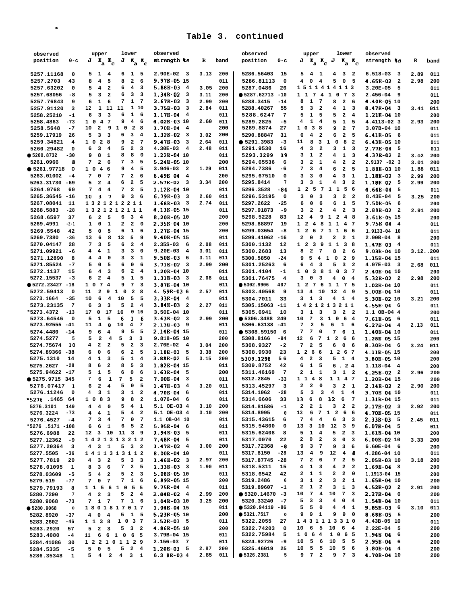| observed                              | lower<br>upper                                                                                                    | observed                                |             | observed                     | lower<br>upper                                                                                                       | observed                            |             |
|---------------------------------------|-------------------------------------------------------------------------------------------------------------------|-----------------------------------------|-------------|------------------------------|----------------------------------------------------------------------------------------------------------------------|-------------------------------------|-------------|
| position<br>$0-c$                     | $J K_a K_c$<br>$J K_{\rm a} K_{\rm c}$                                                                            | strength ts                             | R<br>band   | position<br>$0 - c$          | J<br>$K_a K_c J K_a K_c$                                                                                             | strength 18                         | R<br>band   |
|                                       |                                                                                                                   |                                         |             |                              |                                                                                                                      |                                     |             |
| 5257.11168<br>0                       | $1\quad 5$<br>6<br>5<br>1 4                                                                                       | $2.90E-02$ 3                            | 3.13<br>200 | 5286.56403<br>15             | $4\quad1$<br>4<br>3 <sub>2</sub><br>5                                                                                | 6.518-03<br>$_{3}$                  | 2.89<br>011 |
| 5257.2703<br>43                       | 5<br>8<br>$\overline{\mathbf{2}}$<br>6<br>8<br>4                                                                  | 9.97E-05 15                             | 011         | 5286.81113<br>0              | 0<br>5<br>4<br>4<br>0<br>5                                                                                           | 4.65B-02<br>$\overline{\mathbf{2}}$ | 200<br>2.98 |
| 5257.63202<br>0                       | $\overline{4}$<br>5<br>$\overline{\bf 4}$<br>$\overline{\mathbf{2}}$<br>6<br>3                                    | $5.88B-034$                             | 200<br>3.05 | 5287.0486<br>26              | 1511414113                                                                                                           | 3.20E-05<br>5                       | 011         |
| 5257.68056<br>-8                      | 3<br>3<br>5<br>$\overline{\mathbf{2}}$<br>6<br>3                                                                  | $1.34B-02$ 3                            | 200<br>3.11 | • 5287.62713<br>$-10$        | 1 1 7 4 1 0<br>73                                                                                                    | $2.456 - 04$<br>9                   | 011         |
| 5257.76843<br>9                       | $\mathbf{1}$<br>$\mathbf{1}$<br>7<br>- 7<br>6<br>6                                                                | $2.67B-02$<br>3                         | 2.99<br>200 | 5288.3415<br>$-14$           | $\mathbf{1}$<br>$\overline{7}$<br>$\overline{\mathbf{2}}$<br>8<br>8<br>6                                             | 4.40B-05 10                         | 200         |
| 5257.91120<br>3                       | $\mathbf{1}$<br>11<br>11<br>1 10<br>12                                                                            | $3.75B-03$<br>$\overline{\mathbf{3}}$   | 2.84<br>011 | 5288.40267<br>55             | 5<br>3<br>$\overline{\mathbf{2}}$<br>4<br>$\mathbf{1}$<br>3                                                          | 8.47E-04<br>- 3                     | 011<br>3.41 |
| 5258.25210<br>$-1$                    | 3<br>3<br>1<br>6<br>6<br>6                                                                                        | $1.17B-04$ 4                            | 011         | 5288.6247<br>7               | 5<br>5<br>$\mathbf{2}$<br>1<br>5<br>$\overline{\mathbf{4}}$                                                          | 1.21B-04 10                         |             |
| 5258.4863<br>$-73$                    | $7\phantom{.0}$<br>9<br>$4\phantom{1}$<br>6<br>$1\quad$ 0<br>$\overline{4}$                                       | 4.02B-03 10                             | 2.60<br>011 | $-5$<br>5289.2825            | $\mathbf{1}$<br>$\overline{4}$<br>5<br>4<br>$\mathbf{1}$<br>5                                                        | 4.4113-02 3                         | 200<br>2.93 |
| 5258.5648<br>$-7$                     | $\overline{\mathbf{2}}$<br>9<br>$1\quad 0$<br>10<br>$\mathbf{2}$<br>- 8                                           | 1.70B-04<br>$\overline{4}$              | 200         | 5289.8874<br>27              | 1 0<br>$\overline{\mathbf{3}}$<br>8<br>$\mathbf{2}$<br>9<br>7                                                        | 3.07B-04 10                         | 200         |
|                                       | 3<br>$\overline{4}$                                                                                               | $1.32B-02$ 3                            | 200         | 5290.88847                   |                                                                                                                      | $6.41B-056$                         | 011         |
| 5259.17919<br>26                      | $\overline{\mathbf{3}}$<br>3<br>6<br>5                                                                            |                                         | 3.02        | 31                           | $\overline{\mathbf{4}}$<br>$\overline{\mathbf{2}}$<br>6<br>$\overline{\mathbf{2}}$<br>5<br>6                         |                                     | 011         |
| 5259.34821<br>4                       | $\overline{\mathbf{2}}$<br>$7\phantom{.0}$<br>1 0<br>28<br>9                                                      | 9.47B-03<br>3                           | 011<br>2.64 | ● 5291.3983<br>$-3$          | 8<br>$\mathbf{3}$<br>$\overline{\mathbf{0}}$<br>8<br>11<br>1<br>$\overline{\mathbf{2}}$                              | 6.43B-05 10                         | 011         |
| 5260.29482<br>$\mathbf 0$             | $\mathbf{2}$<br>3<br>5<br>3<br>6<br>$\overline{\mathbf{4}}$                                                       | $4.30E-03$<br>$\overline{4}$            | 2.48<br>011 | 5291.9530<br>16              | 4<br>3<br>$\overline{\mathbf{2}}$<br>3<br>$\mathbf{1}$<br>3                                                          | 2.77B-04<br>- 5                     | 011         |
| • 5260.8732<br>-30                    | 8<br>8<br>8<br>0<br>9<br>1                                                                                        | 1.22B-04 10                             | 011         | 5293.3299<br>19              | $\mathbf{1}$<br>4<br>з<br>$\overline{\mathbf{2}}$<br>1<br>3                                                          | 4.37B-02<br>$\overline{\mathbf{2}}$ | 3.02<br>200 |
| 5261.0966<br>8                        | 3<br>7<br>$\overline{\mathbf{2}}$<br>7<br>5<br>6                                                                  | 5.24B-05 10                             | 200         | 5294.65536<br>6              | $\mathbf{2}$<br>4<br>$\overline{a}$<br>3<br>1<br>$\overline{\mathbf{2}}$                                             | $2.913? -023$                       | 200<br>3.01 |
| • 5261.97718<br>$\circ$               | 9<br>$\overline{\bf 4}$<br>5<br>$1\quad$<br>46                                                                    | $3.946 - 03$<br>$\overline{\mathbf{2}}$ | 1.29<br>011 | 5294.7386<br>-6              | 7<br>3<br>$\overline{4}$<br>6<br>$\overline{2}$<br>5                                                                 | 1.888-03 10                         | 011<br>1.88 |
| 5263.01002<br>-4                      | 7<br>$\mathbf{2}$<br>7<br>0<br>$\overline{7}$<br>6                                                                | 8.49B-04<br>$\overline{4}$              | 200         | 5295.67510<br>0              | 3<br>3<br>0<br>4<br>3<br>$\mathbf{1}$                                                                                | 1.18E-02<br>$\overline{\mathbf{3}}$ | 2.99<br>200 |
| 5263.31730<br>-69                     | $\mathbf{2}$<br>6<br>5<br>$\overline{\mathbf{2}}$<br>$\overline{\mathbf{4}}$<br>5                                 | 2.57B-02<br>$\overline{\mathbf{3}}$     | 3.34<br>200 | 7<br>5295.8414               | 3<br>${\bf 1}$<br>4<br>$\overline{\mathbf{2}}$<br>з<br>3                                                             | 1.18B-02<br>-5                      | 2.99<br>200 |
| 5264.9768<br>60                       | 7<br>$\overline{\mathbf{4}}$<br>7<br>$\overline{\mathbf{2}}$<br>4<br>5                                            | 1.128-04 10                             | 011         | -84<br>5296.3528             | 5<br>$1\quad1$<br>5 6<br>$1\quad 2$<br>7                                                                             | 4.64B-04<br>5                       | 011         |
| 5265.36545 -16                        | 3<br>7<br>9<br>3<br>10<br>- 6                                                                                     | $6.79B-033$                             | 2.60<br>011 | 5296.53195<br>0              | 3<br>$\mathbf{2}$<br>з<br>0<br>з<br>- 2                                                                              | 8.43E-04<br>5                       | 3.25<br>200 |
| 5267.08041<br>11                      | 1321212211                                                                                                        | $1.68B-033$                             | 2.74<br>011 | 5297.2622<br>$-25$           | 0<br>6<br>6<br>6<br>1<br>-5                                                                                          | 7.50B-05<br>6                       | 200         |
| 5268.5883<br>$-28$                    | 1321212111                                                                                                        | 4.13B-05 15                             | 011         | 5297.91873<br>-9             | $\mathbf{2}$<br>$\overline{\mathbf{2}}$<br>4<br>$\overline{\mathbf{2}}$<br>$\overline{\mathbf{3}}$<br>з              | $2.89E-02$ 2                        | 2.91<br>200 |
|                                       | 3<br>- 4                                                                                                          |                                         |             | 5298.5228                    | 9 1 2<br>12<br>4<br>48                                                                                               | 3.61E-05 15                         |             |
| 5268.6597<br>37                       | $\overline{a}$<br>5<br>6<br>6                                                                                     | 8.20B-05 10                             | 200         | 83                           |                                                                                                                      |                                     | 200         |
| 5269.4991<br>$-2-1$                   | $\overline{\mathbf{2}}$<br>2<br>0<br>1<br>0<br>1                                                                  | 2.358-04 10                             | 200         | 5298.88897<br>19             | 1 2 4 8 1 1 4 7                                                                                                      | 9.75B-04<br>$\overline{4}$          | 011         |
| 5269.5548<br>42                       | $\mathbf{1}$<br>5<br>0<br>5<br>6<br>6                                                                             | 1.27B-04 15                             | 200         | 5299.03654<br>-8             | $1\quad2\quad6$<br>7 1 1<br>66                                                                                       | 1.9133-04 10                        | 011         |
| 5269.7380<br>$-36$                    | 6<br>8<br>13<br>5<br>13<br>9                                                                                      | 9.40B-05 15                             | 011         | 5299.41062 -16               | 0<br>$\overline{\mathbf{2}}$<br>$\mathbf{2}$<br>$\overline{a}$<br>$\mathbf{1}$<br>2                                  | $2.90B-04$<br>- 8                   | 200         |
| 5270.04147<br>28                      | $\overline{a}$<br>3<br>5<br>6<br>4<br>7                                                                           | $2.35S-03$<br>- 6                       | 2.08<br>011 | 5300.1132<br>12              | 1 2 3 9<br>1 1<br>38                                                                                                 | $1.47E-03$ 4                        | 011         |
| 5271.09921<br>-6                      | 4<br>з<br>3<br>4<br>1<br>0                                                                                        | $9.20E-03$<br>$\overline{4}$            | 3.01<br>011 | 5300.2683<br>13              | $\mathbf{2}$<br>$\overline{7}$<br>$\overline{a}$<br>8<br>8<br>- 6                                                    | $9.03E-04$ 10                       | 3.12.00     |
| 5271.12890<br>8                       | $\overline{\mathbf{4}}$<br>3<br>4<br>0<br>з<br>1                                                                  | 9.50B-03<br>6                           | 3.11<br>011 | 5300.5850<br>$-24$           | 9<br>5<br>4<br>$\overline{\mathbf{0}}$<br>$\overline{\mathbf{2}}$<br>1<br>- 9                                        | 1.158-04 15                         | 011         |
| 5271.85524<br>$-7$                    | 0<br>6<br>5<br>0<br>5<br>6                                                                                        | $3.71B-02$ 3                            | 2.99<br>200 | 5301.25263<br>6              | 5 <sub>3</sub><br>$\overline{\mathbf{3}}$<br>$\overline{\mathbf{2}}$<br>6<br>4                                       | 4.07E-03<br>$_{3}$                  | 2.68<br>011 |
| 5272.1137<br>15                       | $\overline{\mathbf{2}}$<br>4<br>6<br>4<br>6<br>3                                                                  | 1.20B-04 10                             | 011         | 5301.4104<br>$-1$            | $\overline{\mathbf{3}}$<br>1 0<br>$1\quad 0$<br>8<br>3 7                                                             | 2.40B-04 10                         | 200         |
| 5272.15537<br>-3                      | $\overline{\mathbf{2}}$<br>5<br>$\mathbf{1}$<br>6<br>4<br>5                                                       | $1.31B-033$                             | 2.08<br>011 | 5301.76475<br>4              | 3<br>0<br>$\overline{\mathbf{3}}$<br>$\mathbf{o}$<br>$\overline{4}$<br>$\overline{4}$                                | $5.32B-02$ 2                        | 2.98<br>200 |
| $• 5272.23427 -18$                    | 7<br>$7\phantom{.0}$<br>$\overline{4}$<br>9<br>3<br>$1\quad$                                                      | $3.87E-0410$                            | 011         | ● 5302.9906<br>407           | 1 2 7 6 1 1 7 5                                                                                                      | 1.028-04 10                         | 011         |
| 5272.59413<br>0                       | $\overline{\mathbf{2}}$<br>$\overline{9}$<br>$\overline{\mathbf{0}}$<br>$\overline{a}$<br>11<br>$\mathbf{1}$<br>8 | 4.59B-036                               | 2.57<br>011 | 5303.40568<br>9              | 13<br>4<br>10<br>12<br>$\overline{4}$<br>و.                                                                          | 5.00B-04 10                         | 011         |
| 5273.1664<br>$-35$                    | 5<br>6<br>10<br>$\overline{4}$<br>10<br>5                                                                         | $3.33B-04$ 4                            | 011         | 5304.7011<br>33              | $\mathbf{1}$<br>3<br>3<br>4<br>1 4                                                                                   | 5.30B-02 10                         | 3.21<br>200 |
| 5273.23135<br>7                       | 3<br>3<br>5<br>$\mathbf{2}$<br>6<br>4                                                                             | $3.84E-03$ 2                            | 2.27<br>011 | 5305.15063 -11               | 1421213211                                                                                                           | $4.55B-04$ 6                        | 011         |
| $-13$<br>*5273.4372                   | ${\bf 17}$<br>16<br>0<br>0 <sub>16</sub><br>17                                                                    | 3.50E-04 10                             | 011         | 5305.6941                    | 3<br>$\mathbf{1}$<br>3<br>$\mathbf{3}$<br>$2^{\circ}$                                                                |                                     |             |
| 5273.64546                            | 5<br>1<br>5<br>6<br>1                                                                                             | $3.63E-02$ 3                            | 200         | 10<br>• 5306.3488            | 7<br>3<br>1 0                                                                                                        | 1.1 OB-04 4                         | 200         |
| 0                                     | -6<br>10<br>$\overline{\mathbf{4}}$<br>$7\phantom{.0}$                                                            |                                         | 2.99<br>011 | 249                          | 10<br>6 4<br>7<br>2<br>6<br>5<br>- 6                                                                                 | 7.61B-05<br>-6                      | 011         |
| 5273.92555 -41                        | 4<br>8<br>11                                                                                                      | $2.13B-03$ 9                            |             | 5306.63138 -41               | $\mathbf{1}$                                                                                                         | $6.27B - 04$<br>$\overline{4}$      | 2.13<br>011 |
| 5274.4480<br>$-14$                    | 5<br>5<br>6<br>9<br>9<br>4                                                                                        | 2.14B-04 15                             | 011         | • 5308.59150<br>- 6          | 7<br>7<br>0<br>7<br>6<br>$\mathbf{1}$                                                                                | 1.40B-04 10                         | 011         |
| 5274.5277<br>5                        | $\mathbf{2}$<br>5<br>3<br>5<br>$\overline{\mathbf{4}}$<br>3                                                       | 9.818-05 10                             | 200         | 5308.8166<br>-94             | 6<br>7 1 2<br>12<br>6<br>- 6                                                                                         | 1.28E-05 15                         | 200         |
| 5274.75674<br>10                      | $\mathbf{2}$<br>$\mathbf{2}$<br>5<br>$\overline{\mathbf{2}}$<br>4<br>3                                            | 2.76E-02<br>4                           | 3.04<br>200 | 5308.9327<br>$-2$            | 7<br>$\mathbf{2}$<br>5<br>6<br>0<br>6                                                                                | 8.30B-04<br>- 6                     | 011<br>3.24 |
| 5274.89366 -38                        | 0<br>6<br>$\mathbf{2}$<br>5<br>6<br>6                                                                             | 1.18B-03<br>5                           | 3.38<br>200 | 5308.9930<br>23              | 126<br>- 6<br>1 2 6 7                                                                                                | 4.11B-05 15                         | 200         |
| 5275.1310<br>14                       | ${\bf 1}$<br>3<br>5<br>$\mathbf 1$<br>4<br>4                                                                      | 3.88E-02<br>5                           | 3.15<br>200 | 5309.1298<br>56              | $\mathbf{2}$<br>3<br>4<br>5<br>$1 \quad 4$                                                                           | 3.80B-05 10                         | 200         |
| 5275.2627<br>$-28$                    | 5<br>6<br>$\overline{\mathbf{2}}$<br>8<br>8<br>3                                                                  | 1.82E-04 15                             | 011         | 5309.8752<br>42              | $\mathbf{1}$<br>5<br>6<br>.24<br>6                                                                                   | 1.118-04<br>- 4                     | 200         |
| 5275.94622 -17                        | 5<br>$\mathbf 1$<br>5<br>6<br>0<br>6                                                                              | 1.63B-04<br>5                           | 200         | $\overline{7}$<br>5311.46160 | 2<br>$\mathbf{1}$<br>1<br>з<br>$\mathbf{1}$<br>$\overline{\mathbf{2}}$                                               | 4.25B-02 2                          | 2.96<br>200 |
| ● 5275.9715 345                       | 6<br>1<br>7<br>5<br>7<br>$\mathbf{2}$                                                                             | 7.00E-04<br>3                           | 011         | 5312.2845<br>$-33$           | $\overline{4}$<br>8<br>1 1 4 7<br>11                                                                                 | 1.20B-04 15                         | 200         |
| 5276.07417<br>$\mathbf{1}$            | 5<br>0<br>5<br>$\mathbf{2}$<br>4<br>6                                                                             | $\overline{4}$<br>1.47B-03              | 3.20<br>011 | 5313.45297<br>3              | $\mathbf{2}$<br>$\mathbf{2}$<br>$\mathbf 0$<br>$\overline{\mathbf{2}}$<br>з<br>$\mathbf{1}$                          | $2.14B-02$ 2                        | 2.90<br>200 |
| 5276.11246<br>0                       | 3<br>$\mathbf{1}$<br>3<br>1<br>$\overline{\mathbf{2}}$<br>4                                                       | 4.70B-04<br>-6                          | 011         | 5314.1062<br>$-28$           | 5<br>3<br>3<br>4<br>$\mathbf{1}$<br>$\overline{4}$                                                                   | 3.70B-04 10                         | 011         |
| *5276 .1465 64                        | 9 8 2<br>1 0 8 3                                                                                                  | $1.076 - 04$ 6                          | 011         | 5314.6606<br>33              | 8 12 6 7<br>13<br>6                                                                                                  | 1.31B-04 15                         | 011         |
| 149<br>5276.3101                      | 5<br>$4\quad 4\quad 0$<br>$4 \quad 1$                                                                             | 5.1 OE-03 4                             | 200<br>3.10 | 5314.81586<br>$-1$           | $\mathbf{2}$<br>$\mathbf{2}$<br>$\mathbf{1}$<br>$\mathbf{3}$<br>2 <sub>2</sub>                                       | $2.17E-02$ 3                        | 200<br>2.92 |
| 5276.3224<br>$-73$                    | $4\quad 2$<br>$4\quad1$<br>5<br>$\overline{\mathbf{4}}$                                                           | 5.1 OE-03 4                             | 3.10<br>200 | 5314.8995<br>$\mathbf 0$     | 6 7 1 2 6 6<br>13                                                                                                    | 4.70B-05 15                         | 011         |
| 5276.4527<br>$-4$                     | 3<br>7<br>0<br>$\overline{7}$<br>7<br>$\overline{4}$                                                              | 1.1 OB-04 10                            | 011         | 5315.43615<br>6              | $\overline{4}$<br>7<br>$\overline{\mathbf{4}}$<br>6<br>$\mathbf{3}$<br>$\overline{\mathbf{3}}$                       | $2.33B-03$ 5                        | 2.45<br>011 |
| *5276 .5171 -108                      | $6^{\circ}$<br>5 <sub>2</sub><br>$\mathbf{1}$<br>6<br>6                                                           | $5.95B-04$ 6                            | 011         | 5315.54800<br>0              | 13<br>3<br>10<br>12<br>39                                                                                            | $6.07B-04$ 5                        | 011         |
| 5276.6988<br>22                       | 12 3 10<br>3 <sub>9</sub><br>11                                                                                   | $1.94E-035$                             | 011         | 8<br>5315.62408              | $\mathbf{1}$<br>5<br>$\overline{\mathbf{4}}$<br>5<br>$2 \quad 3$                                                     | 1.61B-04 10                         | 200         |
| 5277.12362<br>-9                      | 1421313212                                                                                                        | $7.48B-04$ 5                            | 011         | 5317.0070<br>22              | 2<br>0<br>$\overline{\mathbf{2}}$<br>3<br>0<br>$\overline{\mathbf{3}}$                                               | 6.00B-02 10                         | 200<br>3.33 |
|                                       | 5<br>3 <sub>2</sub>                                                                                               | $1.47B-02$ 4                            | 3.00<br>200 | 5317.72368<br>-8             | 9<br>$3 \quad 7$<br>9                                                                                                |                                     |             |
| 5277.20364<br>$\overline{\mathbf{3}}$ | $4 \quad 3 \quad 1$                                                                                               |                                         |             | 5317.8150                    | 36                                                                                                                   | $6.60E-04$ 6                        | 200         |
| 5277.5505<br>$-36$                    | 1411313112                                                                                                        | 8.00B-04 10                             | 011         | $-28$                        | $\overline{4}$<br>9<br>12<br>4 8<br>13                                                                               | 4.286-04 10                         | 011         |
| 5277.7819<br>20                       | $4 \quad 3 \quad 2$<br>$5 \quad 3 \quad 3$                                                                        | $1.46B-02$ 3                            | 2.97<br>200 | 5317.87745 -28               | $2\quad 6$<br>2 <sub>5</sub><br>7<br>7 <sup>7</sup>                                                                  | 2.05B-03 10                         | 3.18<br>200 |
| 5278.01095<br>$\mathbf{1}$            | 2 <sub>5</sub><br>$3\quad 6$<br>7<br>8                                                                            | $1.33B-03$ 3                            | 1.90<br>011 | 5318.5311<br>15              | $\mathbf{1}$<br>$\overline{a}$<br>$\overline{\mathbf{4}}$<br>$\overline{\mathbf{3}}$<br>4<br>$\overline{\mathbf{2}}$ | $1.69B-04$ 3                        | 200         |
| 5278.03609<br>$-5$                    | $5$ 2 3<br>$4\quad 2$<br>5                                                                                        | 5.08B-05 10                             | 011         | 5318.6542<br>42              | $\mathbf{2}$<br>$1\quad1$<br>$\mathbf{2}$<br>$2 \quad 0$                                                             | 1.1913-04 15                        | 200         |
| 5279.519<br>$-77$                     | $\mathbf 0$<br>$7\quad1\quad6$<br>$\overline{7}$<br>7                                                             | 6.89B-05 15                             | 200         | 5319.2486<br>6               | $\mathbf{1}$<br>з<br>$\mathbf{2}$<br>з<br>$\overline{\mathbf{2}}$<br>$\mathbf{1}$                                    | 1.65B-04 10                         | 200         |
| 5279.79193<br>8                       | 1 1 5 6 1 0 5 5                                                                                                   | $9.75B - 04$ 4                          | 011         | 5319.89607<br>$-1$           | $\mathbf{1}$<br>$\overline{\mathbf{2}}$<br>$1 \quad 3$<br>2<br>3                                                     | $4.52B-02$ 2                        | 2.91<br>200 |
| 5280.7290<br>$7\phantom{.0}$          | $\overline{a}$<br>$\overline{\mathbf{3}}$<br>$5$ 2 4<br>$\overline{\mathbf{4}}$                                   | $2.84B-02$ 4                            | 2.99<br>200 | $• 5320.14670 -3$            | 74<br>10<br>10<br>7<br>$\overline{\mathbf{3}}$                                                                       | $2.27B - 04$ 6                      | 200         |
| 5280.9068<br>$-73$                    | 7 1 7<br>7 1 6                                                                                                    | 1.04B-03 10                             | 3.25<br>200 | 5320.33240<br>$-7$           | 5<br>$3 \quad 3$<br>4<br>$0 \quad 4$                                                                                 | 1.54B-04 10                         | 011         |
| ● 5280.9068<br>$\circ$                | 1801817017                                                                                                        | 1.04B-04 15                             | 011         | $• 5320.94119 -86$           | 5<br>5<br>$\overline{\phantom{0}}$<br>$\overline{\bf 4}$<br>$4\quad1$                                                | $9.85B-036$                         | 3.10<br>011 |
| 5282.8920<br>$-37$                    | $4\quad 0$<br>$\overline{4}$<br>$5$ 1 5                                                                           | 5.23B-05 10                             | 200         | • 5321.7517<br>$\circ$       | 9 1<br>9<br>9<br>9 0                                                                                                 | $8.68B-055$                         | 200         |
| 5283.2602<br>$-46$                    | 1 0 3 7<br>1 1 3 8                                                                                                | $3.52B-03$ 5                            | 011         | 5322.2055<br>27              | 1431113310                                                                                                           | 4.43B-05 10                         | 011         |
| 5283.2920<br>57                       | 523<br>$5 \quad 3 \quad 2$                                                                                        | 4.86B-05 10                             | 200         | 5322.74203<br>$\mathbf 0$    | $6 \quad 5 \quad 10$<br>$6^{\circ}$<br>$\overline{\mathbf{4}}$<br>10                                                 | $2.22E-04$<br>- 5                   | 200         |
| $-4$                                  | 6 6 1 0 6 5<br>11                                                                                                 | 3.79B-04 15                             | 011         | 5322.75984<br>5              | 1 0 6 4<br>1 0 6 5                                                                                                   | $1.94B-04$ 6                        | 200         |
| 5283.4080                             |                                                                                                                   |                                         | 011         | 5324.92726<br>-9             | 5 6<br>10<br>10<br>5 <sub>5</sub>                                                                                    | $2.95B-04$ 6                        |             |
| 5284.41086<br>30                      | 1 2 2 1 0 1 1 2 9                                                                                                 | 2.156-03 7                              |             |                              | 5 5 10                                                                                                               |                                     | 200         |
| 5284.5335<br>$-5$                     | 5<br>$5$ 2 4<br>$\mathbf 0$<br>5                                                                                  | $1.20B-03$ 5                            | 200<br>2.87 | 5325.46019<br>25             | 10<br>5 6                                                                                                            | $3.80E-04$ 4                        | 200         |
| 5286.35348<br>1                       | $5\quad 4$<br>2 4 3 1                                                                                             | 6.3 BE-03 4                             | 2.85        | 011<br>• 5326.2381<br>5      | 9 7 2<br>9 7 3                                                                                                       | 4.70B-04 10                         | 200         |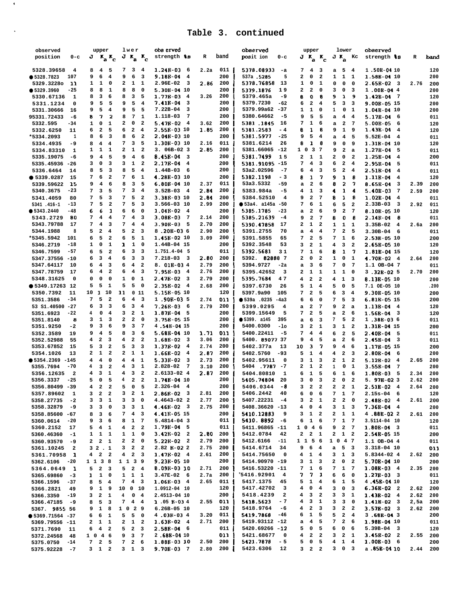$\langle \Phi \rangle$ 

 $\mathcal{A}^{\mathcal{A}}$ 

| observed                              | upper                                                   | lwer                                                               | obs erved                           |      |      | observed                              | upper                                                              | lower                                                      | observed                       |      |      |
|---------------------------------------|---------------------------------------------------------|--------------------------------------------------------------------|-------------------------------------|------|------|---------------------------------------|--------------------------------------------------------------------|------------------------------------------------------------|--------------------------------|------|------|
| $0-c$<br>position                     | $J K_{\rm a} K_{\rm c}$                                 | $J K_{\rm a} K_{\rm c}$                                            | strength \$8                        | R    | band | posit ion<br>0-с                      | $J K_{\rm a} K_{\rm c}$                                            | $J K_a$ Kc                                                 | strength ts                    | R    | band |
|                                       |                                                         |                                                                    |                                     |      |      |                                       |                                                                    |                                                            |                                |      |      |
| 5328.39658<br>4                       | - 5<br>8<br>$\overline{4}$                              | 7 3 4                                                              | $1.24B-03$ 6                        | 2.2a | 011  | 5378.08933<br>-а                      | 7<br>4<br>- 3                                                      | a 5<br>$\overline{4}$                                      | 1.50E-04 10                    |      | 120  |
| • 5328.7823<br>107                    | 9<br>6<br>$\overline{\mathbf{4}}$                       | 9<br>6<br>3                                                        | 9.18B-04<br>$\overline{4}$          |      | 200  | 537a .5285<br>5                       | $\overline{\mathbf{2}}$<br>$\overline{\mathbf{2}}$<br>0            | 1<br>1<br>1                                                | 1.58E-04 10                    |      | 200  |
| 5329.32280<br>11                      | 1<br>1<br>0                                             | $\mathbf{1}$<br>2<br>1                                             | 2.96E-02<br>3                       | 2.86 | 200  | 5378.76858<br>13                      | 1<br>0<br>1                                                        | 0<br>0<br>$\mathbf 0$                                      | $2.65B-02$ 3                   | 2.76 | 200  |
| ● 5329.3960<br>$-25$                  | 8<br>$\mathbf 1$<br>8                                   | 8<br>8<br>0                                                        | $5.30B-04$ 10                       |      | 200  | 5379.1876<br>19                       | $\overline{\mathbf{2}}$<br>$\mathbf{2}$<br>$\mathbf 0$             | 3<br>3<br>0                                                | $1.00B-044$                    |      | 200  |
| 1                                     | 8<br>з<br>6                                             | 8<br>3<br>5                                                        | 1.776-03<br>$\overline{4}$          | 3.26 | 200  | 5379.465a<br>-9                       | o<br>8<br>8                                                        | 9<br>ı<br>9                                                | $1.42B - 04$<br>- 7            |      |      |
| 5330.67136                            |                                                         |                                                                    |                                     |      |      |                                       |                                                                    |                                                            |                                |      | 120  |
| 5331.1234<br>0                        | 9<br>5<br>5                                             | 9<br>5<br>$\overline{\mathbf{4}}$                                  | 7.41B-04<br>3                       |      | 200  | 5379.7230<br>$-62$                    | $\mathbf{2}$<br>$\overline{\mathbf{4}}$<br>6                       | 5<br>3<br>3                                                | 9.00B-05 15                    |      | 200  |
| 5331.30666<br>16                      | 9<br>5<br>$\overline{\mathbf{4}}$                       | 9<br>5<br>5                                                        | $7.22B-04$<br>з                     |      | 200  | 5379.99a62<br>-37                     | 1<br>1<br>0                                                        | 1<br>0<br>1                                                | 1.04E-04 10                    |      | 200  |
| 95331.72433<br>-6                     | $\overline{\mathbf{2}}$<br>7<br>8                       | 7<br>1<br>8                                                        | 1.118-03<br>7                       |      | 200  | 5380.64662<br>$-5$                    | 5<br>5<br>9                                                        | 4<br>$\overline{4}$<br>a                                   | 5.17B-04<br>6                  |      | 011  |
| 5332.595<br>-34                       | 1<br>0<br>$\mathbf{1}$                                  | 2<br>$\mathbf 0$<br>$\mathbf{2}$                                   | $5.47B-02$<br>$\overline{4}$        | 3.62 | 200  | 5381.1845<br>16                       | 7<br>1<br>6                                                        | $\mathbf{2}$<br>7<br>a                                     | $5.00B-05$<br>6                |      | 120  |
| 5332.6250<br>11                       | $\mathbf 2$<br>6<br>5                                   | 6<br>$\overline{\mathbf{2}}$<br>4                                  | 2.55R-03 10                         | 1.85 | 200  | 5381.2583<br>- 4                      | 8<br>1<br>8                                                        | 9<br>9<br>$\mathbf{1}$                                     | 1.436-04<br>4                  |      | 120  |
| *5334.2093<br>1                       | 6<br>3<br>8                                             | 8<br>6<br>$\overline{\mathbf{2}}$                                  | 2.04B-03 10                         |      | 200  | 5381.5977<br>$-25$                    | 9<br>5<br>4                                                        | $\overline{\mathbf{4}}$<br>5<br>a                          | 5.52E-04<br>4                  |      | 011  |
| 5334.4935<br>-9                       | 8<br>4<br>$\overline{\mathbf{4}}$                       | 7<br>3<br>5                                                        | 1.30B-03 10                         | 2.16 | 011  | 5381.6214<br>26                       | 8<br>1<br>8                                                        | 9<br>0<br>9                                                | 1.31B-04 10                    |      | 120  |
| 5334.83310<br>1                       | $\mathbf{1}$<br>${\bf 1}$<br>1                          | 2<br>1<br>$\overline{\mathbf{2}}$                                  | $3.06B-023$                         | 2.85 | 200  | 5381.66065 -12                        | $\overline{\mathbf{3}}$<br>$1\quad$<br>- 7                         | 9<br>2<br>a                                                | $1.27B - 04$<br>5              |      | 011  |
|                                       | 5<br>4                                                  | 9<br>6                                                             | 8.45B-04<br>- 3                     |      | 200  | 5381.7499                             | $\mathbf{1}$                                                       |                                                            | 1.258-04                       |      |      |
| 5335.19075<br>-6                      | 9                                                       | $\overline{\bf 4}$                                                 |                                     |      |      | 15                                    | $\mathbf{2}$<br>1                                                  | 2<br>$\overline{2}$<br>0                                   | 4                              |      | 200  |
| 5335.45936<br>-26                     | 3<br>з<br>0                                             | ${\bf 1}$<br>з<br>$\overline{\mathbf{2}}$                          | 2.178-04<br>$\overline{\mathbf{4}}$ |      | 200  | 5381.91095 -15                        | 3<br>7<br>4                                                        | 6<br>$\mathbf{2}$<br>$\overline{4}$                        | 2.95B-04<br>5                  |      | 011  |
| 5336.6464<br>14                       | 8<br>5<br>з                                             | 5<br>8<br>$\overline{\mathbf{4}}$                                  | $1.44B-03$<br>6                     |      | 200  | 53a2.02596<br>$-7$                    | 6<br>4<br>3                                                        | 5<br>$\mathbf{2}$<br>4                                     | $2.51B-04$<br>4                |      | 011  |
| ● 5339.0287<br>15                     | 6<br>$\mathbf{2}$<br>7                                  | 6<br>7<br>$\mathbf 1$                                              | 4.28E-03 10                         |      | 200  | 5382.1198<br>$-3$                     | 7<br>8<br>1                                                        | 9<br>1<br>8                                                | 1.11B-04<br>4                  |      | 120  |
| 5339.59622<br>15                      | 9<br>4<br>6                                             | 8<br>3<br>5                                                        | $6.80B-04$ 10                       | 2.37 | 011  | 53a3.5332<br>$-59$                    | $\mathbf{2}$<br>6<br>a                                             | 8<br>2<br>7                                                | 8.65E-04<br>3                  | 2.39 | 200  |
| 5340.3675<br>$-23$                    | 7<br>3<br>5                                             | 3<br>$\overline{\mathbf{4}}$<br>7                                  | $3.52B-03$ 4                        | 2.84 | 200  | 5383.984a<br>$-5$                     | 4<br>$\mathbf{1}$<br>3                                             | 4<br>1<br>4                                                | $5.40B-03$<br>7                | 2.59 | 200  |
| 5341.4059<br>80                       | 7<br>5<br>3                                             | 7<br>5<br>$\overline{\mathbf{2}}$                                  | 3.38E-03 10                         | 2.84 | 200  | 5384.52510<br>4                       | $\mathbf{2}$<br>9<br>$7\phantom{.0}$                               | 8<br>ı<br>8                                                | $1.02B-04$<br>4                |      | 011  |
|                                       | 5<br>$\mathbf{2}$<br>7                                  | 5<br>7<br>$\overline{\mathbf{3}}$                                  |                                     |      | 200  |                                       | 7<br>$\mathbf{1}$<br>6                                             |                                                            |                                |      |      |
| 5341.416-1<br>$-13$                   |                                                         |                                                                    | 3.566-03 10                         | 2.99 |      | $\bullet$ 53a4. a145a -50             |                                                                    | 6<br>5<br>$\overline{\mathbf{2}}$                          | 2.33B-03<br>$_{3}$             | 2.92 | 011  |
| • 5343.2440<br>$-48$                  | 6<br>1<br>6                                             | 6<br>6<br>$\mathbf 0$                                              | 1.04B-02<br>$\overline{4}$          |      | 200  | 5385.1785<br>$-23$                    | $\mathbf{2}$<br>6<br>a                                             | 9<br>$\mathbf{2}$<br>$7\phantom{.0}$                       | 8.10B-05 10                    |      | 120  |
| 5343.2729<br>80                       | 7<br>$\overline{\mathbf{4}}$<br>4                       | 7<br>$\overline{4}$<br>3                                           | $3.08B - 03$<br>7                   | 2.14 | 200  | 5385.21639<br>-4                      | $\mathbf{2}$<br>$\overline{7}$<br>9                                | $\boldsymbol{e}$<br>8<br>0                                 | $2.14B - 04$<br>-8             |      | 011  |
| 5343.79788<br>17                      | 7<br>$\overline{\mathbf{4}}$<br>3                       | 7<br>4<br>4                                                        | $3.90B-03$<br>- 5                   | 2.70 | 200  | 5390.47858<br>17                      | $\overline{\mathbf{2}}$<br>$\mathbf{1}$<br>$\overline{\mathbf{2}}$ | 1<br>1<br>$\mathbf{1}$                                     | $3.35B-02$<br>4                | 2.6a | 200  |
| 5344.1988<br>8                        | $\mathbf{2}$<br>5<br>$\overline{\bf 4}$                 | 5<br>$\overline{\mathbf{2}}$<br>3                                  | $8.20B-036$                         | 2.90 | 200  | 5391.2755<br>70                       | 4<br>4<br>a                                                        | 7<br>$\mathbf{2}$<br>5                                     | $3.30B-04$<br>- 6              |      | 011  |
| *5345.5942<br>101                     | 5<br>6<br>$\overline{\mathbf{2}}$                       | 6<br>5<br>1                                                        | 1.45B-02 10                         | 3.09 | 200  | 5391.5855<br>65                       | 7<br>$\mathbf{2}$<br>5                                             | 7<br>$\mathbf{1}$<br>6                                     | 2.53B-05 10                    |      | 200  |
| 5346.2719<br>$-18$                    | 0<br>${\bf 1}$<br>1                                     | 1<br>$\mathbf{1}$<br>$\mathbf{o}$                                  | 1.44B-04 15                         |      | 200  | 5392.3548<br>53                       | 3<br>$\mathbf{2}$<br>1                                             | 4<br>3<br>$\overline{\mathbf{2}}$                          | 2.65B-05 10                    |      | 120  |
| $-57$<br>5346.7599                    | 5<br>$\overline{\mathbf{2}}$<br>6                       | 3<br>6<br>3                                                        | 1.751.4-04 5                        |      | 011  | 5392.5681<br>31                       | 7<br>$\mathbf{1}$<br>6                                             | 7<br>8<br>$\mathbf{1}$                                     | 1.81E-04 15                    |      |      |
|                                       |                                                         |                                                                    |                                     |      |      |                                       |                                                                    |                                                            |                                |      | 120  |
| 5347.37556 -10                        | 3<br>$\overline{\mathbf{4}}$<br>6                       | 6<br>3<br>3                                                        | 7.218-03<br>3                       | 2.80 | 200  | 5392.<br>828887                       | $\overline{\mathbf{2}}$<br>0<br>$\overline{\mathbf{2}}$            | 1<br>0<br>1                                                | 4.70B-02<br>$\overline{4}$     | 2.64 | 200  |
| 5347.64117<br>10                      | 4<br>3<br>6                                             | 6<br>$\overline{\bf 4}$<br>$\overline{\mathbf{2}}$                 | 8.01B-034                           | 2.79 | 200  | 5394.9727<br>$-2a$                    | 3<br>6<br>a                                                        | 7<br>$\overline{7}$<br>0                                   | 1.1 OB-04 7                    |      | 011  |
| 5347.78759<br>17                      | $\overline{\mathbf{4}}$<br>$\overline{\mathbf{2}}$<br>6 | 4<br>3<br>6                                                        | 7.95B-03<br>$\overline{\mathbf{4}}$ | 2.76 | 200  | 5395.42652<br>3                       | $\overline{\mathbf{2}}$<br>$\mathbf{1}$<br>1                       | 1<br>1<br>0                                                | $3.32B-025$                    | 2.70 | 200  |
| 5348.31625<br>$\mathbf 0$             | 0<br>$\mathbf 0$<br>0                                   | 1<br>$\mathbf 0$<br>1                                              | $2.47B-02$ 3                        | 2.79 | 200  | 5395.7684<br>47                       | 2<br>$\overline{\mathbf{2}}$<br>$\overline{\mathbf{4}}$            | 4<br>$\mathbf{1}$<br>3                                     | 8.13B-05 10                    |      | 200  |
| $\bullet$ 5349.17263 12               | 5<br>5<br>1                                             | 5<br>5<br>0                                                        | $2.35B-02$<br>- 4                   | 2.68 | 200  | 5397.6730<br>26                       | 5<br>$\mathbf{1}$<br>4                                             | 5<br>0<br>5                                                | 7.1 OE-05 10                   |      | .200 |
| 5350.7392<br>11                       | $\mathbf{1}$<br>10<br>10                                | 11<br>011                                                          | 5.158-05 10                         |      | 120  | 5397.9a90<br>105                      | 5<br>7<br>2                                                        | 6<br>3<br>4                                                | 9.30B-05 10                    |      | 200  |
| $-34$                                 | 5<br>7<br>$\overline{a}$                                | $\overline{\mathbf{4}}$<br>6<br>3                                  | 1.908-035                           |      | 011  | $• 539a .0235 -4a3$                   | $\mathbf 0$                                                        | 7<br>5<br>3                                                |                                |      |      |
| 5351.3586                             |                                                         |                                                                    |                                     | 2.74 |      |                                       | 6<br>6                                                             |                                                            | $6.81B-05$ 15                  |      | 200  |
| 53 S1.40500 -27                       | 3<br>6<br>3                                             | 3<br>6<br>$\overline{\mathbf{4}}$                                  | $7.26B-036$                         | 2.79 | 200  | 5399.0295<br>4                        | $\overline{7}$<br>$\mathbf{2}$<br>a                                | 9<br>$\mathbf{2}$<br>a                                     | $1.13B - 04$<br>$\overline{4}$ |      | 120  |
| 5351.6923<br>$-22$                    | 4<br>0<br>$\overline{\mathbf{4}}$                       | з<br>$\overline{\mathbf{2}}$<br>1                                  | $1.87B - 04$<br>- 5                 |      | 200  | 5399.15649<br>5                       | 7<br>2<br>5                                                        | $\mathbf{2}$<br>6<br>a                                     | 1.56B-04<br>3                  |      | 120  |
| 5351.8140<br>8                        | $\mathbf{1}$<br>3<br>з                                  | 2<br>$\overline{\mathbf{2}}$<br>$\mathbf 0$                        | 3.758-05 15                         |      | 200  | ● 5399. a145<br>395                   | 6<br>$\overline{\mathbf{3}}$<br>a                                  | 7<br>5<br>$\overline{\mathbf{2}}$                          | 1.38E-036                      |      | 011  |
| 5351.9250<br>-2                       | 9<br>3<br>6                                             | 9<br>3<br>$7\phantom{.0}$                                          | 4.54B-04 15                         |      | 200  | 5400.0300<br>-10                      | з<br>2<br>1                                                        | з<br>1<br>$\overline{\mathbf{2}}$                          | 1.31B-04 15                    |      | 200  |
| 5352.3589<br>19                       | $\overline{\mathbf{4}}$<br>5<br>9                       | 8<br>3<br>6                                                        | 5.688-04 10                         | 1.71 | 011  | 5400.22411<br>$-5$                    | $\overline{7}$<br>4<br>$\overline{\mathbf{4}}$                     | 6<br>$\overline{\mathbf{2}}$<br>5                          | 2.40B-04<br>5                  |      | 011  |
| 5352.52988<br>55                      | $\mathbf{2}$<br>4<br>з                                  | $\overline{\mathbf{2}}$<br>$\overline{\mathbf{2}}$<br>4            | 1.68E-02<br>$_{3}$                  | 3.06 | 200  | 5400. 89077 37                        | 9<br>4<br>5                                                        | 2<br>6<br>a                                                | 2.45B-04<br>- 3                |      | 011  |
| 5353.67852<br>15                      | 5<br>3<br>$\overline{\mathbf{2}}$                       | 5<br>3<br>3                                                        | $1.37B-02$<br>4                     | 2.74 | 200  | 5402.377a<br>13                       | 7<br>10<br>з                                                       | 9<br>4<br>6                                                | 1.17B-05 15                    |      | 200  |
|                                       | 1<br>$\overline{\mathbf{2}}$<br>2                       | 2<br>$\mathbf{1}$<br>1                                             | 1.66B-02<br>$\overline{\mathbf{4}}$ |      | 200  | $-93$                                 | 5<br>$\mathbf{1}$<br>4                                             | 4<br>$\mathbf{2}$<br>3                                     | 2.80B-04                       |      |      |
| 5354.1026<br>13                       |                                                         |                                                                    |                                     | 2.87 |      | 5402.5760                             |                                                                    |                                                            | - 6                            |      | 200  |
| $• 5354.2369 -145$                    | 4<br>$\mathbf 0$<br>4                                   | 4<br>1<br>4                                                        | $5.33B-02$<br>3                     | 2.73 | 200  | 5402.95611<br>$\mathbf{o}$            | 3<br>$\mathbf{1}$<br>3                                             | 2<br>1<br>$\overline{\mathbf{2}}$                          | $5.12B - 02$<br>$\overline{4}$ | 2.65 | 200  |
| $-70$<br>5355.7694                    | 3<br>$\mathbf 2$<br>4                                   | 3<br>1<br>4                                                        | 2.828-02<br>7                       | 3.10 | 200  | 5404.7787<br>$-7$                     | $\mathbf{2}$<br>$\mathbf{1}$<br>$\overline{\mathbf{2}}$            | 1<br>1<br>0                                                | $3.55B - 04$<br>7              |      | 200  |
| 5356.12635<br>$\overline{\mathbf{2}}$ | 3<br>$\mathbf{1}$<br>4                                  | 3<br>$\overline{\mathbf{2}}$<br>4                                  | 2.6133-02 4                         | 2.87 | 200  | 5404.80810<br>1                       | 6<br>1<br>5                                                        | 6<br>1<br>6                                                | $1.80B-03$<br>5                | 2.34 | 200  |
| 5356.3337<br>$-25$                    | 5<br>0<br>5                                             | $\mathbf{2}$<br>4<br>$\overline{\mathbf{2}}$                       | 1.74B-04 10                         |      | 200  | 5405.74804<br>20                      | 3<br>0<br>3                                                        | 2<br>0<br>$\overline{\mathbf{2}}$                          | 5. 97E-02 3                    | 2.62 | 200  |
| 5356.80499 -39                        | 4<br>$\overline{\mathbf{2}}$<br>$\overline{\mathbf{2}}$ | 5<br>$\mathbf 0$<br>5                                              | $2.326 - 04$<br>$\overline{4}$      |      | 200  | 5406.0344<br>- 8                      | 3<br>$\overline{a}$<br>$\overline{\mathbf{2}}$                     | $\overline{a}$<br>$\overline{\mathbf{2}}$<br>1             | $2.51B-02$<br>$\overline{4}$   | 2.64 | 200  |
| 5357.89602<br>1                       | 2 2<br>3                                                | 3 2 1                                                              | $2.86B-02$ 3                        | 2.81 | 200  | 5406.2442<br>40                       | 6<br>$0 \quad 6$                                                   | 7 1 7                                                      | $2.15s-04$ 6                   |      | 120  |
| 5358.27735<br>$-2$                    | з<br>3 <sub>1</sub>                                     | 30<br>3                                                            | 4.4643-02 2                         | 2.77 | 200  | 5407.22231<br>$-4$                    | $\overline{\mathbf{2}}$<br>3<br>$\mathbf{1}$                       | $\overline{a}$<br>$\mathbf{2}$<br>$\overline{\phantom{0}}$ | $2.48E-024$                    | 2.61 | 200  |
|                                       | $3 \quad 0$<br>3                                        | $3 \quad 3 \quad 1$                                                | $4.46B-02$ 3                        | 2.75 | 200  | 5408.36620 -13                        | 404                                                                |                                                            | $7.36B - 04$ 4                 |      |      |
| 5358.32879<br>-9                      |                                                         |                                                                    |                                     |      |      |                                       |                                                                    | $3\quad 1\quad 3$                                          |                                |      | 200  |
| 5358.85600 -67                        | 36<br>8                                                 | 7<br>$4 \quad 3$                                                   | 4.416-05 15                         |      | 200  | 5410.12883<br>و.                      | $1 \quad 2$<br>3                                                   | 2<br>$1\quad1$                                             | 4.88E-022                      | 2.61 | 200  |
| 5360.0614<br>-20                      | 36<br>9                                                 | 8<br>$1 \quad 7$                                                   | 5.4814-04 3                         |      | 011  | $5410.8892 - 6$                       | 6 1 6                                                              | $7 1 7$                                                    | 3.5114-04 10                   |      | 120  |
| 5360.2152<br>17                       | 5<br>4 1                                                | $\mathbf{2}$<br>$\overline{\mathbf{4}}$<br>$\overline{\mathbf{2}}$ | $1.79B - 04$ 5                      |      | 011  | 5411.96865 -11                        | 1 0 4 6                                                            | $2 \quad 7$<br>9                                           | $1.80B-04$ 3                   |      | 011  |
| 5360.46360<br>$-1$                    | $1\quad$<br>$\mathbf{1}$                                | $1\quad 0$<br>$\mathbf{1}$                                         | $3.42B-02$ 2                        | 2.80 | 200  | 5412.0784<br>42                       | $2 \quad 2 \quad 1$                                                | $2 \quad 1 \quad 2$                                        | 2.54B-05 15                    |      | 200  |
| 5360.93570<br>-9                      | $2 \quad 1$<br>2                                        | $\mathbf{2}$<br>$\mathbf{2}$<br>$\mathbf 0$                        | $5.22B-02$ 2                        | 2.79 | 200  | 5412.6166<br>$-11$                    | 1 1 5 6                                                            | 1 0 4 7                                                    | 1.1 OB-04 4                    |      | 011  |
| 5361.10245<br>$\overline{\mathbf{2}}$ | 32.1                                                    | $2 \quad 2$<br>3                                                   | $2.82$ $K-02$ 2                     | 2.75 | 200  | 5414.6714<br>34                       | $6\quad 4$<br>9                                                    | $a \quad 5 \quad 3$                                        | 3.318-04 10                    |      | 011  |
|                                       | $4$ 2 2                                                 | $2 \quad 3$<br>$\overline{\mathbf{4}}$                             | $1.47B-02$ 4                        | 2.61 | 200  | 5414.75650<br>$\overline{\mathbf{0}}$ | $1 \quad 4$<br>$\overline{\mathbf{4}}$                             | 3<br>$1 \quad 3$                                           | 5.8344-02 4                    |      |      |
| 5361.70958 1                          |                                                         |                                                                    |                                     |      |      |                                       |                                                                    |                                                            |                                | 2.62 | 200  |
| 5362.6106<br>-20                      | 1 1 3 8                                                 | 1 1 3 9                                                            | 9.23K-05 10                         |      | 200  | 5414.90970 -19                        | $1 \quad 3$<br>3                                                   | $\mathbf{2}$<br>$\mathbf 0$<br>$\overline{\mathbf{2}}$     | 5.70B-04 10                    |      | 200  |
| 5364.0649<br>$\mathbf{1}$             | $2 \quad 3$<br>5                                        | $5$ 2 4                                                            | 8.09K-03 10                         | 2.71 | 200  | 5416.53220 -11                        | $\mathbf 1$<br>7<br>6                                              | 7<br>$1 \quad 7$                                           | $1.08E-034$                    | 2.35 | 200  |
| 5365.69860<br>$-3$                    | $1 \quad 0$<br>1.                                       | $1 \quad 1 \quad 1$                                                | $3.47E-02$ 6                        | 2.7a | 200  | °5416.92901<br>$\overline{4}$         | 7<br>7<br>$\mathbf{1}$                                             | 6<br>6<br>$\overline{\mathbf{0}}$                          | $1.27B-033$                    |      | 011  |
| 5366.1596<br>$-37$                    | 5<br>$\overline{\mathbf{4}}$<br>8                       | $4 \quad 3$<br>7                                                   | $1.06E-03$ 4                        | 2.65 | 011  | 5417.1375<br>45                       | 5<br>$\mathbf{1}$<br>$\overline{\mathbf{4}}$                       | 6<br>$1 \quad 5$                                           | 4.45B-04 10                    |      | 120  |
| 5366.2821<br>49                       | $1 \quad 9$<br>9                                        | 10 0 10                                                            | 1.0912-04 10                        |      | 120  | 5417.42702<br>$\overline{\mathbf{3}}$ | $\mathbf 0$<br>$\overline{\mathbf{4}}$<br>$\overline{4}$           | 3<br>0<br>$\overline{\mathbf{3}}$                          | $6.36B-02$ 2                   | 2.62 | 200  |
| 5366.3350<br>$-19$                    | $2 \quad 1$<br>з                                        | $\overline{4}$<br>$0\quad 4$                                       | 2.4513-04 10                        |      | 200  | 5418.4239<br>$\overline{\mathbf{2}}$  | $\overline{\mathbf{4}}$<br>$\mathbf{3}$<br>$\overline{\mathbf{2}}$ | 3<br>3 <sub>1</sub>                                        | $1.43B-02$ 4                   | 2.62 | 200  |
| 5366.47185<br>- 9                     | 5<br>$\overline{\mathbf{3}}$<br>8                       | $4 \quad 4$<br>7                                                   | $1.05B-034$                         | 2.55 | 011  | 5418.5623<br>$-7$                     | $\overline{\mathbf{3}}$<br>$\overline{\mathbf{4}}$<br>$\mathbf{1}$ | 3<br>3<br>$\mathbf 0$                                      | $1.41B-02$ 3                   | 2,5a | 200  |
|                                       |                                                         | 1 0 2 9                                                            |                                     |      | 120  | 5418.9764<br>-6                       | $\overline{a}$<br>$\overline{\mathbf{3}}$<br>4                     | 3<br>$2^{\circ}$                                           | $3.57B - 02$ 3                 |      |      |
| 5367. 9855 56                         | $1 \quad 8$<br>9                                        |                                                                    | $6.26B-05$ 10                       |      |      |                                       |                                                                    |                                                            |                                | 2.62 | 200  |
| $• 5369.71564 -37$                    | 6<br>$\mathbf{1}$<br>6                                  | 5<br>5 0                                                           | 4.03B-034                           | 3.20 | 011  | 5419.7868<br>-46                      | 6<br>$\mathbf{1}$<br>5                                             | 5<br>$\mathbf{2}$<br>$\overline{4}$                        | $3.68B-04.3$                   |      | 200  |
| 5369.79586 -11                        | $1\quad$<br>$\mathbf{2}$                                | $1 \quad 2$<br>$\mathbf{2}$                                        | $1.63B-02$ 4                        | 2.71 | 200  | 5419.93112 -12                        | $4\quad 5$<br>a                                                    | 7<br>$2\quad 6$                                            | 1.98B-04 10                    |      | 011  |
| 5371.7690<br>11                       | $\overline{\mathbf{4}}$<br>6<br>$\overline{\mathbf{2}}$ | $\overline{a}$<br>5<br>$\overline{\mathbf{3}}$                     | $2.58B - 04 = 6$                    |      | 011  | 5420.69266 -12                        | 5<br>0<br>5                                                        | 6<br>0 <sub>6</sub>                                        | $5.39B-04$ 3                   |      | 120  |
| 5372.24568<br>48                      | 1 0<br>4 6                                              | 9<br>3 <sub>7</sub>                                                | 2.688-04 10                         |      | 011  | 5421.68677<br>$\overline{\mathbf{0}}$ | $\bf{4}$<br>$\mathbf{2}$<br>$\overline{2}$                         | 3<br>$2 \quad 1$                                           | $3.45B - 02$ 2                 | 2.55 | 200  |
| 5375.0750<br>$-14$                    | 2 <sub>5</sub><br>7                                     | $2\quad 6$<br>7                                                    | 1.886-03 10                         | 2.50 | 200  | 5421.7878<br>$-5$                     | 5<br>0<br>5                                                        | $1 \quad 4$<br>4                                           | $1.00B-03$ 6                   |      | 200  |
| 5375.92228<br>$-7$                    | $3 \quad 1 \quad 2$                                     | $3 \quad 1 \quad 3$                                                | $9.70B-03$ 7                        | 2.80 | 200  | 5423.6306<br>12                       | $3 \quad 2 \quad 2$                                                | $3 \t0 \t3$                                                | a.05E-0410                     | 2.44 | 200  |
|                                       |                                                         |                                                                    |                                     |      |      |                                       |                                                                    |                                                            |                                |      |      |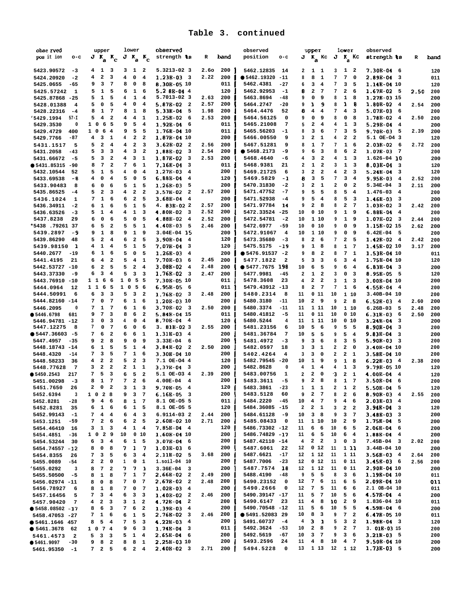| obse rved                               | upper                                                                  | lower                                                        | observed                                              |              |            | observed                                                   | upper                                             |                         | 1ower                                                                   | observed                                             |      |            |
|-----------------------------------------|------------------------------------------------------------------------|--------------------------------------------------------------|-------------------------------------------------------|--------------|------------|------------------------------------------------------------|---------------------------------------------------|-------------------------|-------------------------------------------------------------------------|------------------------------------------------------|------|------------|
| pos it ion<br>$o-c$                     | $J K_{\rm a} K_{\rm c}$                                                | $J K_{\rm a} K_{\rm c}$                                      | strength 18                                           | R            | band       | position<br>o-c                                            |                                                   |                         | $J K_{a}$ Kc $J K_{a}$ Kc                                               | strength ts                                          | R    | band       |
|                                         |                                                                        |                                                              |                                                       |              |            |                                                            |                                                   |                         |                                                                         |                                                      |      |            |
| 5423.90572<br>$-3$                      | 41<br>3                                                                | 3<br>$\mathbf{1}$<br>2                                       | 5.3213-02 3                                           | 2.60         | 200        | 5462.12835<br>14                                           | 1<br>$\mathbf{2}$                                 | $\mathbf{1}$            | 3<br>1 2                                                                | $7.30B-04$ 6                                         |      | 120        |
| 5424.20920<br>$-2$                      | 2<br>3<br>4                                                            | $\overline{\bf 4}$<br>4<br>0                                 | $1.23B-03$ 3                                          | 2.22         | 200        | • 5462.19320<br>$-11$                                      | 8<br>8                                            | $\mathbf 1$             | $7\phantom{.0}$<br>7<br>$\mathbf 0$                                     | 2.89B-04<br>- 3                                      |      | 011        |
| 5425.0655<br>$-65$                      | 3<br>$\overline{7}$<br>9                                               | 8<br>8<br>0                                                  | 8.30B-05 10                                           |              | 011        | 5462.4381<br>$-27$                                         | 3<br>6                                            | $\overline{\bf 4}$      | 3<br>7<br>5                                                             | 1.14E-04 10                                          |      | 120        |
| 5425.57242<br>1                         | $\mathbf 1$<br>5<br>5                                                  | 6<br>$\mathbf{1}$<br>6                                       | $5.2$ 88-04 4                                         |              | 120        | 5462.92953<br>$-1$                                         | $\mathbf 2$<br>8                                  | 7                       | 7<br>$\mathbf{2}$<br>6                                                  | $1.67B-02$<br>- 5                                    | 2.50 | 200        |
| 5425.87868 -25                          | $\mathbf{1}$<br>5<br>5                                                 | $\overline{\bf 4}$<br>4<br>1                                 | 5.7013-02 3                                           | 2.63         | 200        | 5463.8694<br>$-48$                                         | 0<br>9                                            | 9                       | $\mathbf{1}$<br>8<br>8                                                  | 1.27B-03 15                                          |      | 200        |
| 5428.01388<br>4<br>5428.22316<br>$-4$   | 5<br>0<br>5<br>$\mathbf 1$<br>7<br>8                                   | $\overline{\bf 4}$<br>4<br>$\mathbf 0$<br>1<br>8<br>8        | 5.87B-02<br>$\overline{\mathbf{2}}$<br>5.33B-04<br>5  | 2.57<br>1.98 | 200<br>200 | 5464.2747<br>$-20$<br>52<br>5464.4476                      | ı<br>9<br>4<br>8                                  | 9<br>4                  | 1<br>8<br>8<br>7<br>4<br>з                                              | 1.80B-02<br>$\overline{\mathbf{4}}$<br>5.07B-03<br>6 | 2.54 | 200<br>200 |
| 15429.1994<br>$57 - I$                  | 5<br>4<br>$\overline{\mathbf{2}}$                                      | $\mathbf 1$<br>4<br>4                                        | 1.25B-02<br>6                                         | 2.53         | 200        | 5464.56125<br>$\mathbf 0$                                  | $\mathbf 0$<br>9                                  | 9                       | 0<br>8<br>8                                                             | 1.78B-02<br>-4                                       | 2.50 | 200        |
| $\pmb{0}$<br>5429.3530                  | 6<br>5<br>1 <sub>0</sub>                                               | $\overline{\mathbf{4}}$<br>9<br>5                            | 1.92E-04<br>6                                         |              | 011        | 5465.21008<br>7                                            | $\mathbf 2$<br>5                                  | 4                       | 4<br>$\mathbf{1}$<br>3                                                  | 5.29B-04<br>4                                        |      | 200        |
| 5429.4729<br>400                        | $1\quad$<br>6<br>$\overline{\mathbf{4}}$                               | 5<br>5<br>9                                                  | 1.76E-04 10                                           |              | 011        | 5465.56203<br>$-1$                                         | 3<br>8                                            | 6                       | 3<br>7<br>5                                                             | 9.70B-03<br>5                                        | 2.39 | 200        |
| 5429.7766<br>$-87$                      | 4<br>3<br>1                                                            | $\mathbf{2}$<br>$\overline{\mathbf{2}}$<br>4                 | 1.87B-04 10                                           |              | 200        | 5466.00550<br>9                                            | $\mathbf 2$<br>3                                  | 1                       | 4<br>$\mathbf{2}$<br>$\overline{\mathbf{2}}$                            | 5.1 OE-04 3                                          |      | 120        |
| 5<br>5431.1517                          | $\overline{\mathbf{2}}$<br>$\overline{\mathbf{4}}$<br>5                | $\mathbf{2}$<br>3<br>4                                       | $3.62B-02$<br>$\overline{\phantom{a}}$                | 2.56         | 200        | 5467.51281<br>9                                            | ${\bf 1}$<br>8                                    | $7\phantom{.0}$         | $\mathbf 1$<br>7<br>6                                                   | $2.03B-02$<br>- 6                                    | 2.72 | 200        |
| 5431.2058<br>$-43$                      | 3<br>3<br>5                                                            | $\mathbf 2$<br>3<br>4                                        | 1.88E-02<br>3                                         | 2.54         | 200        | • 5468.2173<br>-9                                          | 6<br>9                                            | 3                       | 6<br>8<br>$\mathbf{2}$                                                  | 1.07E-03<br>7                                        |      | 200        |
| 5431.66672<br>$-5$                      | $\overline{\mathbf{2}}$<br>3<br>5                                      | 3<br>$\mathbf 1$<br>4                                        | 1.87B-02<br>$\overline{\mathbf{3}}$                   | 2.53         | 200        | 5468.4640<br>-6                                            | 3<br>4                                            | $\overline{\mathbf{2}}$ | $\mathbf{1}$<br>4<br>$\overline{\mathbf{3}}$                            | $1.626 - 04$ 10                                      |      | 200        |
| • 5431.85315<br>-90                     | $7\phantom{.0}$<br>$\overline{a}$<br>8                                 | $\mathbf{1}$<br>7<br>6                                       | 7.16E-04<br>3                                         |              | 011        | 5468.9381<br>21                                            | $\overline{\mathbf{2}}$<br>$\mathbf 1$            | $\overline{a}$          | $\mathbf 1$<br>3<br>3                                                   | 8.03E-04<br>3                                        |      | 120        |
| 5432.10544<br>52                        | 5<br>$\mathbf{1}$<br>5                                                 | $\overline{\mathbf{4}}$<br>4<br>$\mathbf 0$                  | 1.276-03<br>$\overline{\mathbf{4}}$                   |              | 200        | 5469.21725<br>6                                            | $\mathbf{2}$<br>3                                 | $\overline{\mathbf{2}}$ | $\mathbf{2}$<br>4<br>3                                                  | 5.248-04<br>3                                        |      | 120        |
| 5433.69538<br>-8<br>8                   | 0<br>$\overline{\mathbf{4}}$<br>4                                      | 5<br>5<br>0<br>5<br>5                                        | 6.88E-04<br>$\overline{\mathbf{4}}$<br>1.26B-03<br>-5 |              | 120<br>200 | 5469.5829<br>-1<br>5470.31830<br>$-2$                      | 3<br>8<br>$\mathbf{2}$<br>3                       | 5<br>1                  | 7<br>3<br>4<br>2<br>0<br>$\overline{\mathbf{2}}$                        | 9.95B-03<br>4<br>5.34E-04<br>3                       | 2.52 | 200<br>200 |
| 5433.90483<br>5435.86525<br>$-4$        | $\mathbf 0$<br>6<br>6<br>2<br>3<br>5                                   | 1<br>$\overline{\mathbf{2}}$<br>$\overline{\mathbf{2}}$<br>4 | $3.57B-02$<br>$\overline{\mathbf{2}}$                 | 2.57         | 200        | 5471.47752<br>$-7$                                         | 5<br>9                                            | 5                       | 5<br>8<br>4                                                             | 1.476-03<br>4                                        | 2.11 | 200        |
| 5436.1024<br>$\mathbf{1}$               | ${\bf 1}$<br>7<br>6                                                    | $\overline{\mathbf{2}}$<br>5<br>6                            | $3.68E-0444$                                          |              | 200        | 5471.52938<br>$-4$                                         | 5<br>9                                            | $\overline{\mathbf{4}}$ | 5<br>8<br>3                                                             | 1.46B-03<br>3                                        |      | 200        |
| 5436.34911<br>$-2$                      | $\mathbf{1}$<br>6<br>6                                                 | $\mathbf 1$<br>5<br>5                                        | 4.838-022                                             | 2.57         | 200        | 5471.97784<br>14                                           | $\mathbf 2$<br>9                                  | 8                       | $\mathbf{2}$<br>8<br>7                                                  | 1.03B-02<br>3                                        | 2.42 | 200        |
| 5436.63526<br>$-3$                      | 5<br>1<br>4                                                            | $\mathbf 1$<br>3<br>4                                        | 4.80B-02<br>$\overline{\mathbf{3}}$                   | 2.52         | 200        | 5472.33524<br>$-25$                                        | 10                                                | 0 <sub>10</sub>         | $\mathbf{1}$<br>9<br>9                                                  | 6.885-04<br>4                                        |      | 200        |
| 5437.8238<br>29                         | 0<br>6<br>6                                                            | $\pmb{0}$<br>5<br>5                                          | 4.88B-02<br>$\overline{4}$                            | 2.52         | 200        | 5472.54781<br>$-2$                                         | 10                                                | 1 10                    | ${\bf 1}$<br>9<br>9                                                     | 1.07E-02<br>- 3                                      | 2.44 | 200        |
| *5438.7926137                           | 5<br>$\overline{\mathbf{2}}$<br>6                                      | 5<br>5<br>1                                                  | 4.40E-03<br>5                                         | 2.46         | 200        | 5472.6977<br>$-59$                                         | 10                                                | 0 <sub>10</sub>         | 0<br>9<br>9                                                             | 1.158-02 15                                          | 2.62 | 200        |
| 5439.2897<br>-9                         | ${\bf 1}$<br>8<br>9                                                    | 9<br>$\mathbf 1$<br>9                                        | 3.04E-04 15                                           |              | 200        | 5472.91067<br>$\overline{\mathbf{4}}$                      | 10                                                | 1 10                    | 0<br>9<br>9                                                             | $6.42E-04$<br>- 5                                    |      | 200        |
| 5439.86290<br>48                        | $\overline{\mathbf{2}}$<br>5<br>$\overline{4}$                         | 6<br>$\mathbf{2}$<br>5                                       | 3.90B-04<br>$\overline{\mathbf{4}}$                   |              | 120        | 5473.35680<br>$-3$                                         | $\mathbf{2}$<br>8                                 | 6                       | $\mathbf{2}$<br>7<br>5                                                  | $1.42B-02$<br>$\overline{\mathbf{4}}$                | 2.42 | 200        |
| 5439.98150<br>$\mathbf{1}$              | ${\bf 1}$<br>$\overline{\mathbf{4}}$<br>4                              | 5<br>$\mathbf{1}$<br>5                                       | 7.07B-04<br>3                                         |              | 120        | 5475.5175<br>$-19$                                         | $\mathbf 1$<br>9                                  | 8                       | ${\bf 1}$<br>8<br>$7\phantom{.0}$                                       | 1.45B-02 10                                          | 3.17 | 200        |
| 5440.2677<br>$-19$                      | $\mathbf{1}$<br>6<br>6                                                 | 5<br>5<br>0                                                  | 1.26B-03<br>$\overline{\mathbf{4}}$                   |              | 200        | • 5476.91537<br>$-2$                                       | 8<br>9                                            | $\overline{\mathbf{2}}$ | $\mathbf 7$<br>8<br>$\mathbf{1}$                                        | 1.53B-04 10                                          |      | 011        |
| 5441.4195<br>21                         | 4<br>$\overline{\mathbf{2}}$<br>6<br>$\overline{\mathbf{c}}$<br>5<br>6 | 5<br>$\mathbf 1$<br>4<br>5<br>2<br>$\overline{\bf 4}$        | 7.70B-03<br>6<br>$\overline{4}$                       | 2.45<br>2.48 | 200        | 5477.1822<br>$\overline{\mathbf{2}}$<br>• 5477.7675<br>198 | 5<br>3<br>6<br>10                                 | 3<br>5                  | 3<br>6<br>$\overline{\mathbf{4}}$<br>6<br>9<br>$\overline{4}$           | 1.758-04 10<br>6.83B-04                              |      | 120        |
| 5442.53727<br>$-10$<br>5443.37330<br>-9 | 3<br>4<br>6                                                            | 5<br>3<br>$\overline{\mathbf{3}}$                            | 3.08B-02<br>$1.76B-02$<br>$\overline{\mathbf{3}}$     | 2.47         | 200<br>200 | 5477.9981<br>$-45$                                         | ${\bf 1}$<br>$\overline{\mathbf{2}}$              | $\overline{\mathbf{2}}$ | 3<br>0<br>3                                                             | 3<br>8.958-05<br>5                                   |      | 200<br>120 |
| 5443.76910<br>$-10$                     | 6<br>$1\quad1$<br>6                                                    | 5<br>5<br>1<br>$\mathbf{o}$                                  | 7.30B-05 10                                           |              | 011        | 5478.3608<br>23                                            | $\mathbf{2}$<br>4                                 | $\overline{\mathbf{2}}$ | ${\bf 1}$<br>3<br>3                                                     | $3.00B - 04$ 10                                      |      | 200        |
| 5444.0964<br>12                         | 5<br>116                                                               | $1\quad$ 0<br>5 6                                            | 6.95B-05<br>- 6                                       |              | 011        | 5479.43912 -13                                             | $\mathbf{2}$<br>8                                 | 7                       | $\mathbf{1}$<br>7<br>- 6                                                | 4.55B-04<br>$\overline{\mathbf{4}}$                  |      | 200        |
| 5444.50991<br>6                         | 3<br>3<br>6                                                            | $\overline{a}$<br>5<br>3                                     | 1.76B-02<br>- 3                                       | 2.48         | 200        | 5480.2314<br>8                                             | 11                                                | 011                     | 1 10<br>10                                                              | 3.40B-04 10                                          |      | 200        |
| 5444.82160 -14                          | $\overline{7}$<br>7<br>0                                               | $\mathbf{1}$<br>6<br>6                                       | 1.20E-03 10                                           |              | 200        | 5480.3180<br>$-11$                                         | $\mathbf{2}$<br>10                                | 9                       | $2 \quad 8$<br>9                                                        | 6.52B-03<br>$\overline{\mathbf{4}}$                  | 2.60 | 200        |
| 5446.2095<br>0                          | $\mathbf 1$<br>$\overline{7}$<br>7                                     | $\mathbf 1$<br>6<br>6                                        | $3.70B - 02$ 3                                        | 2.50         | 200        | 5480.3374<br>$-11$                                         | 11                                                | 1 11                    | 110<br>10                                                               | $6.26B-03$<br>5                                      | 2.48 | 200        |
| • 5446.6798<br>681                      | $\overline{7}$<br>9<br>3                                               | 8<br>6<br>$\overline{\mathbf{2}}$                            | 5.84B-04 15                                           |              | 011        | 5480.41812<br>$-5$                                         | 11                                                | 011                     | 10<br>0 <sub>10</sub>                                                   | $6.31B-03$<br>6                                      | 2.50 | 200        |
| 5446.94781 -12<br>5447.12275<br>8       | 3<br>0<br>3<br>0<br>7<br>7                                             | 4<br>0<br>4<br>0<br>6<br>6                                   | 8.70E-04<br>$\overline{4}$<br>$3.81B-023$             | 2.55         | 120<br>200 | 5480.5244<br>4<br>5481.23156<br>6                          | 11<br>1<br>5<br>10                                | 11<br>6                 | 010<br>10<br>9<br>5<br>5                                                | 3.24E-04<br>з<br>8.90B-04<br>з                       |      | 200<br>200 |
| $• 5447.36603 -5$                       | 6<br>$\overline{\mathbf{2}}$<br>7                                      | 6<br>6<br>1                                                  | 1.31B-03<br>$\overline{\mathbf{4}}$                   |              | 200        | 5481.36784<br>7                                            | 10<br>5                                           | 5                       | 5<br>9<br>$\overline{\mathbf{4}}$                                       | 9.83B-04<br>3                                        |      | 200        |
| 5447.4957<br>$-35$                      | 2<br>8<br>9                                                            | 9<br>$\mathbf 0$<br>9                                        | 3.33E-04<br>6                                         |              | 200        | 5481.4972<br>$-3$                                          | 9<br>3                                            | 6                       | 8<br>3<br>5                                                             | 5.90B-03<br>з                                        |      | 200        |
| 5448.18743<br>$-14$                     | 5<br>${\bf 1}$<br>6                                                    | 5<br>$\mathbf{1}$<br>$\overline{\bf 4}$                      | 3.84B-02<br>$\overline{\mathbf{2}}$                   | 2.50         | 200        | 5482.0597<br>18                                            | 3<br>3                                            | 1                       | $\mathbf{2}$<br>$\mathbf{2}$<br>0                                       | 3.40B-04 10                                          |      | 200        |
| 5448.4320<br>$-14$                      | 3<br>5<br>7                                                            | 7<br>$\mathbf 1$<br>6                                        | 3.30B-04 10                                           |              | 200        | 5402.4264<br>4                                             | 3<br>3                                            | $\mathbf 0$             | $\overline{a}$<br>$\mathbf{2}$<br>$\mathbf{1}$                          | 3.58E-04 10                                          |      | 200        |
| 5448.58233<br>36                        | $\mathbf 2$<br>$\overline{\mathbf{2}}$<br>4                            | $\overline{\mathbf{2}}$<br>5<br>3                            | 7.1 OE-04 4                                           |              | 120        | 5482.79545<br>$-20$                                        | 10<br>$\mathbf 1$                                 | 9                       | $\mathbf 1$<br>9<br>8                                                   | $6.22B-03$<br>$\overline{\mathbf{4}}$                | 2.38 | 200        |
| 5448.77628<br>7                         | $\mathbf{2}$<br>$\overline{\mathbf{2}}$<br>з                           | 2<br>${\bf 1}$<br>1                                          | 3.37E-04<br>$\overline{\mathbf{3}}$                   |              | 200        | 5482.8628<br>0                                             | 4<br>$\mathbf{1}$                                 | 4                       | $\mathbf{1}$<br>4<br>3                                                  | 9.79B-05 10                                          |      | 120        |
| • 5450.2543<br>217                      | 5<br>3<br>7<br>$\mathbf 1$<br>$\overline{7}$<br>8                      | 5<br>$\overline{\mathbf{2}}$<br>6<br>$\mathbf 2$<br>6<br>7   | 5.1 OE-03 4<br>4.00E-04<br>$\overline{4}$             | 2.39         | 200<br>200 | 5483.00756<br>$\mathbf 1$<br>$-5$                          | $\mathbf{2}$<br>$\mathbf{2}$<br>$\mathbf{2}$<br>9 | 0<br>8                  | з<br>$\mathbf{2}$<br>$\mathbf{1}$<br>$\mathbf 1$<br>$\overline{7}$<br>8 | 4.00B-04<br>4<br>3.50B-04<br>6                       |      | 120        |
| 5451.00298<br>$-3$<br>5451.7650<br>26   | 2<br>0<br>$\overline{a}$                                               | 3<br>$\mathbf{1}$<br>3                                       | 9.70B-05<br>$\overline{\mathbf{4}}$                   |              | 120        | 5483.3611<br>5483.3861<br>$-23$                            | $\mathbf{1}$<br>$\mathbf{1}$                      | 1                       | $\mathbf{1}$<br>$\overline{a}$<br>$\overline{a}$                        | 5.50B-04<br>5                                        |      | 200<br>120 |
| 5452.6394<br>3                          | 1 0 2 8                                                                | 9<br>$3 \quad 7$                                             | $6.16B-05$ 3                                          |              | 200        | 5483.5128<br>60                                            | 9                                                 | 2 7                     | $2\quad 6$<br>8                                                         | 8.90B-03 4                                           | 2.55 | 200        |
| 5452.8281<br>-28                        | 9<br>$4\quad 6$                                                        | 8<br>$\mathbf{1}$<br>$\overline{7}$                          | 8.1 OE-05 5                                           |              | 011        | 5484.2220<br>$-45$                                         | $\overline{4}$<br>10                              | $\overline{7}$          | 9<br>$\overline{4}$<br>6                                                | $2.03B-03$<br>4                                      |      | 200        |
| 5452.8281<br>35                         | 6 1 6                                                                  | 6 1 5                                                        | 8.1 OE-05 5                                           |              | 120        | 5484.36085 -15                                             | 2 <sub>1</sub><br>$\mathbf{2}$                    |                         | $\mathbf{3}$<br>$2^{\circ}$                                             | $3.94B-04$<br>$\overline{\mathbf{3}}$                |      | 120        |
| 5452.99143<br>$-1$                      | $\overline{4}$<br>$\overline{\mathbf{4}}$<br>7                         | $\overline{\mathbf{4}}$<br>6<br>$\overline{\mathbf{3}}$      | 6.9114-03 2                                           | 2.44         | 200        | 5484.61128<br>-9                                           | 3 <sub>8</sub><br>10                              |                         | 3<br>9<br>$\overline{7}$                                                | $3.48B-03$<br>3                                      |      | 200        |
| 5453.1251<br>$-59$                      | $\overline{\mathbf{2}}$<br>- 6<br>7                                    | 2 <sub>5</sub><br>6                                          | 2.60B-02 10                                           | 2.71         | 200        | 5485.08433<br>0                                            | 1 10<br>11                                        |                         | $\mathbf{2}$<br>10<br>و _                                               | $1.75B-04$ 5                                         |      | 200        |
| 5454.46410<br>16                        | 3 <sub>1</sub><br>$\overline{\mathbf{3}}$                              | $\mathbf{1}$<br>4<br>$\overline{\mathbf{4}}$                 | $7.85B-04$ 4                                          |              | 120        | 5486.73302 -12                                             | 6<br>11                                           | 6                       | 10<br>6<br>5                                                            | $2.06B-04$ 6                                         |      | 200        |
| 5454.4851<br>$-36$                      | 1 0 2 9                                                                | 010<br>10                                                    | 1.60B-04 10                                           |              | 200        | 5486.74829 -17                                             | 11                                                | 6 5                     | 10<br>6 4                                                               | 1.88E-04<br>$\overline{4}$                           |      | 200        |
| 5454.53244<br>30<br>5454.74557 -12      | 3<br>6<br>$\overline{4}$<br>0<br>8<br>- 8                              | 6<br>1 <sub>5</sub><br>7<br>$1 \quad 7$                      | $3.07B-04$ 6<br>$1.03B-036$                           |              | 200<br>200 | 5487.42110 -14<br>5487.6061<br>22                          | $\mathbf{2}$<br>$\overline{\bf 4}$<br>0 12<br>12  | $\overline{\mathbf{c}}$ | 3<br>0 <sup>3</sup><br>11<br>1 N                                        | $7.45B-04$ 3<br>3.44B-04 10                          | 2.02 | 200<br>200 |
| 5454.8355<br>26                         | 3<br>7<br>5                                                            | 6<br>$\overline{\mathbf{3}}$<br>$\overline{\mathbf{4}}$      | $2.11B-02$ 5                                          | 3.68         | 200        | 5487.6621<br>$-17$                                         | 1 12<br>12                                        |                         | 11<br>1 1 1                                                             | $3.56B-03$ 4                                         | 2.64 | 200        |
| 5455.0089<br>$-54$                      | $\mathbf{2}$<br>$\overline{\mathbf{2}}$<br>$\mathbf 0$                 | $\mathbf{1}$<br>0<br>$\mathbf{1}$                            | $1. \text{soil-04}$ 10                                |              | 200        | 5487.7006<br>$-23$                                         | 12                                                | 0 <sub>12</sub>         | 11<br>011                                                               | $3.45B-03$ 6                                         | 2.56 | 200        |
| 15455.0292<br>3                         | 7<br>8<br>$\overline{\mathbf{2}}$                                      | 771                                                          | $3.36E-04$ 3                                          |              | 200        | 5487.7574 18                                               | 1 12<br>12                                        |                         | 011<br>11                                                               | 2.90B-04 10                                          |      | 200        |
| 5455.50500<br>$-5$                      | $\mathbf 1$<br>8<br>8                                                  | $\mathbf{1}$<br>7<br>$\overline{7}$                          | $2.66B-02$ 2                                          | 2.49         | 200        | 5488.4190<br>-48                                           | 9<br>5                                            | 5                       | 8<br>3 <sub>6</sub>                                                     | 1.19B-04 10                                          |      | 011        |
| 5456.02974 -11                          | 0<br>8<br>8                                                            | 0 <sub>7</sub><br>7                                          | $2.67B-02$ 2                                          | 2.48         | 200        | 5490.23152<br>0                                            | 12                                                | 7 6                     | 11<br>6 5                                                               | 2.09B-04 10                                          |      | 011        |
| 5456.78927<br>6                         | $\mathbf{1}$<br>8<br>- 8                                               | 7<br>0<br>$\overline{7}$                                     | $1.02B-03$ 4                                          |              | 200        | 5490.2666<br>0                                             | $7\phantom{.0}$<br>12                             | -5                      | 11<br>6<br>6                                                            | 2.1 OB-04 10                                         |      | 011        |
| 5457.16456<br>5                         | 3<br>$\overline{\mathbf{4}}$<br>7                                      | $6\quad 3\quad 3$                                            | $1.40B-02$ 2                                          | 2.46         | 200        | 5490.39147 -17                                             | 11                                                | 5 7                     | 10<br>5 <sub>6</sub>                                                    | $4.57B-04$ 4                                         |      | 200        |
| 5457.90420<br>7                         | $\mathbf{2}$<br>4<br>3                                                 | $\mathbf{1}$<br>$\overline{\mathbf{2}}$<br>з                 | $4.72B-04$ 2                                          |              | 200<br>200 | 5490.6147<br>23<br>5490.70548 -12                          | $\overline{4}$<br>11<br>5<br>11                   | 8<br>$6^{\circ}$        | 10<br>$\overline{a}$<br>9<br>10<br>5 <sub>5</sub>                       | 1.836-04 10                                          |      | 011        |
| $• 5458.08502 - 17$<br>5458.47053 -27   | 6<br>8<br>$\overline{\mathbf{3}}$<br>1<br>7<br>- 6                     | 6 <sub>2</sub><br>7 <sup>7</sup><br>$\mathbf{1}$<br>5<br>6   | $1.39B-03$ 4<br>$2.76B-02$ 3                          | 2.46         | 200        | ● 5491.52083 29                                            | 8<br>10                                           | $\overline{\mathbf{3}}$ | 9<br>$7\overline{ }$<br>$\overline{\mathbf{2}}$                         | $4.59B-04$ 6<br>$6.47B-0510$                         |      | 200<br>011 |
| • 5461.1646 457                         | 5<br>$\overline{\mathbf{4}}$<br>8                                      | 5<br>7<br>$\overline{\mathbf{3}}$                            | $4.22B-03$ 4                                          |              | 200        | S491.60737<br>-4                                           | 3<br>4                                            | $\blacksquare$          | 5<br>3 <sub>2</sub>                                                     | $1.98B - 04$ 3                                       |      | 120        |
| • 5461.3678<br>62                       | 1 0 7 4                                                                | 6<br>9<br>$\overline{\mathbf{3}}$                            | $1.74B-04$ 3                                          |              | 011        | 5492.3624<br>$-53$                                         | $\mathbf{2}$<br>10                                | 8                       | 9<br>2 7                                                                | 3. 01B-03 15                                         |      | 200        |
| 5461.4573<br>$\overline{\mathbf{2}}$    | 5<br>$\overline{\mathbf{3}}$<br>$\overline{\mathbf{3}}$                | $\mathbf{1}$<br>$\overline{4}$<br>5                          | $2.65B-04$ 6                                          |              | 200        | 5492.5619<br>$-67$                                         | 3<br>10                                           | -7                      | 9<br>3<br>6                                                             | $3.21B-03$ 5                                         |      | 200        |
| • 5461.9097<br>$-30$                    | 8<br>$\overline{\mathbf{2}}$<br>9                                      | 8<br>8<br>1                                                  | 2.258-03 10                                           |              | 200        | 5493.2596<br>24                                            | 11                                                | $4 \quad 8$             | 4 7<br>10                                                               | 9.50B-04 10                                          |      | 200        |
| 5461.95350 -1                           | 7 2 5                                                                  | 6 2 4                                                        | $2.40B-02$ 3                                          | 2.71         | 200        | 5494.5228<br>$\mathbf 0$                                   | 13 1 13                                           |                         | 12 1 12                                                                 | $1.73B-03$ 5                                         |      | 200        |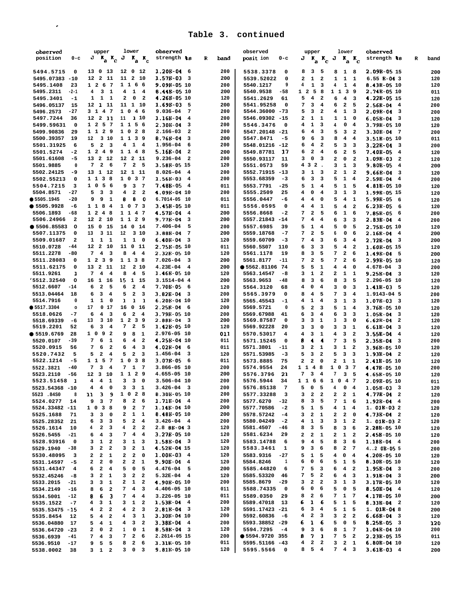| observed                               | lower<br>upper                                                                                                                                          | observed                                           |            | observed                            | upper<br>lower                                                                         | observed                                                |            |
|----------------------------------------|---------------------------------------------------------------------------------------------------------------------------------------------------------|----------------------------------------------------|------------|-------------------------------------|----------------------------------------------------------------------------------------|---------------------------------------------------------|------------|
| position<br>$0-c$                      | $J K_a K_c$<br>$J K_{a} K_{c}$                                                                                                                          | strength \$8                                       | R<br>band  | posit ion<br>$0-c$                  | $J K_{\rm a} K_{\rm c} J$<br>$K_a K_c$                                                 | strength 18                                             | R<br>band  |
|                                        |                                                                                                                                                         |                                                    |            |                                     |                                                                                        |                                                         |            |
| 5494.5715<br>0                         | 13 0 13<br>12 0 12                                                                                                                                      | $1.20B-04$ 6                                       | 200        | 5538.3378<br>0                      | 3<br>5<br>8<br>8<br>1 8                                                                | 2.09B-05 15                                             | 200        |
| 5495.07383<br>$-10$                    | 11 2<br>12 2 11<br>10                                                                                                                                   | $1.57B-03$<br>$_{3}$                               | 200        | 5539.52022<br>$\mathbf 0$           | $\mathbf 1$<br>$\mathbf{1}$<br>$\overline{\mathbf{2}}$<br>$\overline{\mathbf{2}}$<br>1 | $6.55 B - 043$<br>1                                     | 120        |
| 5495.1408<br>23                        | 1 1 6 6<br>1 2 6 7                                                                                                                                      | 9.09B-05 10                                        | 200        | 5540.1217<br>9                      | ${\bf 1}$<br>4<br>3<br>4<br>$\mathbf{1}$                                               | 8.43B-05 10<br>$\overline{\mathbf{4}}$                  | 120        |
| 5495.2311<br>$-2-1$                    | 4<br>$\mathbf{1}$<br>4<br>3<br>1<br>$\overline{\mathbf{4}}$                                                                                             | 8.44E-05 10                                        | 200        | 5540.9538<br>-58                    | $1\quad 2$<br>5<br>8<br>1 1 3 9                                                        | 2.74B-05 10                                             | 011        |
| 5495.3401<br>$-1$                      | $\mathbf{1}$<br>0<br>- 2<br>1<br>1<br>2                                                                                                                 | 4.26B-05 10                                        | 120        | 5541.2629<br>61                     | 5<br>$\overline{\mathbf{4}}$<br>$\overline{\mathbf{2}}$<br>6<br>$\overline{4}$         | 4.22B-05 15<br>3                                        | 120        |
| 5496.05137<br>15                       | 12 1<br>11 1 10<br>11                                                                                                                                   | $1.69B-03$<br>5                                    | 200        | 5541.95258<br>$\mathbf 0$           | 3<br>7<br>$\overline{\mathbf{4}}$<br>6<br>$\overline{\mathbf{2}}$                      | 2.56B-04<br>5<br>$\overline{\mathbf{4}}$                | 200        |
| 5496.2573<br>$-27$                     | 3 1 4 7<br>1046                                                                                                                                         | $9.036 - 04$<br>7                                  | 200        | 5544.36000 -73                      | 5<br>3<br>$\overline{\mathbf{2}}$<br>$\mathbf{1}$<br>4                                 | 2.09B-04<br>3<br>3                                      | 200        |
| 5497.7244<br>36                        | 12 2 11<br>11<br>$\frac{1}{10}$                                                                                                                         | 1.16B-04<br>$\overline{\bf 4}$                     | 200        | 5546.09302 -15                      | $\mathbf 1$<br>$\mathbf{1}$<br>2<br>1<br>1                                             | 6.05B-04<br>$\mathbf 0$<br>3                            | 120        |
| 5499.59631<br>$\mathbf 0$              | 1 1 5 6<br>$1\quad2$<br>5 7                                                                                                                             | 2.30B-04<br>з                                      | 200        | 5546.3476<br>0                      | $\mathbf{1}$<br>0<br>4<br>3<br>4                                                       | 4<br>3.79B-05 10                                        | 120        |
| 5499.90836<br>29                       | 1 0 2 8<br>1 1 2 9                                                                                                                                      | 2.166-03<br>$\overline{\mathbf{2}}$                | 200        | 5547.20148 -21                      | $\bf{4}$<br>3<br>3<br>6<br>5                                                           | $3.30B - 04$<br>$\overline{\mathbf{2}}$<br>- 7          | 200        |
| 5500.39357<br>19                       | 1 1 3 9<br>310<br>12                                                                                                                                    | 8.768-04<br>3                                      | 200        | 5547.8471<br>-5                     | 6<br>3<br>8<br>4<br>9                                                                  | $\overline{4}$<br>3.51B-05 10                           | 011        |
| 5501.31925<br>6                        | $\overline{a}$<br>$4$ 1 4<br>5<br>$\overline{\mathbf{3}}$                                                                                               | 1.956-04<br>6                                      | 200        | 5548.01216 -12                      | $\overline{\mathbf{4}}$<br>$\overline{\mathbf{2}}$<br>5<br>3<br>6                      | 3<br>$3.22B - 04$<br>3                                  | 200        |
| 5501.5274<br>$-2$                      | $1\quad2$<br>-49<br>1 1 4 8                                                                                                                             | $5.16B-04$<br>$\overline{\mathbf{2}}$              | 200        | 5549.87781<br>17                    | $\mathbf 2$<br>$\mathbf{2}$<br>6<br>4<br>6                                             | 5<br>7.40B-05<br>$\overline{\mathbf{4}}$                | 120        |
| 5501.61608<br>$-5$                     | 12 2 11<br>13 2 12                                                                                                                                      | $9.236 - 04$<br>$\overline{\mathbf{2}}$            | 200        | 5550.93117<br>11                    | 0<br>2<br>з<br>3<br>0                                                                  | $\overline{a}$<br>$1.09B-03$<br>$\overline{\mathbf{2}}$ | 120        |
| 5501.9885<br>$\mathbf 0$               | $\overline{\mathbf{2}}$<br>$\overline{\mathbf{2}}$<br>7<br>6<br>7<br>- 5                                                                                | 3.58B-05 15                                        | 120        | 5551.0573<br>59                     | 43<br>$2$ .<br>з<br>$\mathbf{1}$                                                       | 3<br>9.80B-05<br>$\overline{4}$                         | 200        |
| 5502.24125<br>-9                       | 13 1 12<br>12 1 11                                                                                                                                      | $8.026 - 04$<br>$\overline{4}$                     | 200        | 5552.71915 -13                      | $\mathbf{1}$<br>$\overline{\mathbf{3}}$<br>2<br>$\mathbf{1}$<br>3                      | $\overline{\mathbf{2}}$<br>9.66B-04<br>3                | 120        |
| 5502.55213<br>0                        | $1\quad$ 0<br>3 7<br>11<br>3<br>8                                                                                                                       | 1.568-03<br>$\overline{\mathbf{4}}$                | 200        | 5553.68359<br>$-3$                  | 3<br>5<br>${\bf 1}$<br>6<br>з                                                          | 2.59B-04<br>4<br>$\overline{4}$                         | 200        |
| 5504.7215<br>3                         | $\overline{\phantom{a}}$<br>$1\quad$ 0<br>3<br>- 6<br>9<br>$\overline{7}$                                                                               | 7.486-05<br>$\overline{\mathbf{4}}$                | 011        | 5553.7791<br>$-25$                  | $\mathbf 1$<br>1 <sub>5</sub><br>5<br>4<br>5                                           | 4.81B-05 10                                             | 120        |
| 5504.8571<br>$-27$                     | $\mathbf 2$<br>$\overline{a}$<br>5<br>3<br>3<br>4                                                                                                       | 4.09E-04 10                                        | 200        | 5555.2509<br>25                     | 0<br>$\overline{\mathbf{4}}$<br>$\mathbf 1$<br>4<br>3                                  | 1.99B-05 15<br>3                                        | 120        |
| • 5505.1945<br>-20                     | 9<br>8<br>9<br>$\mathbf{1}$<br>8<br>$\mathbf 0$                                                                                                         | 6.7014-05 10                                       | 011        | 5556.0447<br>-6                     | 4<br>4<br>0<br>5<br>4                                                                  | 5.99B-05<br>1<br>- 6                                    | 120        |
| • 5505.9928<br>$-6$                    | $\bf8$<br>$\overline{4}$<br>1 0 7 3<br>$1\quad1$                                                                                                        | 3.45B-05 10                                        | 011        | 5556.0595<br>0                      | $\bf{4}$<br>5<br>4<br>1<br>4                                                           | 6.23B-05<br>$\overline{\mathbf{2}}$<br>6                | 120        |
| 5506.1893<br>$-68$                     | $1\quad2$<br>$\overline{4}$<br>8<br>1 1 4 7                                                                                                             | 4.57B-04<br>4                                      | 200        | 5556.8668<br>$-2$                   | $\mathbf{2}$<br>5<br>$\mathbf 1$<br>7<br>6                                             | 7.85B-05<br>6<br>6                                      | 200        |
| 5506.24966<br>$\overline{\mathbf{2}}$  | 1 1 2 9<br>12 2 10                                                                                                                                      | 9.77B-04<br>$\overline{\mathbf{3}}$                | 200        | 5557.21843 -14                      | $\overline{\bf 4}$<br>7<br>$\overline{\bf 4}$<br>3<br>6                                | $2.83B-04$<br>3<br>4                                    | 200        |
| • 5506.85583<br>$\circ$                | 15 <sub>0</sub><br>15<br>14 0 14                                                                                                                        | 7.406-04<br>5                                      | 200        | 5557.6985<br>39                     | $\mathbf 1$<br>5<br>5<br>$\overline{4}$<br>0                                           | 5<br>2.75B-05 10                                        | 120        |
| 5507.11375<br>0                        | 3 1 1<br>12<br>310<br>13                                                                                                                                | 3.88E-04<br>$7\phantom{.0}$                        | 200        | 5559.18768<br>$-7$                  | $\mathbf 2$<br>5<br>0<br>7<br>6                                                        | $2.16B - 04$<br>6<br>$\overline{4}$                     | 200        |
| 5509.01687<br>$\overline{a}$           | $\mathbf{1}$<br>$\mathbf{1}$<br>1<br>$\mathbf{1}$<br>$\mathbf{1}$<br>$\overline{\phantom{0}}$<br>11 0 11                                                | 6.408-04<br>$\overline{\mathbf{3}}$<br>2.758-05 10 | 120        | 5559.60709<br>$-3$                  | 7<br>4<br>3<br>6<br>3<br>3                                                             | 2.72B-04<br>$\overline{4}$<br>$\overline{\mathbf{3}}$   | 200        |
| 5510.0728<br>$-44$<br>5511.2278<br>-80 | 12 2 10<br>$\overline{\mathbf{4}}$<br>7<br>3<br>8<br>$\overline{\mathbf{4}}$<br>$\overline{\mathbf{4}}$                                                 | 2.328-05 10                                        | 011<br>120 | 5560.5507<br>110<br>5561.1178<br>19 | 6<br>3<br>$\overline{\bf 4}$<br>5<br>3<br>7<br>$\overline{\mathbf{2}}$<br>8<br>5       | 1.60B-05 15<br>$\overline{2}$<br>6                      | 120        |
|                                        | 1 1 3 8<br>1 2 3 9                                                                                                                                      | 7.026-04<br>$_{3}$                                 | 200        | $-11$                               | $\mathbf 2$<br>7<br>5<br>7<br>$\overline{\mathbf{2}}$                                  | 1.498-04<br>- 5<br>6                                    | 200        |
| 5511.28083<br>0<br>5511.62175<br>0     | 13 2<br>11<br>12<br>2 10                                                                                                                                | 4.23E-04<br>$\overline{4}$                         | 200        | 5561.8177<br>● 5562.81106 74        | 5<br>4<br>$\overline{\mathbf{4}}$<br>5<br>1                                            | 2.99B-05 10<br>$4.678 - 04$<br>0                        | 120        |
| 5511.9261<br>ı                         | $\bf{4}$<br>7<br>8<br>$\overline{\mathbf{4}}$<br>5<br>4                                                                                                 | 1.466-05 10                                        | 120        | $-8$<br>5563.14547                  | $\mathbf{1}$<br>$\overline{\mathbf{2}}$<br>2<br>$\mathbf{1}$<br>з                      | 3<br>1<br>9.25B-04<br>3                                 | 200<br>120 |
| 15512.32540<br>$\circ$                 | 15<br>1 15<br>16 1<br>16                                                                                                                                | 3.1514-04 4                                        | 200        | 5563.9653<br>-48                    | 3<br>6<br>8<br>3<br>8                                                                  | 5<br>2.296-05 10                                        | 120        |
| 5512.6607<br>$-14$                     | $\mathbf 2$<br>$\overline{\mathbf{2}}$<br>5<br>6<br>$\overline{4}$<br>6                                                                                 | 7.70B-05<br>- 6                                    | 120        | 5564.3120<br>68                     | 0<br>4<br>4<br>з<br>$\mathbf 0$                                                        | 3<br>1.41B-03<br>5                                      | 120        |
| 5513.04464<br>18                       | 3<br>5<br>$\mathbf{2}$<br>3<br>6<br>$\overline{\bf 4}$                                                                                                  | $3.82B - 04$<br>$\overline{\mathbf{3}}$            | 200        | 5565.3979<br>0                      | 7<br>3<br>4<br>5<br>8                                                                  | 1.9143-04 5<br>4                                        | 200        |
| 5514.7916<br>0                         | $\mathbf{1}$<br>1<br>$\mathbf{1}$<br>1<br>$\mathbf 0$<br>ı                                                                                              | $6.20B - 04$ 10                                    | 120        | 5565.45543<br>$-1$                  | $\mathbf{1}$<br>${\bf 1}$<br>4<br>4<br>з                                               | $1.07B-03$<br>3<br>- 3                                  | 120        |
| • 5517.3304<br>$\circ$                 | 0 16<br>17<br>017<br>16                                                                                                                                 | $2.25B - 04$<br>6                                  | 200        | 5569.5721<br>0                      | $\mathbf{2}$<br>$\mathbf 1$<br>5<br>$\overline{\mathbf{3}}$<br>5                       | 3.76B-05 10<br>$\overline{4}$                           | 120        |
| 5518.0626<br>$-7$                      | $\overline{\mathbf{4}}$<br>6<br>3<br>6<br>$\mathbf{2}$<br>$\overline{4}$                                                                                | 3.79B-05 10                                        | 200        | 5569.67988<br>41                    | 3<br>6<br>4<br>6<br>3                                                                  | 1.05B-04<br>3<br>3                                      | 120        |
| 5518.69339<br>-6                       | 3<br>$1\quad2\quad3$<br>9<br>10<br>13                                                                                                                   | $2.88E-04$<br>$_{3}$                               | 200        | 5569.87587<br>0                     | 3<br>1<br>3<br>3<br>з                                                                  | $6.62B - 04$<br>0<br>$\overline{\mathbf{2}}$            | 120        |
| 5519.2201<br>52                        | 3<br>7<br>$\mathbf{2}$<br>5<br>6<br>4                                                                                                                   | 1.428-05 10                                        | 120        | 5569.92228<br>20                    | 3<br>3<br>0<br>3<br>3                                                                  | 6.61B-04<br>1<br>з                                      | 120        |
| ● 5519.6769<br>28                      | 8<br>9<br>9<br>1<br>1 0<br>$\overline{\mathbf{2}}$                                                                                                      | 2.976-05 10                                        | 011        | 5570.53017<br>4                     | 3<br>3<br>4<br>1<br>4                                                                  | $3.55E-04$<br>$\mathbf{2}$<br>4                         | 120        |
| $-39$<br>5520.0107                     | 6<br>6<br>4<br>$\overline{\mathbf{2}}$<br>7<br>1                                                                                                        | 4.258-04 10                                        | 011        | 5571.15245<br>0                     | 3<br>8<br>4<br>$\blacktriangleleft$<br>7                                               | 5<br>2.35B-04<br>3                                      | 200        |
| 5520.0915<br>56                        | 7<br>6<br>$\overline{\mathbf{2}}$<br>6<br>4<br>3                                                                                                        | 4.02B-04<br>6                                      | 011        | 5571.3801<br>$-11$                  | $\mathbf{2}$<br>$\mathbf{1}$<br>1<br>з<br>з                                            | $\overline{\mathbf{2}}$<br>3.96B-05 10                  | 120        |
| 5520.7432<br>5                         | $\mathbf 2$<br>5<br>$\mathbf{2}$<br>5<br>3<br>4                                                                                                         | 1.456-04<br>$\overline{\mathbf{3}}$                | 120        | 5571.53985<br>-3                    | 3<br>3<br>5<br>$\overline{\mathbf{2}}$<br>5                                            | 3<br>1.93B-04<br>- 2                                    | 120        |
| 5522.1214<br>$-5$                      | 5<br>$1\quad$<br>38<br>$1\quad1$<br>- 7                                                                                                                 | $3.07B - 05$<br>6                                  | 011        | 5573.8885<br>75                     | $\overline{\mathbf{2}}$<br>$\mathbf{1}$<br>2<br>$\mathbf 0$<br>2                       | 2.41B-05 10<br>1                                        | 120        |
| 5522.3821<br>$-40$                     | $\overline{7}$<br>3<br>7<br>1<br>7<br>$\overline{\mathbf{4}}$                                                                                           | 3.866-05 10                                        | 200        | 5574.9554<br>24                     | 1 1 4<br>3 <sub>7</sub><br>8<br>$1\quad$ 0                                             | 4.47E-05 10                                             | 200        |
| 5523.2110<br>$-56$                     | 1 1 2 9<br>12 <sup>3</sup><br>10                                                                                                                        | 4.655-05 10                                        | 200        | 21<br>5576.3796                     | 3<br>7<br>4<br>7<br>3                                                                  | 4.65B-05 10<br>5                                        | 120        |
| $\mathbf{1}$<br>5523.51458             | 3<br>4<br>4<br>1<br>3<br>$\mathbf 0$                                                                                                                    | 3.506-04 10                                        | 200        | 5576.5944<br>34                     | 116<br>6<br>4.7<br>$1\quad$                                                            | 2.09B-05 10                                             | 011        |
| 5523.54368 -10                         | $\overline{\mathbf{4}}$<br>$\mathbf 0$<br>з<br>3<br>1<br>4                                                                                              | $3.426 - 04$<br>- 3                                | 200        | 5576.85138<br>7                     | 5<br>0<br>5<br>$\overline{4}$<br>$\mathbf 0$                                           | $\overline{4}$<br>$1.05B-03$<br>- 3                     | 120        |
| 5523.8450<br>8                         | $11$ 3 9<br>1 0 2 8                                                                                                                                     | 8.30B-05 10                                        | 200        | 5577.33288<br>з                     | $\mathbf{2}$<br>$2 \quad 2 \quad 1$<br>$\overline{\mathbf{2}}$<br>3                    | 4.77B-04 2                                              | 120        |
| 5524.0277<br>14                        | $2\quad 6$<br>$\overline{\mathbf{3}}$<br>8<br>9<br>$\overline{7}$                                                                                       | $1.71B-04$ 4                                       | 200        | 5577.6270<br>$-32$                  | 3<br>8<br>$7\overline{ }$<br>$1\quad 6$<br>5                                           | $1.92B-04$ 4                                            | 200        |
| 5524.33482 -11                         | 1 0 3 8<br>$2 \quad 7$<br>9                                                                                                                             | 1.145-04 10                                        | 200        | 5577.70586<br>$-2$                  | 5 1 5<br>4 1 4                                                                         | $1.01B-032$                                             | 120        |
| 5525.1688<br>71                        | $1\quad1$<br>$3 \quad 3$<br>$\mathbf{2}$<br>0                                                                                                           | 8.488-05 10                                        | 200        | 5578.57242<br>$-4$                  | $2 \quad 1$<br>3<br>2<br>$2 \quad 0$                                                   | $4.73B - 04$ 2                                          | 120        |
| 5525.28352<br>21                       | $6 \quad 3 \quad 3$<br>$\overline{a}$<br>$\overline{\mathbf{4}}$<br>5                                                                                   | $3.426 - 04$ 4                                     | 200        | 5580.04249<br>-2                    | $\mathbf{1}$<br>$1 \quad 2$<br>4<br>$\overline{\mathbf{3}}$<br>3                       | $1.01B-032$                                             | 120        |
| 5526.1614<br>10                        | $\mathbf{2}$<br>$2\quad 2$<br>$\overline{4}$<br>$\overline{\mathbf{3}}$<br>4                                                                            | 2.8 BB-04 3                                        | 120        | 5581.4507<br>-46                    | 3<br>$\overline{\phantom{0}}$<br>3 <sub>6</sub><br>8<br>8                              | 2.28B-05 10                                             | 120        |
| 5526.5455<br>$-21$                     | $\overline{4}$<br>$\overline{\mathbf{4}}$<br>$\overline{\mathbf{4}}$<br>7<br>6<br>$\overline{\mathbf{3}}$                                               | $3.27B-05$ 10                                      | 120        | 5581.6234<br>29                     | $\overline{\mathbf{2}}$<br>$1\quad 2$<br>2<br>2<br>$\mathbf{1}$                        | 2.45B-05 10                                             | 120        |
| 5528.93916<br>$\mathbf 0$              | $\mathbf{1}$<br>$3\quad 1\quad 3$<br>3<br>$\overline{\mathbf{2}}$                                                                                       | $1.58B - 04$ 3                                     | 120        | 5583.14788<br>6                     | $\overline{\mathbf{4}}$<br>36<br>9<br>5<br>8                                           | $1.18B-04$ 4                                            | 200        |
| 5529.1940<br>$-38$                     | $\mathbf{2}$<br>$\mathbf{2}$<br>3<br>$\mathbf{1}$<br>3<br>$\overline{\mathbf{2}}$                                                                       | 4.528-04 15                                        | 120        | 5583.3461<br>1                      | 3<br>8<br>$2 \quad 7$<br>9<br>6                                                        | 42 OB-05 5                                              | 200        |
| 5530.48095<br>3                        | $\overline{\mathbf{2}}$<br>$\mathbf{2}$<br>$\mathbf{2}$<br>$\overline{\mathbf{0}}$<br>$\mathbf{2}$<br>$\mathbf{1}$                                      | $1.00B-03$ 4                                       | 120        | 5583.9316<br>$-27$                  | 5<br>1 5<br>4<br>0<br>$\overline{\mathbf{4}}$                                          | 4.20B-05 10                                             | 120        |
| 5531.14597<br>-5                       | $\mathbf{2}$<br>$\mathbf{2}$<br>$\mathbf{2}$<br>$\mathbf 0$<br>$\mathbf{2}$<br>1                                                                        | $9.90E-04$ 4                                       | 120        | 5584.8246<br>1                      | 0<br>6<br>- 6<br>5<br>$1 \quad 5$                                                      | 8.30B-05 10                                             | 120        |
| 5531.44347<br>$\overline{4}$           | $6 \quad 2$<br>$\mathbf 0$<br>5<br>$\overline{\mathbf{4}}$<br>5                                                                                         | $4.476 - 04$ 5                                     | 200        | 5585.44820<br>6                     | 5 <sub>3</sub><br>$4\quad 2$<br>7 <sub>1</sub><br>6                                    | $1.95B - 04$ 3                                          | 200        |
| 5532.45246<br>-8                       | $\overline{\mathbf{2}}$<br>3<br>$\mathbf{2}$<br>$\overline{\mathbf{2}}$<br>3<br>1                                                                       | $5.32E-04$ 4                                       | 120        | 5585.53320<br>46                    | 5<br>7<br>$4 \quad 3$<br>$\overline{\mathbf{2}}$<br>6                                  | $1.91B-04$ 3                                            | 200        |
| 5533.2015<br>$-21$                     | $\overline{\mathbf{3}}$<br>$2 \quad 1 \quad 2$<br>$\mathbf{3}$<br>$\mathbf{1}$                                                                          | 4.90B-05 10                                        | 200        | 5585.8679 -29                       | $2 \quad 2$<br>3<br>$3\quad 1\quad 3$                                                  | 3.17B-05 10                                             | 120        |
| 5534.2149<br>$-16$                     | 6<br>$\overline{\mathbf{4}}$<br>8<br>$\overline{\mathbf{2}}$<br>$\overline{\mathbf{3}}$<br>7                                                            | 4.406-05 10                                        | 011        | 5588.74335<br>0                     | 0<br>6<br>$6^{\circ}$<br>5<br>0 <sub>5</sub>                                           | $8.50B - 04$ 4                                          | 120        |
| 5534.5001<br>$-12$                     | $\epsilon$<br>7 4 4<br>3<br>8                                                                                                                           | 3.226-05 10                                        | 011        | 5589.0350<br>29                     | $2\quad 6$<br>7 1 7<br>8<br>5                                                          | 4.17B-05 10                                             | 200        |
| 5535.1522<br>$-7$                      | $\mathbf{1}$<br>$\overline{\mathbf{3}}$<br>3<br>$\overline{\mathbf{2}}$<br>4<br>$\mathbf{1}$<br>$\overline{\mathbf{2}}$<br>4<br>$\overline{\mathbf{3}}$ | $1.53B-04$ 4<br>$2.81E-04$ 3                       | 200<br>120 | 5589.47018<br>13<br>5591.17423 -21  | $\mathbf{1}$<br>6<br>- 6<br>$1\quad 5$<br>$3 \quad 4$<br>$1 \quad 5$<br>6<br>5         | $8.33B-04$ 2<br>$1.01B-048$                             | 120        |
| 5535.53475 - 15                        | $4\quad 2$<br>$\overline{\mathbf{2}}$<br>$\overline{\mathbf{4}}$<br>3<br>1<br>5<br>$\overline{\mathbf{2}}$<br>4                                         | 3.30B-04 10                                        | 200        | 5592.60836<br>-6                    | $\mathbf{2}$<br>4<br>$\overline{\mathbf{3}}$<br>3<br>$2^{\circ}$                       | $6.66B-04$ 3                                            | 200<br>120 |
| 5535.8454<br>12<br>17                  | $4 \quad 3$<br>$\overline{4}$<br>$\overline{\mathbf{2}}$<br>5                                                                                           | $3.38B - 04$ 4                                     | 200        | 5593.38852 -29                      | 1 <sub>6</sub><br>6<br>5<br>0 <sub>5</sub>                                             | $8.25B - 05$ 3                                          |            |
| 5536.04880<br>5536.64720 -23           | $\mathbf{1}$<br>$\pmb{0}$<br>0<br>$\mathbf{1}$<br>$\mathbf{2}$<br>$\overline{\mathbf{2}}$<br>$\mathbf{1}$                                               | $8.58B - 04$ 3                                     | 120        | 5594.7295<br>$-4$                   | $3\quad 6$<br>9<br>8<br>1 7                                                            | 1.04B-04 10                                             | 120<br>200 |
| 5536.6939<br>$-41$                     | $\overline{\mathbf{4}}$<br>7<br>$\mathbf{2}$<br>- 6<br>7<br>3                                                                                           | 2.2614-05 15                                       | 200        | ● 5594.9720 355                     | 7 <sub>1</sub><br>5 <sub>2</sub><br>7<br>8                                             | 2.23B-05 15                                             | 011        |
| 5536.9510<br>$-17$                     | $\mathbf{2}$<br>8<br>$6^{\circ}$<br>9 5<br>5                                                                                                            | 3.31K-05 10                                        | 011        | 5595.51166 -43                      | $4$ 2 2<br>3<br>$2 \quad 1$                                                            | 6.80B-04 10                                             | 120        |
| 5538.0002<br>38                        | $3 \t0 \t3$<br>$3\quad1\quad2$                                                                                                                          | 9.816-05 10                                        | 120        | 5595.5566 0                         | $8\quad 5\quad 4$<br>7 4 3                                                             | $3.61B-03$ 4                                            | 200        |
|                                        |                                                                                                                                                         |                                                    |            |                                     |                                                                                        |                                                         |            |